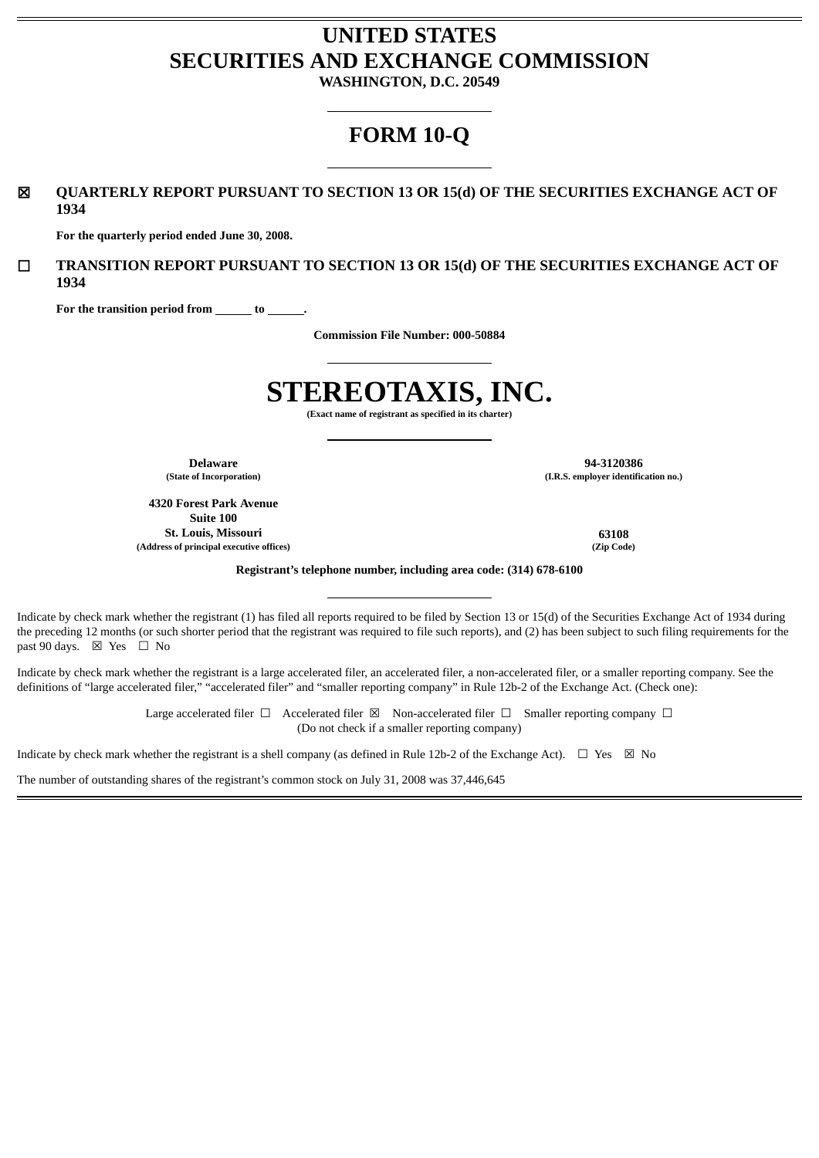# **UNITED STATES SECURITIES AND EXCHANGE COMMISSION**

**WASHINGTON, D.C. 20549**

# **FORM 10-Q**

☒ **QUARTERLY REPORT PURSUANT TO SECTION 13 OR 15(d) OF THE SECURITIES EXCHANGE ACT OF 1934**

**For the quarterly period ended June 30, 2008.**

☐ **TRANSITION REPORT PURSUANT TO SECTION 13 OR 15(d) OF THE SECURITIES EXCHANGE ACT OF 1934**

For the transition period from \_\_\_\_\_\_\_ to \_

**Commission File Number: 000-50884**

# **STEREOTAXIS, INC.**

**(Exact name of registrant as specified in its charter)**

**4320 Forest Park Avenue Suite 100 St. Louis, Missouri 63108 (Address of principal executive offices) (Zip Code)**

**Delaware 94-3120386 (State of Incorporation) (I.R.S. employer identification no.)**

**Registrant's telephone number, including area code: (314) 678-6100**

Indicate by check mark whether the registrant (1) has filed all reports required to be filed by Section 13 or 15(d) of the Securities Exchange Act of 1934 during the preceding 12 months (or such shorter period that the registrant was required to file such reports), and (2) has been subject to such filing requirements for the past 90 days.  $\boxtimes$  Yes  $\Box$  No

Indicate by check mark whether the registrant is a large accelerated filer, an accelerated filer, a non-accelerated filer, or a smaller reporting company. See the definitions of "large accelerated filer," "accelerated filer" and "smaller reporting company" in Rule 12b-2 of the Exchange Act. (Check one):

> Large accelerated filer  $\Box$  Accelerated filer  $\boxtimes$  Non-accelerated filer  $\Box$  Smaller reporting company  $\Box$ (Do not check if a smaller reporting company)

Indicate by check mark whether the registrant is a shell company (as defined in Rule 12b-2 of the Exchange Act).  $\Box$  Yes  $\boxtimes$  No

The number of outstanding shares of the registrant's common stock on July 31, 2008 was 37,446,645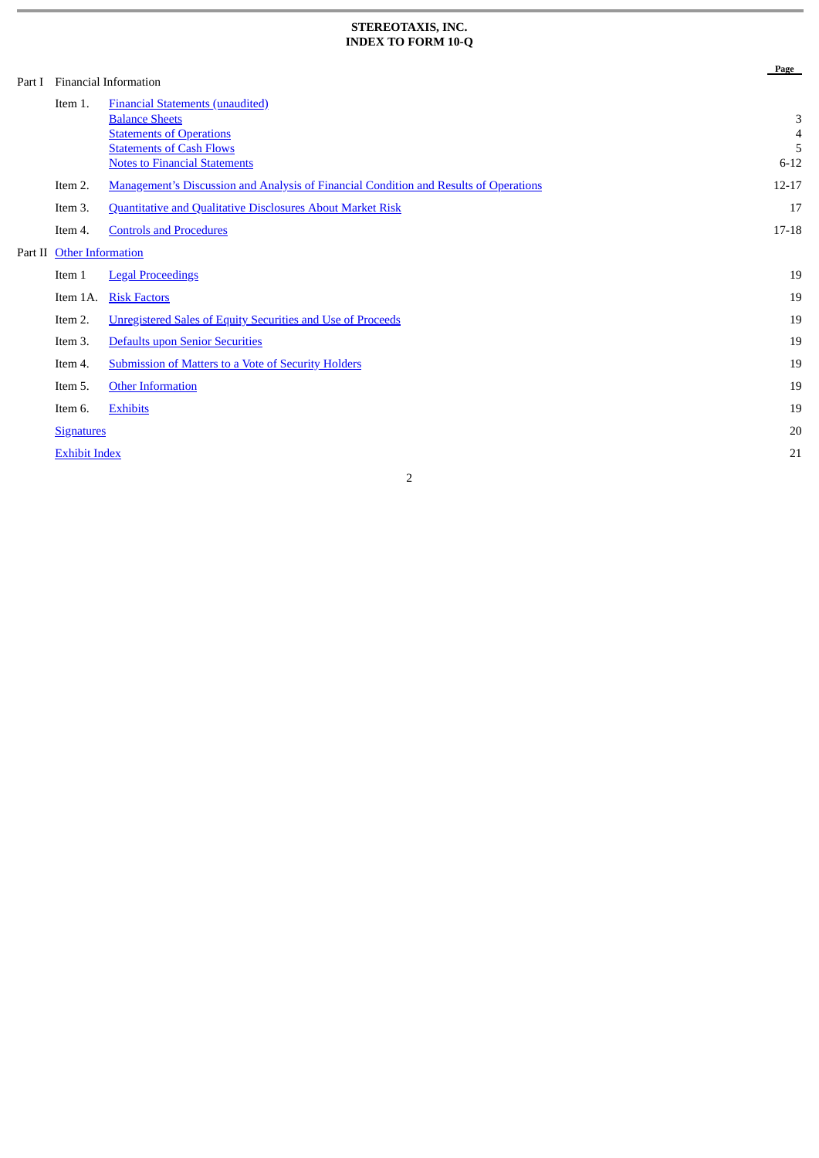#### **STEREOTAXIS, INC. INDEX TO FORM 10-Q**

|         |                          | Financial Information                                                                               | Page                |
|---------|--------------------------|-----------------------------------------------------------------------------------------------------|---------------------|
| Part I  | Item 1.                  | <b>Financial Statements (unaudited)</b><br><b>Balance Sheets</b><br><b>Statements of Operations</b> | 3<br>$\overline{4}$ |
|         |                          | <b>Statements of Cash Flows</b><br><b>Notes to Financial Statements</b>                             | 5<br>$6 - 12$       |
|         | Item 2.                  | Management's Discussion and Analysis of Financial Condition and Results of Operations               | $12 - 17$           |
|         | Item 3.                  | <b>Quantitative and Qualitative Disclosures About Market Risk</b>                                   | 17                  |
|         | Item 4.                  | <b>Controls and Procedures</b>                                                                      | 17-18               |
| Part II | <b>Other Information</b> |                                                                                                     |                     |
|         | Item 1                   | <b>Legal Proceedings</b>                                                                            | 19                  |
|         | Item 1A.                 | <b>Risk Factors</b>                                                                                 | 19                  |
|         | Item 2.                  | <b>Unregistered Sales of Equity Securities and Use of Proceeds</b>                                  | 19                  |
|         | Item 3.                  | Defaults upon Senior Securities                                                                     | 19                  |
|         | Item 4.                  | <b>Submission of Matters to a Vote of Security Holders</b>                                          | 19                  |
|         | Item 5.                  | <b>Other Information</b>                                                                            | 19                  |
|         | Item 6.                  | <b>Exhibits</b>                                                                                     | 19                  |
|         | <b>Signatures</b>        |                                                                                                     | 20                  |
|         | <b>Exhibit Index</b>     |                                                                                                     | 21                  |
|         |                          |                                                                                                     |                     |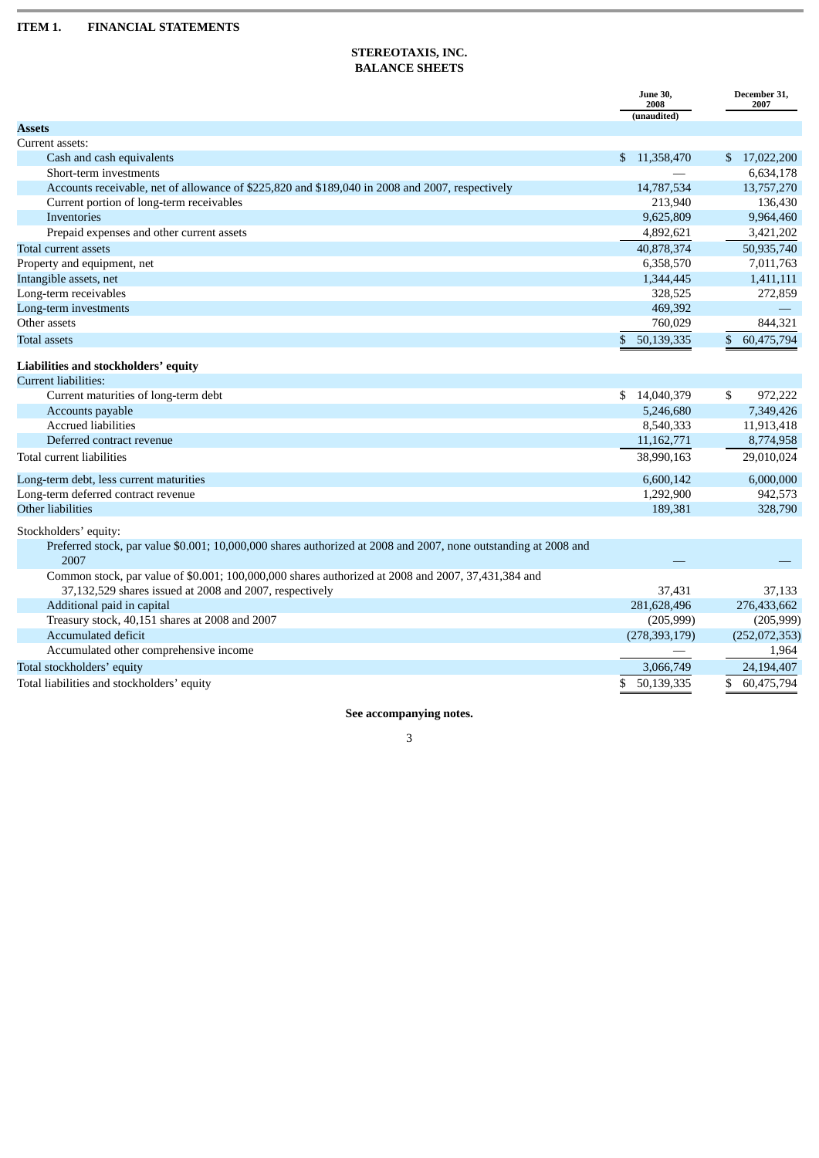# **STEREOTAXIS, INC. BALANCE SHEETS**

<span id="page-2-1"></span><span id="page-2-0"></span>

|                                                                                                                 | <b>June 30,</b><br>2008      | December 31,<br>2007 |
|-----------------------------------------------------------------------------------------------------------------|------------------------------|----------------------|
|                                                                                                                 | (unaudited)                  |                      |
| <b>Assets</b>                                                                                                   |                              |                      |
| Current assets:                                                                                                 |                              |                      |
| Cash and cash equivalents                                                                                       | 11,358,470<br>$\mathfrak{S}$ | \$17,022,200         |
| Short-term investments                                                                                          |                              | 6,634,178            |
| Accounts receivable, net of allowance of \$225,820 and \$189,040 in 2008 and 2007, respectively                 | 14,787,534                   | 13,757,270           |
| Current portion of long-term receivables                                                                        | 213,940                      | 136,430              |
| Inventories                                                                                                     | 9,625,809                    | 9,964,460            |
| Prepaid expenses and other current assets                                                                       | 4,892,621                    | 3,421,202            |
| Total current assets                                                                                            | 40,878,374                   | 50,935,740           |
| Property and equipment, net                                                                                     | 6,358,570                    | 7,011,763            |
| Intangible assets, net                                                                                          | 1,344,445                    | 1,411,111            |
| Long-term receivables                                                                                           | 328,525                      | 272,859              |
| Long-term investments                                                                                           | 469,392                      |                      |
| Other assets                                                                                                    | 760,029                      | 844,321              |
| Total assets                                                                                                    | \$<br>50,139,335             | \$<br>60,475,794     |
| Liabilities and stockholders' equity                                                                            |                              |                      |
| Current liabilities:                                                                                            |                              |                      |
| Current maturities of long-term debt                                                                            | 14,040,379<br>\$             | \$<br>972,222        |
| Accounts payable                                                                                                | 5,246,680                    | 7,349,426            |
| <b>Accrued liabilities</b>                                                                                      | 8,540,333                    | 11,913,418           |
| Deferred contract revenue                                                                                       | 11, 162, 771                 | 8,774,958            |
| Total current liabilities                                                                                       | 38,990,163                   | 29,010,024           |
| Long-term debt, less current maturities                                                                         | 6,600,142                    | 6,000,000            |
| Long-term deferred contract revenue                                                                             | 1,292,900                    | 942,573              |
| Other liabilities                                                                                               | 189,381                      | 328,790              |
| Stockholders' equity:                                                                                           |                              |                      |
| Preferred stock, par value \$0.001; 10,000,000 shares authorized at 2008 and 2007, none outstanding at 2008 and |                              |                      |
| 2007                                                                                                            |                              |                      |
| Common stock, par value of \$0.001; 100,000,000 shares authorized at 2008 and 2007, 37,431,384 and              |                              |                      |
| 37,132,529 shares issued at 2008 and 2007, respectively                                                         | 37,431                       | 37,133               |
| Additional paid in capital                                                                                      | 281,628,496                  | 276,433,662          |
| Treasury stock, 40,151 shares at 2008 and 2007                                                                  | (205, 999)                   | (205, 999)           |
| Accumulated deficit                                                                                             | (278, 393, 179)              | (252,072,353)        |
| Accumulated other comprehensive income                                                                          |                              | 1,964                |
| Total stockholders' equity                                                                                      | 3,066,749                    | 24,194,407           |
| Total liabilities and stockholders' equity                                                                      | 50,139,335<br>\$             | 60,475,794<br>\$     |
|                                                                                                                 |                              |                      |

**See accompanying notes.**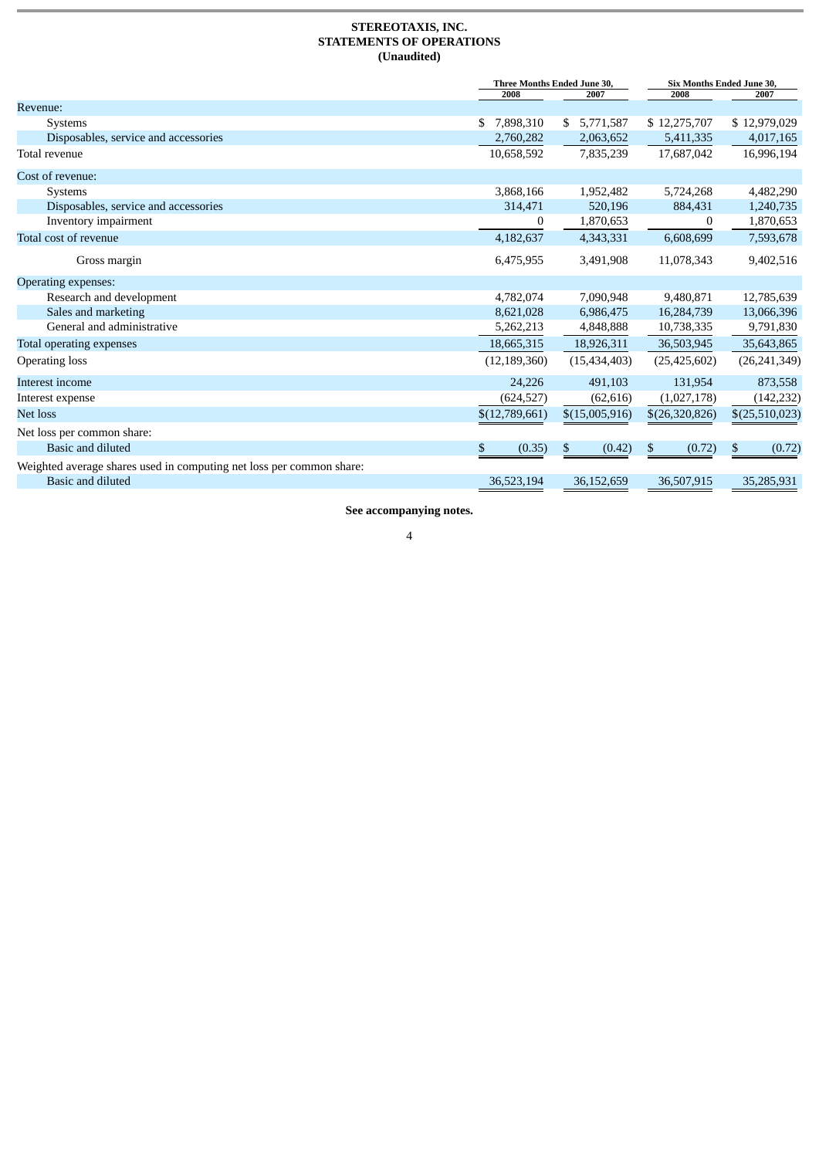#### **STEREOTAXIS, INC. STATEMENTS OF OPERATIONS (Unaudited)**

<span id="page-3-0"></span>

|                                                                      | 2008            | Three Months Ended June 30,<br>2007 | <b>Six Months Ended June 30,</b><br>2008 | 2007           |
|----------------------------------------------------------------------|-----------------|-------------------------------------|------------------------------------------|----------------|
| Revenue:                                                             |                 |                                     |                                          |                |
| <b>Systems</b>                                                       | 7,898,310<br>S. | \$5,771,587                         | \$12,275,707                             | \$12,979,029   |
| Disposables, service and accessories                                 | 2,760,282       | 2,063,652                           | 5,411,335                                | 4,017,165      |
| Total revenue                                                        | 10,658,592      | 7,835,239                           | 17,687,042                               | 16,996,194     |
| Cost of revenue:                                                     |                 |                                     |                                          |                |
| Systems                                                              | 3,868,166       | 1,952,482                           | 5,724,268                                | 4,482,290      |
| Disposables, service and accessories                                 | 314,471         | 520,196                             | 884,431                                  | 1,240,735      |
| Inventory impairment                                                 | 0               | 1,870,653                           | 0                                        | 1,870,653      |
| Total cost of revenue                                                | 4,182,637       | 4,343,331                           | 6,608,699                                | 7,593,678      |
| Gross margin                                                         | 6,475,955       | 3,491,908                           | 11,078,343                               | 9,402,516      |
| Operating expenses:                                                  |                 |                                     |                                          |                |
| Research and development                                             | 4,782,074       | 7,090,948                           | 9,480,871                                | 12,785,639     |
| Sales and marketing                                                  | 8,621,028       | 6,986,475                           | 16,284,739                               | 13,066,396     |
| General and administrative                                           | 5,262,213       | 4,848,888                           | 10,738,335                               | 9,791,830      |
| Total operating expenses                                             | 18,665,315      | 18,926,311                          | 36,503,945                               | 35,643,865     |
| <b>Operating loss</b>                                                | (12, 189, 360)  | (15, 434, 403)                      | (25, 425, 602)                           | (26, 241, 349) |
| Interest income                                                      | 24,226          | 491,103                             | 131,954                                  | 873,558        |
| Interest expense                                                     | (624, 527)      | (62, 616)                           | (1,027,178)                              | (142, 232)     |
| Net loss                                                             | \$(12,789,661)  | \$(15,005,916)                      | \$(26,320,826)                           | \$(25,510,023) |
| Net loss per common share:                                           |                 |                                     |                                          |                |
| Basic and diluted                                                    | \$<br>(0.35)    | \$<br>(0.42)                        | \$<br>(0.72)                             | \$<br>(0.72)   |
| Weighted average shares used in computing net loss per common share: |                 |                                     |                                          |                |
| Basic and diluted                                                    | 36,523,194      | 36,152,659                          | 36,507,915                               | 35,285,931     |

**See accompanying notes.**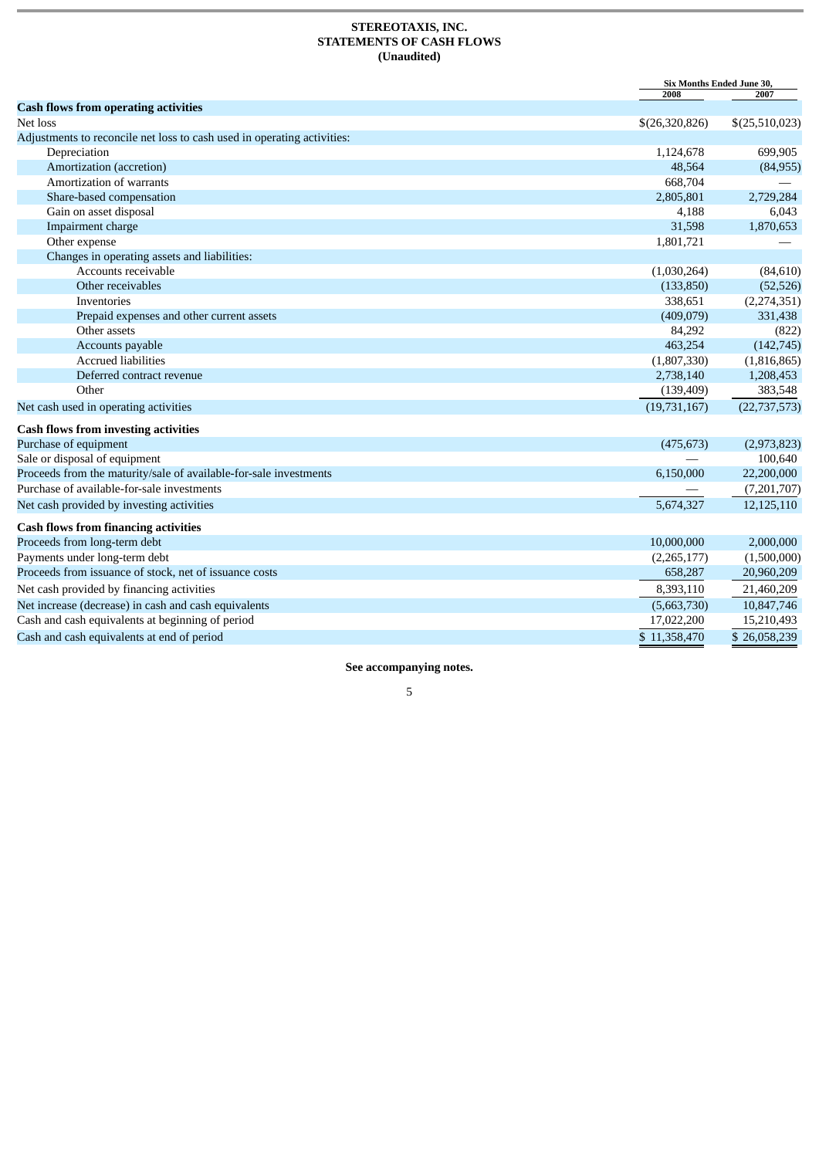#### **STEREOTAXIS, INC. STATEMENTS OF CASH FLOWS (Unaudited)**

<span id="page-4-0"></span>

|                                                                         | Six Months Ended June 30,<br>2008 | 2007           |
|-------------------------------------------------------------------------|-----------------------------------|----------------|
| <b>Cash flows from operating activities</b>                             |                                   |                |
| Net loss                                                                | \$(26,320,826)                    | \$(25,510,023) |
| Adjustments to reconcile net loss to cash used in operating activities: |                                   |                |
| Depreciation                                                            | 1,124,678                         | 699,905        |
| Amortization (accretion)                                                | 48,564                            | (84,955)       |
| Amortization of warrants                                                | 668,704                           |                |
| Share-based compensation                                                | 2,805,801                         | 2,729,284      |
| Gain on asset disposal                                                  | 4,188                             | 6,043          |
| Impairment charge                                                       | 31,598                            | 1,870,653      |
| Other expense                                                           | 1,801,721                         |                |
| Changes in operating assets and liabilities:                            |                                   |                |
| Accounts receivable                                                     | (1,030,264)                       | (84, 610)      |
| Other receivables                                                       | (133, 850)                        | (52, 526)      |
| Inventories                                                             | 338,651                           | (2,274,351)    |
| Prepaid expenses and other current assets                               | (409, 079)                        | 331,438        |
| Other assets                                                            | 84,292                            | (822)          |
| Accounts payable                                                        | 463,254                           | (142, 745)     |
| <b>Accrued liabilities</b>                                              | (1,807,330)                       | (1,816,865)    |
| Deferred contract revenue                                               | 2,738,140                         | 1,208,453      |
| Other                                                                   | (139, 409)                        | 383,548        |
| Net cash used in operating activities                                   | (19, 731, 167)                    | (22, 737, 573) |
| <b>Cash flows from investing activities</b>                             |                                   |                |
| Purchase of equipment                                                   | (475, 673)                        | (2,973,823)    |
| Sale or disposal of equipment                                           |                                   | 100,640        |
| Proceeds from the maturity/sale of available-for-sale investments       | 6,150,000                         | 22,200,000     |
| Purchase of available-for-sale investments                              |                                   | (7,201,707)    |
| Net cash provided by investing activities                               | 5,674,327                         | 12,125,110     |
| <b>Cash flows from financing activities</b>                             |                                   |                |
| Proceeds from long-term debt                                            | 10,000,000                        | 2,000,000      |
| Payments under long-term debt                                           | (2,265,177)                       | (1,500,000)    |
| Proceeds from issuance of stock, net of issuance costs                  | 658,287                           | 20,960,209     |
| Net cash provided by financing activities                               | 8,393,110                         | 21,460,209     |
| Net increase (decrease) in cash and cash equivalents                    | (5,663,730)                       | 10,847,746     |
| Cash and cash equivalents at beginning of period                        | 17,022,200                        | 15,210,493     |
| Cash and cash equivalents at end of period                              | \$11,358,470                      | \$26,058,239   |

**See accompanying notes.**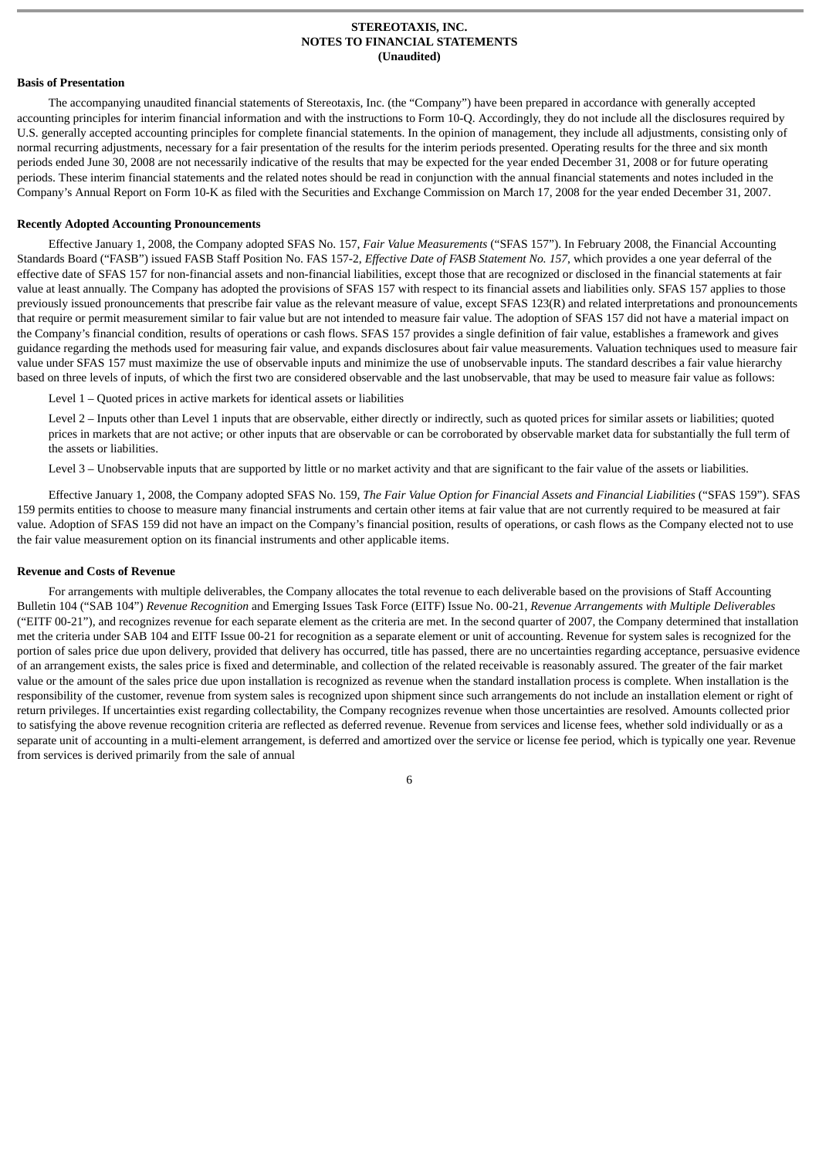#### **STEREOTAXIS, INC. NOTES TO FINANCIAL STATEMENTS (Unaudited)**

#### <span id="page-5-0"></span>**Basis of Presentation**

The accompanying unaudited financial statements of Stereotaxis, Inc. (the "Company") have been prepared in accordance with generally accepted accounting principles for interim financial information and with the instructions to Form 10-Q. Accordingly, they do not include all the disclosures required by U.S. generally accepted accounting principles for complete financial statements. In the opinion of management, they include all adjustments, consisting only of normal recurring adjustments, necessary for a fair presentation of the results for the interim periods presented. Operating results for the three and six month periods ended June 30, 2008 are not necessarily indicative of the results that may be expected for the year ended December 31, 2008 or for future operating periods. These interim financial statements and the related notes should be read in conjunction with the annual financial statements and notes included in the Company's Annual Report on Form 10-K as filed with the Securities and Exchange Commission on March 17, 2008 for the year ended December 31, 2007.

#### **Recently Adopted Accounting Pronouncements**

Effective January 1, 2008, the Company adopted SFAS No. 157, *Fair Value Measurements* ("SFAS 157"). In February 2008, the Financial Accounting Standards Board ("FASB") issued FASB Staff Position No. FAS 157-2, *Effective Date of FASB Statement No. 157*, which provides a one year deferral of the effective date of SFAS 157 for non-financial assets and non-financial liabilities, except those that are recognized or disclosed in the financial statements at fair value at least annually. The Company has adopted the provisions of SFAS 157 with respect to its financial assets and liabilities only. SFAS 157 applies to those previously issued pronouncements that prescribe fair value as the relevant measure of value, except SFAS 123(R) and related interpretations and pronouncements that require or permit measurement similar to fair value but are not intended to measure fair value. The adoption of SFAS 157 did not have a material impact on the Company's financial condition, results of operations or cash flows. SFAS 157 provides a single definition of fair value, establishes a framework and gives guidance regarding the methods used for measuring fair value, and expands disclosures about fair value measurements. Valuation techniques used to measure fair value under SFAS 157 must maximize the use of observable inputs and minimize the use of unobservable inputs. The standard describes a fair value hierarchy based on three levels of inputs, of which the first two are considered observable and the last unobservable, that may be used to measure fair value as follows:

Level 1 – Quoted prices in active markets for identical assets or liabilities

Level 2 – Inputs other than Level 1 inputs that are observable, either directly or indirectly, such as quoted prices for similar assets or liabilities; quoted prices in markets that are not active; or other inputs that are observable or can be corroborated by observable market data for substantially the full term of the assets or liabilities.

Level 3 – Unobservable inputs that are supported by little or no market activity and that are significant to the fair value of the assets or liabilities.

Effective January 1, 2008, the Company adopted SFAS No. 159, *The Fair Value Option for Financial Assets and Financial Liabilities* ("SFAS 159"). SFAS 159 permits entities to choose to measure many financial instruments and certain other items at fair value that are not currently required to be measured at fair value. Adoption of SFAS 159 did not have an impact on the Company's financial position, results of operations, or cash flows as the Company elected not to use the fair value measurement option on its financial instruments and other applicable items.

#### **Revenue and Costs of Revenue**

For arrangements with multiple deliverables, the Company allocates the total revenue to each deliverable based on the provisions of Staff Accounting Bulletin 104 ("SAB 104") *Revenue Recognition* and Emerging Issues Task Force (EITF) Issue No. 00-21, *Revenue Arrangements with Multiple Deliverables* ("EITF 00-21")*,* and recognizes revenue for each separate element as the criteria are met. In the second quarter of 2007, the Company determined that installation met the criteria under SAB 104 and EITF Issue 00-21 for recognition as a separate element or unit of accounting. Revenue for system sales is recognized for the portion of sales price due upon delivery, provided that delivery has occurred, title has passed, there are no uncertainties regarding acceptance, persuasive evidence of an arrangement exists, the sales price is fixed and determinable, and collection of the related receivable is reasonably assured. The greater of the fair market value or the amount of the sales price due upon installation is recognized as revenue when the standard installation process is complete. When installation is the responsibility of the customer, revenue from system sales is recognized upon shipment since such arrangements do not include an installation element or right of return privileges. If uncertainties exist regarding collectability, the Company recognizes revenue when those uncertainties are resolved. Amounts collected prior to satisfying the above revenue recognition criteria are reflected as deferred revenue. Revenue from services and license fees, whether sold individually or as a separate unit of accounting in a multi-element arrangement, is deferred and amortized over the service or license fee period, which is typically one year. Revenue from services is derived primarily from the sale of annual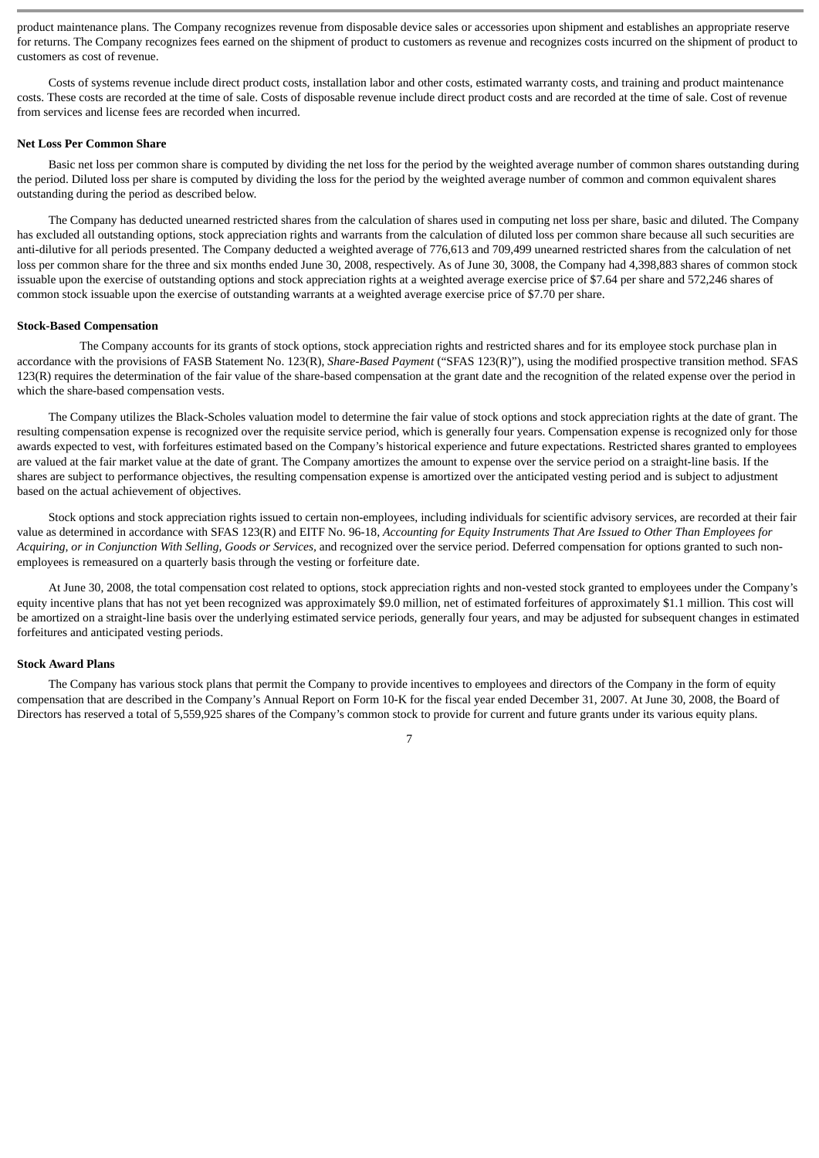product maintenance plans. The Company recognizes revenue from disposable device sales or accessories upon shipment and establishes an appropriate reserve for returns. The Company recognizes fees earned on the shipment of product to customers as revenue and recognizes costs incurred on the shipment of product to customers as cost of revenue.

Costs of systems revenue include direct product costs, installation labor and other costs, estimated warranty costs, and training and product maintenance costs. These costs are recorded at the time of sale. Costs of disposable revenue include direct product costs and are recorded at the time of sale. Cost of revenue from services and license fees are recorded when incurred.

#### **Net Loss Per Common Share**

Basic net loss per common share is computed by dividing the net loss for the period by the weighted average number of common shares outstanding during the period. Diluted loss per share is computed by dividing the loss for the period by the weighted average number of common and common equivalent shares outstanding during the period as described below.

The Company has deducted unearned restricted shares from the calculation of shares used in computing net loss per share, basic and diluted. The Company has excluded all outstanding options, stock appreciation rights and warrants from the calculation of diluted loss per common share because all such securities are anti-dilutive for all periods presented. The Company deducted a weighted average of 776,613 and 709,499 unearned restricted shares from the calculation of net loss per common share for the three and six months ended June 30, 2008, respectively. As of June 30, 3008, the Company had 4,398,883 shares of common stock issuable upon the exercise of outstanding options and stock appreciation rights at a weighted average exercise price of \$7.64 per share and 572,246 shares of common stock issuable upon the exercise of outstanding warrants at a weighted average exercise price of \$7.70 per share.

#### **Stock-Based Compensation**

The Company accounts for its grants of stock options, stock appreciation rights and restricted shares and for its employee stock purchase plan in accordance with the provisions of FASB Statement No. 123(R), *Share-Based Payment* ("SFAS 123(R)"), using the modified prospective transition method. SFAS 123(R) requires the determination of the fair value of the share-based compensation at the grant date and the recognition of the related expense over the period in which the share-based compensation vests.

The Company utilizes the Black-Scholes valuation model to determine the fair value of stock options and stock appreciation rights at the date of grant. The resulting compensation expense is recognized over the requisite service period, which is generally four years. Compensation expense is recognized only for those awards expected to vest, with forfeitures estimated based on the Company's historical experience and future expectations. Restricted shares granted to employees are valued at the fair market value at the date of grant. The Company amortizes the amount to expense over the service period on a straight-line basis. If the shares are subject to performance objectives, the resulting compensation expense is amortized over the anticipated vesting period and is subject to adjustment based on the actual achievement of objectives.

Stock options and stock appreciation rights issued to certain non-employees, including individuals for scientific advisory services, are recorded at their fair value as determined in accordance with SFAS 123(R) and EITF No. 96-18, *Accounting for Equity Instruments That Are Issued to Other Than Employees for Acquiring, or in Conjunction With Selling, Goods or Services,* and recognized over the service period. Deferred compensation for options granted to such nonemployees is remeasured on a quarterly basis through the vesting or forfeiture date.

At June 30, 2008, the total compensation cost related to options, stock appreciation rights and non-vested stock granted to employees under the Company's equity incentive plans that has not yet been recognized was approximately \$9.0 million, net of estimated forfeitures of approximately \$1.1 million. This cost will be amortized on a straight-line basis over the underlying estimated service periods, generally four years, and may be adjusted for subsequent changes in estimated forfeitures and anticipated vesting periods.

#### **Stock Award Plans**

The Company has various stock plans that permit the Company to provide incentives to employees and directors of the Company in the form of equity compensation that are described in the Company's Annual Report on Form 10-K for the fiscal year ended December 31, 2007. At June 30, 2008, the Board of Directors has reserved a total of 5,559,925 shares of the Company's common stock to provide for current and future grants under its various equity plans.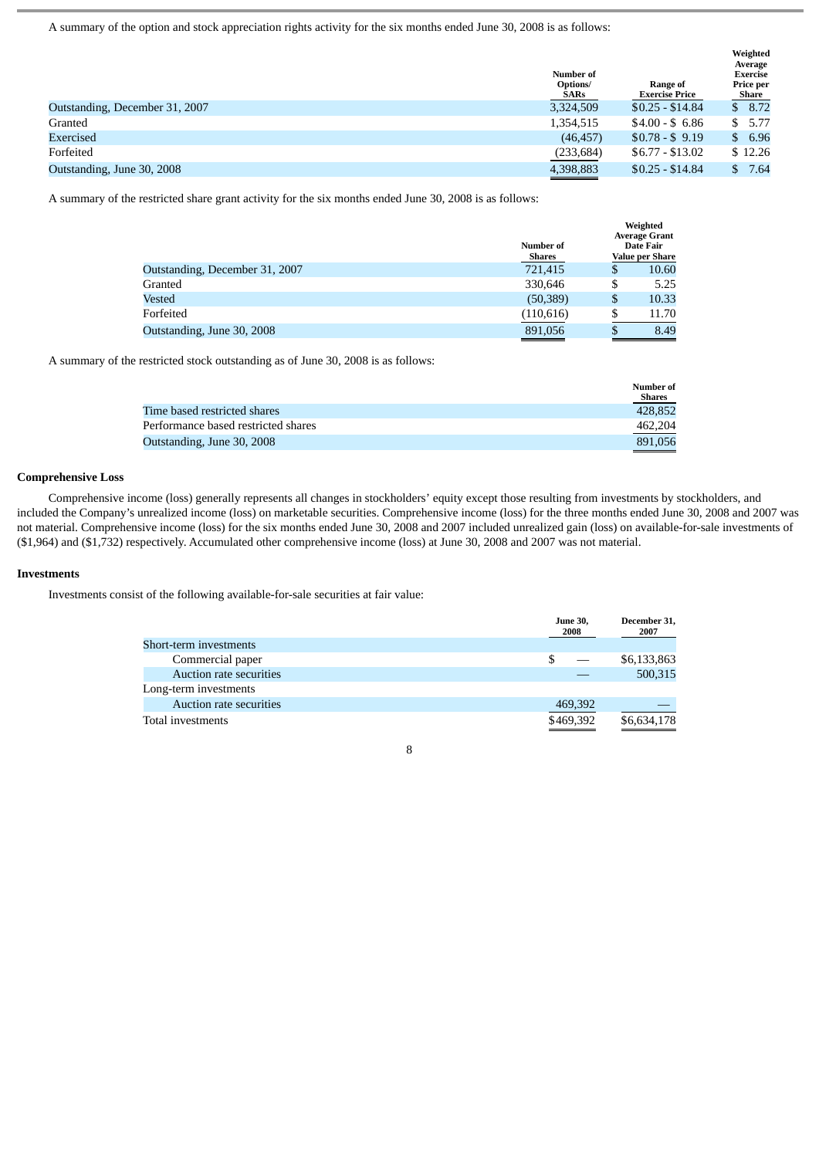A summary of the option and stock appreciation rights activity for the six months ended June 30, 2008 is as follows:

|                                | Number of<br>Options/<br>SARs | Range of<br><b>Exercise Price</b> | Weighted<br>Average<br><b>Exercise</b><br>Price per<br><b>Share</b> |
|--------------------------------|-------------------------------|-----------------------------------|---------------------------------------------------------------------|
| Outstanding, December 31, 2007 | 3,324,509                     | $$0.25 - $14.84$                  | \$8.72                                                              |
| Granted                        | 1,354,515                     | $$4.00 - $6.86$                   | \$5.77                                                              |
| <b>Exercised</b>               | (46, 457)                     | $$0.78 - $9.19$                   | \$6.96                                                              |
| Forfeited                      | (233, 684)                    | $$6.77 - $13.02$                  | \$12.26                                                             |
| Outstanding, June 30, 2008     | 4,398,883                     | $$0.25 - $14.84$                  | 7.64<br>S.                                                          |

A summary of the restricted share grant activity for the six months ended June 30, 2008 is as follows:

|                                | Number of<br>Shares | Weighted<br><b>Average Grant</b><br>Date Fair<br>Value per Share |
|--------------------------------|---------------------|------------------------------------------------------------------|
| Outstanding, December 31, 2007 | 721,415             | \$<br>10.60                                                      |
| Granted                        | 330,646             | \$<br>5.25                                                       |
| Vested                         | (50, 389)           | \$<br>10.33                                                      |
| Forfeited                      | (110, 616)          | \$<br>11.70                                                      |
| Outstanding, June 30, 2008     | 891,056             | \$<br>8.49                                                       |

A summary of the restricted stock outstanding as of June 30, 2008 is as follows:

|                                     | Number of |
|-------------------------------------|-----------|
|                                     | Shares    |
| Time based restricted shares        | 428.852   |
| Performance based restricted shares | 462.204   |
| Outstanding, June 30, 2008          | 891.056   |

#### **Comprehensive Loss**

Comprehensive income (loss) generally represents all changes in stockholders' equity except those resulting from investments by stockholders, and included the Company's unrealized income (loss) on marketable securities. Comprehensive income (loss) for the three months ended June 30, 2008 and 2007 was not material. Comprehensive income (loss) for the six months ended June 30, 2008 and 2007 included unrealized gain (loss) on available-for-sale investments of (\$1,964) and (\$1,732) respectively. Accumulated other comprehensive income (loss) at June 30, 2008 and 2007 was not material.

#### **Investments**

Investments consist of the following available-for-sale securities at fair value:

|                         | <b>June 30,</b><br>2008 | December 31,<br>2007 |
|-------------------------|-------------------------|----------------------|
| Short-term investments  |                         |                      |
| Commercial paper        |                         | \$6,133,863          |
| Auction rate securities |                         | 500,315              |
| Long-term investments   |                         |                      |
| Auction rate securities | 469,392                 |                      |
| Total investments       | \$469,392               | \$6,634,178          |

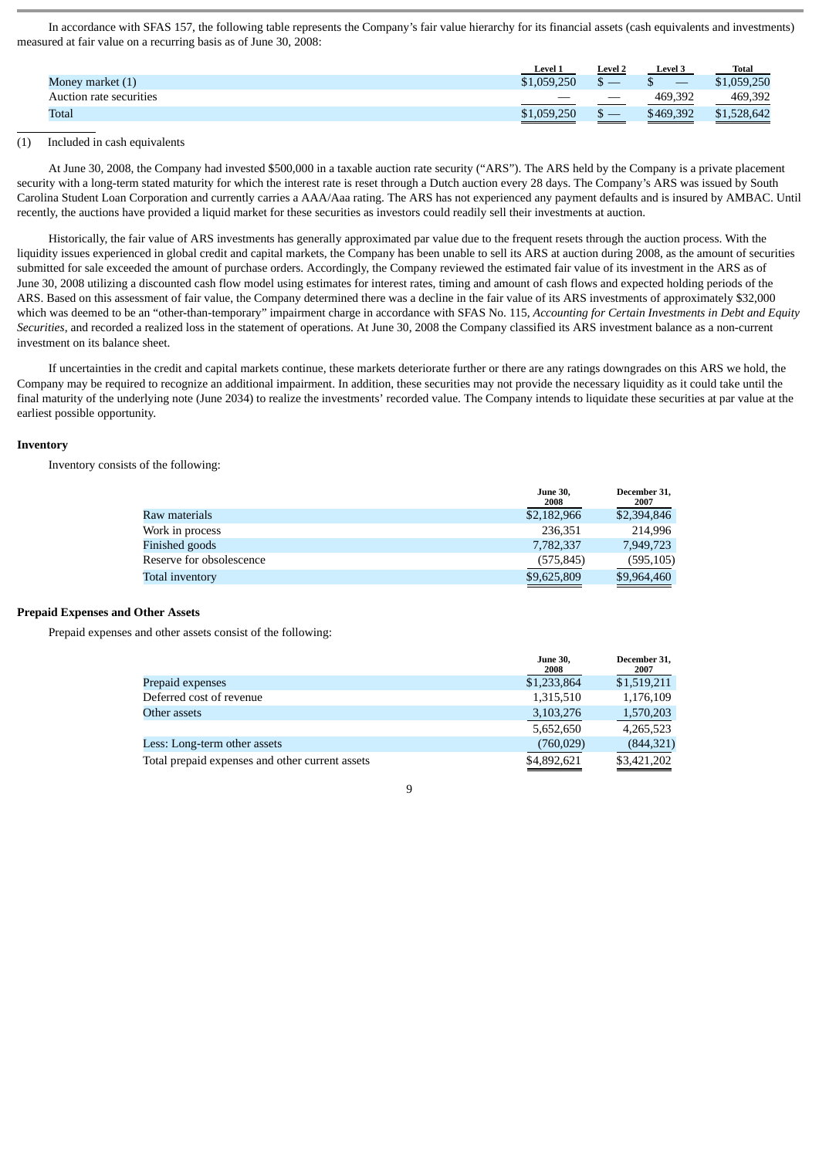In accordance with SFAS 157, the following table represents the Company's fair value hierarchy for its financial assets (cash equivalents and investments) measured at fair value on a recurring basis as of June 30, 2008:

|                         | Level <sup>*</sup> | <b>Level 2</b>                  | <b>Level 3</b> | <b>Total</b> |
|-------------------------|--------------------|---------------------------------|----------------|--------------|
| Money market (1)        | \$1,059,250        |                                 |                | \$1,059,250  |
| Auction rate securities |                    | $\hspace{0.1mm}-\hspace{0.1mm}$ | 469.392        | 469,392      |
| Total                   | \$1,059,250        |                                 | \$469,392      | \$1,528,642  |

# (1) Included in cash equivalents

At June 30, 2008, the Company had invested \$500,000 in a taxable auction rate security ("ARS"). The ARS held by the Company is a private placement security with a long-term stated maturity for which the interest rate is reset through a Dutch auction every 28 days. The Company's ARS was issued by South Carolina Student Loan Corporation and currently carries a AAA/Aaa rating. The ARS has not experienced any payment defaults and is insured by AMBAC. Until recently, the auctions have provided a liquid market for these securities as investors could readily sell their investments at auction.

Historically, the fair value of ARS investments has generally approximated par value due to the frequent resets through the auction process. With the liquidity issues experienced in global credit and capital markets, the Company has been unable to sell its ARS at auction during 2008, as the amount of securities submitted for sale exceeded the amount of purchase orders. Accordingly, the Company reviewed the estimated fair value of its investment in the ARS as of June 30, 2008 utilizing a discounted cash flow model using estimates for interest rates, timing and amount of cash flows and expected holding periods of the ARS. Based on this assessment of fair value, the Company determined there was a decline in the fair value of its ARS investments of approximately \$32,000 which was deemed to be an "other-than-temporary" impairment charge in accordance with SFAS No. 115, *Accounting for Certain Investments in Debt and Equity Securities*, and recorded a realized loss in the statement of operations. At June 30, 2008 the Company classified its ARS investment balance as a non-current investment on its balance sheet.

If uncertainties in the credit and capital markets continue, these markets deteriorate further or there are any ratings downgrades on this ARS we hold, the Company may be required to recognize an additional impairment. In addition, these securities may not provide the necessary liquidity as it could take until the final maturity of the underlying note (June 2034) to realize the investments' recorded value. The Company intends to liquidate these securities at par value at the earliest possible opportunity.

#### **Inventory**

Inventory consists of the following:

|                          | <b>June 30,</b><br>2008 | December 31.<br>2007 |
|--------------------------|-------------------------|----------------------|
| Raw materials            | \$2,182,966             | \$2,394,846          |
| Work in process          | 236.351                 | 214.996              |
| Finished goods           | 7,782,337               | 7,949,723            |
| Reserve for obsolescence | (575, 845)              | (595, 105)           |
| Total inventory          | \$9,625,809             | \$9,964,460          |

#### **Prepaid Expenses and Other Assets**

Prepaid expenses and other assets consist of the following:

|                                                 | <b>June 30,</b><br>2008 | December 31,<br>2007 |
|-------------------------------------------------|-------------------------|----------------------|
| Prepaid expenses                                | \$1,233,864             | \$1,519,211          |
| Deferred cost of revenue                        | 1,315,510               | 1,176,109            |
| Other assets                                    | 3,103,276               | 1,570,203            |
|                                                 | 5,652,650               | 4,265,523            |
| Less: Long-term other assets                    | (760, 029)              | (844, 321)           |
| Total prepaid expenses and other current assets | \$4,892,621             | \$3,421,202          |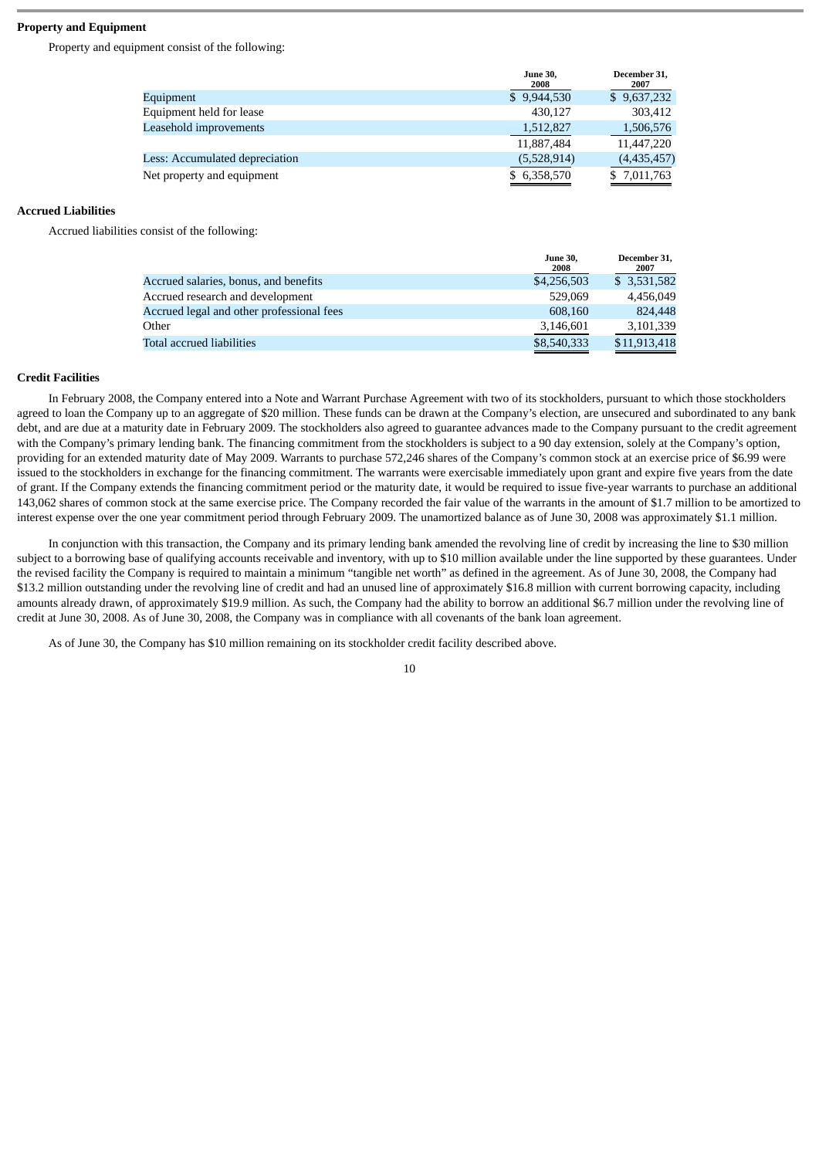# **Property and Equipment**

Property and equipment consist of the following:

|                                | <b>June 30,</b><br>2008 | December 31,<br>2007 |
|--------------------------------|-------------------------|----------------------|
| Equipment                      | \$9,944,530             | \$9,637,232          |
| Equipment held for lease       | 430.127                 | 303,412              |
| Leasehold improvements         | 1,512,827               | 1,506,576            |
|                                | 11,887,484              | 11,447,220           |
| Less: Accumulated depreciation | (5,528,914)             | (4,435,457)          |
| Net property and equipment     | \$ 6,358,570            | \$ 7,011,763         |
|                                |                         |                      |

#### **Accrued Liabilities**

Accrued liabilities consist of the following:

|                                           | <b>June 30,</b><br>2008 | December 31.<br>2007 |
|-------------------------------------------|-------------------------|----------------------|
| Accrued salaries, bonus, and benefits     | \$4,256,503             | \$ 3,531,582         |
| Accrued research and development          | 529.069                 | 4.456.049            |
| Accrued legal and other professional fees | 608.160                 | 824,448              |
| Other                                     | 3,146,601               | 3,101,339            |
| Total accrued liabilities                 | \$8,540,333             | \$11,913,418         |

#### **Credit Facilities**

In February 2008, the Company entered into a Note and Warrant Purchase Agreement with two of its stockholders, pursuant to which those stockholders agreed to loan the Company up to an aggregate of \$20 million. These funds can be drawn at the Company's election, are unsecured and subordinated to any bank debt, and are due at a maturity date in February 2009. The stockholders also agreed to guarantee advances made to the Company pursuant to the credit agreement with the Company's primary lending bank. The financing commitment from the stockholders is subject to a 90 day extension, solely at the Company's option, providing for an extended maturity date of May 2009. Warrants to purchase 572,246 shares of the Company's common stock at an exercise price of \$6.99 were issued to the stockholders in exchange for the financing commitment. The warrants were exercisable immediately upon grant and expire five years from the date of grant. If the Company extends the financing commitment period or the maturity date, it would be required to issue five-year warrants to purchase an additional 143,062 shares of common stock at the same exercise price. The Company recorded the fair value of the warrants in the amount of \$1.7 million to be amortized to interest expense over the one year commitment period through February 2009. The unamortized balance as of June 30, 2008 was approximately \$1.1 million.

In conjunction with this transaction, the Company and its primary lending bank amended the revolving line of credit by increasing the line to \$30 million subject to a borrowing base of qualifying accounts receivable and inventory, with up to \$10 million available under the line supported by these guarantees. Under the revised facility the Company is required to maintain a minimum "tangible net worth" as defined in the agreement. As of June 30, 2008, the Company had \$13.2 million outstanding under the revolving line of credit and had an unused line of approximately \$16.8 million with current borrowing capacity, including amounts already drawn, of approximately \$19.9 million. As such, the Company had the ability to borrow an additional \$6.7 million under the revolving line of credit at June 30, 2008. As of June 30, 2008, the Company was in compliance with all covenants of the bank loan agreement.

As of June 30, the Company has \$10 million remaining on its stockholder credit facility described above.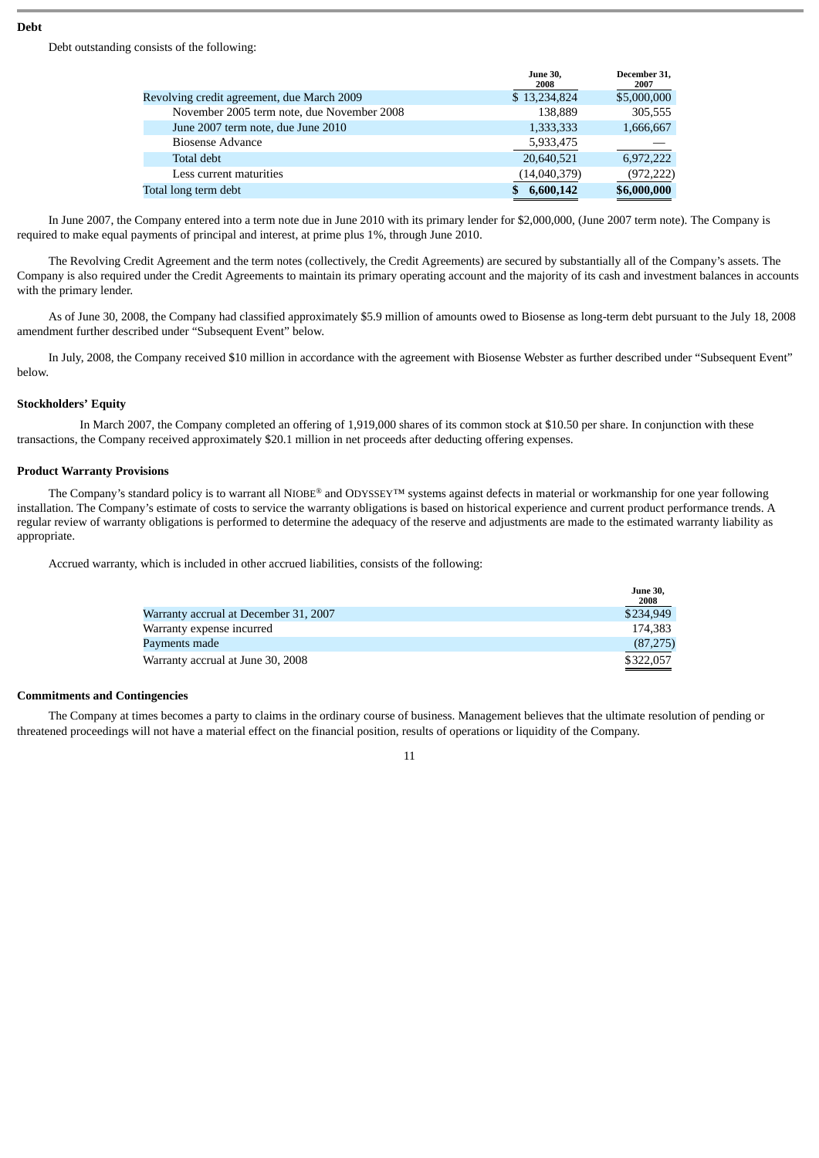#### **Debt**

Debt outstanding consists of the following:

|                                            | <b>June 30.</b><br>2008 | December 31.<br>2007 |
|--------------------------------------------|-------------------------|----------------------|
| Revolving credit agreement, due March 2009 | \$13,234,824            | \$5,000,000          |
| November 2005 term note, due November 2008 | 138,889                 | 305,555              |
| June 2007 term note, due June 2010         | 1,333,333               | 1,666,667            |
| <b>Biosense Advance</b>                    | 5,933,475               |                      |
| Total debt                                 | 20,640,521              | 6,972,222            |
| Less current maturities                    | (14,040,379)            | (972,222)            |
| Total long term debt                       | 6,600,142               | \$6,000,000          |

In June 2007, the Company entered into a term note due in June 2010 with its primary lender for \$2,000,000, (June 2007 term note). The Company is required to make equal payments of principal and interest, at prime plus 1%, through June 2010.

The Revolving Credit Agreement and the term notes (collectively, the Credit Agreements) are secured by substantially all of the Company's assets. The Company is also required under the Credit Agreements to maintain its primary operating account and the majority of its cash and investment balances in accounts with the primary lender.

As of June 30, 2008, the Company had classified approximately \$5.9 million of amounts owed to Biosense as long-term debt pursuant to the July 18, 2008 amendment further described under "Subsequent Event" below.

In July, 2008, the Company received \$10 million in accordance with the agreement with Biosense Webster as further described under "Subsequent Event" below.

#### **Stockholders' Equity**

In March 2007, the Company completed an offering of 1,919,000 shares of its common stock at \$10.50 per share. In conjunction with these transactions, the Company received approximately \$20.1 million in net proceeds after deducting offering expenses.

#### **Product Warranty Provisions**

The Company's standard policy is to warrant all NIOBE® and ODYSSEY™ systems against defects in material or workmanship for one year following installation. The Company's estimate of costs to service the warranty obligations is based on historical experience and current product performance trends. A regular review of warranty obligations is performed to determine the adequacy of the reserve and adjustments are made to the estimated warranty liability as appropriate.

Accrued warranty, which is included in other accrued liabilities, consists of the following:

|                                       | лине эо,<br>2008 |
|---------------------------------------|------------------|
| Warranty accrual at December 31, 2007 | \$234,949        |
| Warranty expense incurred             | 174.383          |
| Payments made                         | (87, 275)        |
| Warranty accrual at June 30, 2008     | \$322,057        |

 $\overline{\mathbf{a}}$ 

#### **Commitments and Contingencies**

The Company at times becomes a party to claims in the ordinary course of business. Management believes that the ultimate resolution of pending or threatened proceedings will not have a material effect on the financial position, results of operations or liquidity of the Company.

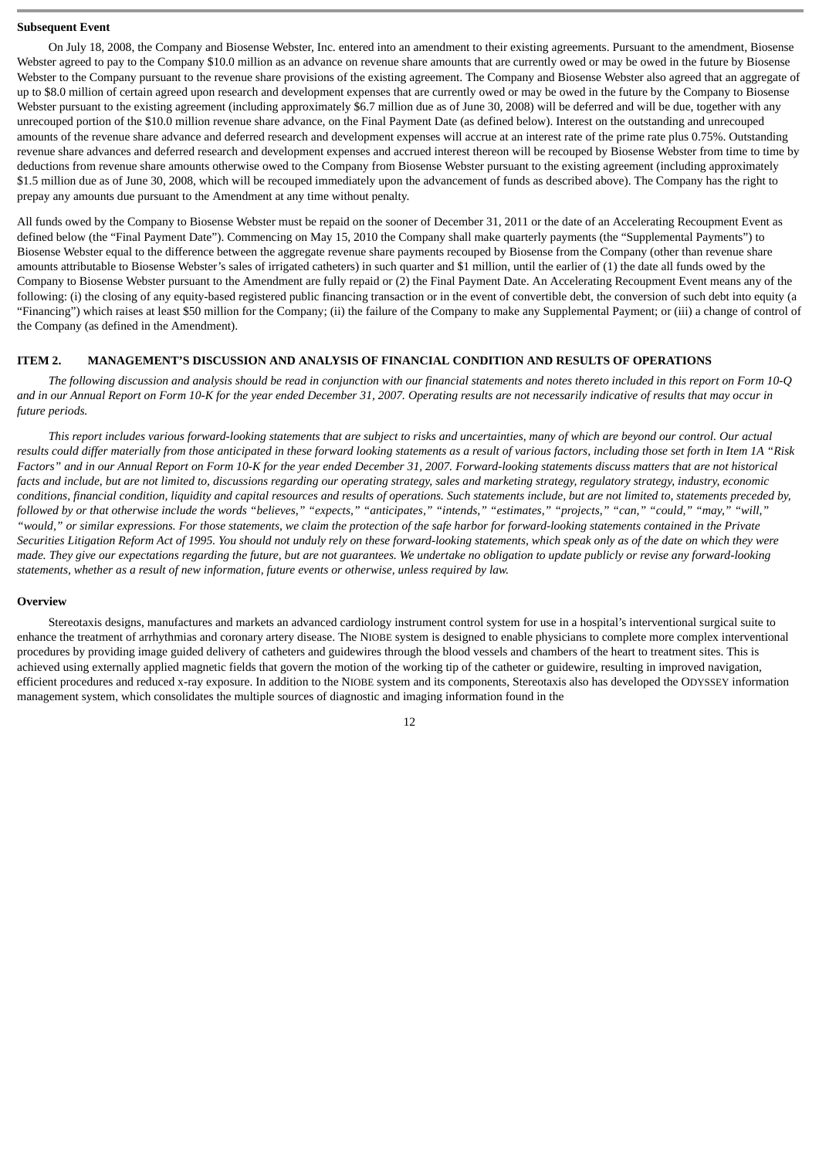#### **Subsequent Event**

On July 18, 2008, the Company and Biosense Webster, Inc. entered into an amendment to their existing agreements. Pursuant to the amendment, Biosense Webster agreed to pay to the Company \$10.0 million as an advance on revenue share amounts that are currently owed or may be owed in the future by Biosense Webster to the Company pursuant to the revenue share provisions of the existing agreement. The Company and Biosense Webster also agreed that an aggregate of up to \$8.0 million of certain agreed upon research and development expenses that are currently owed or may be owed in the future by the Company to Biosense Webster pursuant to the existing agreement (including approximately \$6.7 million due as of June 30, 2008) will be deferred and will be due, together with any unrecouped portion of the \$10.0 million revenue share advance, on the Final Payment Date (as defined below). Interest on the outstanding and unrecouped amounts of the revenue share advance and deferred research and development expenses will accrue at an interest rate of the prime rate plus 0.75%. Outstanding revenue share advances and deferred research and development expenses and accrued interest thereon will be recouped by Biosense Webster from time to time by deductions from revenue share amounts otherwise owed to the Company from Biosense Webster pursuant to the existing agreement (including approximately \$1.5 million due as of June 30, 2008, which will be recouped immediately upon the advancement of funds as described above). The Company has the right to prepay any amounts due pursuant to the Amendment at any time without penalty.

All funds owed by the Company to Biosense Webster must be repaid on the sooner of December 31, 2011 or the date of an Accelerating Recoupment Event as defined below (the "Final Payment Date"). Commencing on May 15, 2010 the Company shall make quarterly payments (the "Supplemental Payments") to Biosense Webster equal to the difference between the aggregate revenue share payments recouped by Biosense from the Company (other than revenue share amounts attributable to Biosense Webster's sales of irrigated catheters) in such quarter and \$1 million, until the earlier of (1) the date all funds owed by the Company to Biosense Webster pursuant to the Amendment are fully repaid or (2) the Final Payment Date. An Accelerating Recoupment Event means any of the following: (i) the closing of any equity-based registered public financing transaction or in the event of convertible debt, the conversion of such debt into equity (a "Financing") which raises at least \$50 million for the Company; (ii) the failure of the Company to make any Supplemental Payment; or (iii) a change of control of the Company (as defined in the Amendment).

#### <span id="page-11-0"></span>**ITEM 2. MANAGEMENT'S DISCUSSION AND ANALYSIS OF FINANCIAL CONDITION AND RESULTS OF OPERATIONS**

*The following discussion and analysis should be read in conjunction with our financial statements and notes thereto included in this report on Form 10-Q and in our Annual Report on Form 10-K for the year ended December 31, 2007. Operating results are not necessarily indicative of results that may occur in future periods.*

*This report includes various forward-looking statements that are subject to risks and uncertainties, many of which are beyond our control. Our actual results could differ materially from those anticipated in these forward looking statements as a result of various factors, including those set forth in Item 1A "Risk Factors" and in our Annual Report on Form 10-K for the year ended December 31, 2007. Forward-looking statements discuss matters that are not historical facts and include, but are not limited to, discussions regarding our operating strategy, sales and marketing strategy, regulatory strategy, industry, economic conditions, financial condition, liquidity and capital resources and results of operations. Such statements include, but are not limited to, statements preceded by, followed by or that otherwise include the words "believes," "expects," "anticipates," "intends," "estimates," "projects," "can," "could," "may," "will," "would," or similar expressions. For those statements, we claim the protection of the safe harbor for forward-looking statements contained in the Private Securities Litigation Reform Act of 1995. You should not unduly rely on these forward-looking statements, which speak only as of the date on which they were made. They give our expectations regarding the future, but are not guarantees. We undertake no obligation to update publicly or revise any forward-looking statements, whether as a result of new information, future events or otherwise, unless required by law.*

#### **Overview**

Stereotaxis designs, manufactures and markets an advanced cardiology instrument control system for use in a hospital's interventional surgical suite to enhance the treatment of arrhythmias and coronary artery disease. The NIOBE system is designed to enable physicians to complete more complex interventional procedures by providing image guided delivery of catheters and guidewires through the blood vessels and chambers of the heart to treatment sites. This is achieved using externally applied magnetic fields that govern the motion of the working tip of the catheter or guidewire, resulting in improved navigation, efficient procedures and reduced x-ray exposure. In addition to the NIOBE system and its components, Stereotaxis also has developed the ODYSSEY information management system, which consolidates the multiple sources of diagnostic and imaging information found in the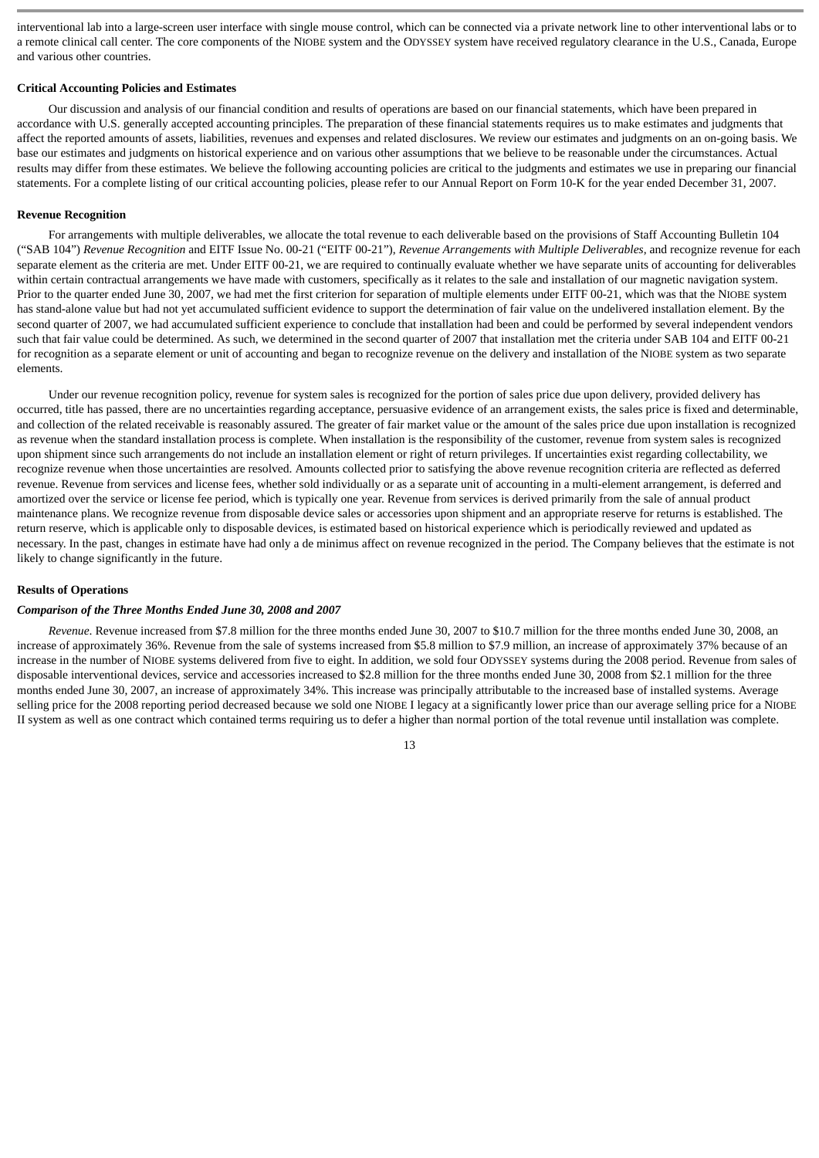interventional lab into a large-screen user interface with single mouse control, which can be connected via a private network line to other interventional labs or to a remote clinical call center. The core components of the NIOBE system and the ODYSSEY system have received regulatory clearance in the U.S., Canada, Europe and various other countries.

#### **Critical Accounting Policies and Estimates**

Our discussion and analysis of our financial condition and results of operations are based on our financial statements, which have been prepared in accordance with U.S. generally accepted accounting principles. The preparation of these financial statements requires us to make estimates and judgments that affect the reported amounts of assets, liabilities, revenues and expenses and related disclosures. We review our estimates and judgments on an on-going basis. We base our estimates and judgments on historical experience and on various other assumptions that we believe to be reasonable under the circumstances. Actual results may differ from these estimates. We believe the following accounting policies are critical to the judgments and estimates we use in preparing our financial statements. For a complete listing of our critical accounting policies, please refer to our Annual Report on Form 10-K for the year ended December 31, 2007.

#### **Revenue Recognition**

For arrangements with multiple deliverables, we allocate the total revenue to each deliverable based on the provisions of Staff Accounting Bulletin 104 ("SAB 104") *Revenue Recognition* and EITF Issue No. 00-21 ("EITF 00-21"), *Revenue Arrangements with Multiple Deliverables*, and recognize revenue for each separate element as the criteria are met. Under EITF 00-21, we are required to continually evaluate whether we have separate units of accounting for deliverables within certain contractual arrangements we have made with customers, specifically as it relates to the sale and installation of our magnetic navigation system. Prior to the quarter ended June 30, 2007, we had met the first criterion for separation of multiple elements under EITF 00-21, which was that the NIOBE system has stand-alone value but had not yet accumulated sufficient evidence to support the determination of fair value on the undelivered installation element. By the second quarter of 2007, we had accumulated sufficient experience to conclude that installation had been and could be performed by several independent vendors such that fair value could be determined. As such, we determined in the second quarter of 2007 that installation met the criteria under SAB 104 and EITF 00-21 for recognition as a separate element or unit of accounting and began to recognize revenue on the delivery and installation of the NIOBE system as two separate elements.

Under our revenue recognition policy, revenue for system sales is recognized for the portion of sales price due upon delivery, provided delivery has occurred, title has passed, there are no uncertainties regarding acceptance, persuasive evidence of an arrangement exists, the sales price is fixed and determinable, and collection of the related receivable is reasonably assured. The greater of fair market value or the amount of the sales price due upon installation is recognized as revenue when the standard installation process is complete. When installation is the responsibility of the customer, revenue from system sales is recognized upon shipment since such arrangements do not include an installation element or right of return privileges. If uncertainties exist regarding collectability, we recognize revenue when those uncertainties are resolved. Amounts collected prior to satisfying the above revenue recognition criteria are reflected as deferred revenue. Revenue from services and license fees, whether sold individually or as a separate unit of accounting in a multi-element arrangement, is deferred and amortized over the service or license fee period, which is typically one year. Revenue from services is derived primarily from the sale of annual product maintenance plans. We recognize revenue from disposable device sales or accessories upon shipment and an appropriate reserve for returns is established. The return reserve, which is applicable only to disposable devices, is estimated based on historical experience which is periodically reviewed and updated as necessary. In the past, changes in estimate have had only a de minimus affect on revenue recognized in the period. The Company believes that the estimate is not likely to change significantly in the future.

#### **Results of Operations**

#### *Comparison of the Three Months Ended June 30, 2008 and 2007*

*Revenue*. Revenue increased from \$7.8 million for the three months ended June 30, 2007 to \$10.7 million for the three months ended June 30, 2008, an increase of approximately 36%. Revenue from the sale of systems increased from \$5.8 million to \$7.9 million, an increase of approximately 37% because of an increase in the number of NIOBE systems delivered from five to eight. In addition, we sold four ODYSSEY systems during the 2008 period. Revenue from sales of disposable interventional devices, service and accessories increased to \$2.8 million for the three months ended June 30, 2008 from \$2.1 million for the three months ended June 30, 2007, an increase of approximately 34%. This increase was principally attributable to the increased base of installed systems. Average selling price for the 2008 reporting period decreased because we sold one NIOBE I legacy at a significantly lower price than our average selling price for a NIOBE II system as well as one contract which contained terms requiring us to defer a higher than normal portion of the total revenue until installation was complete.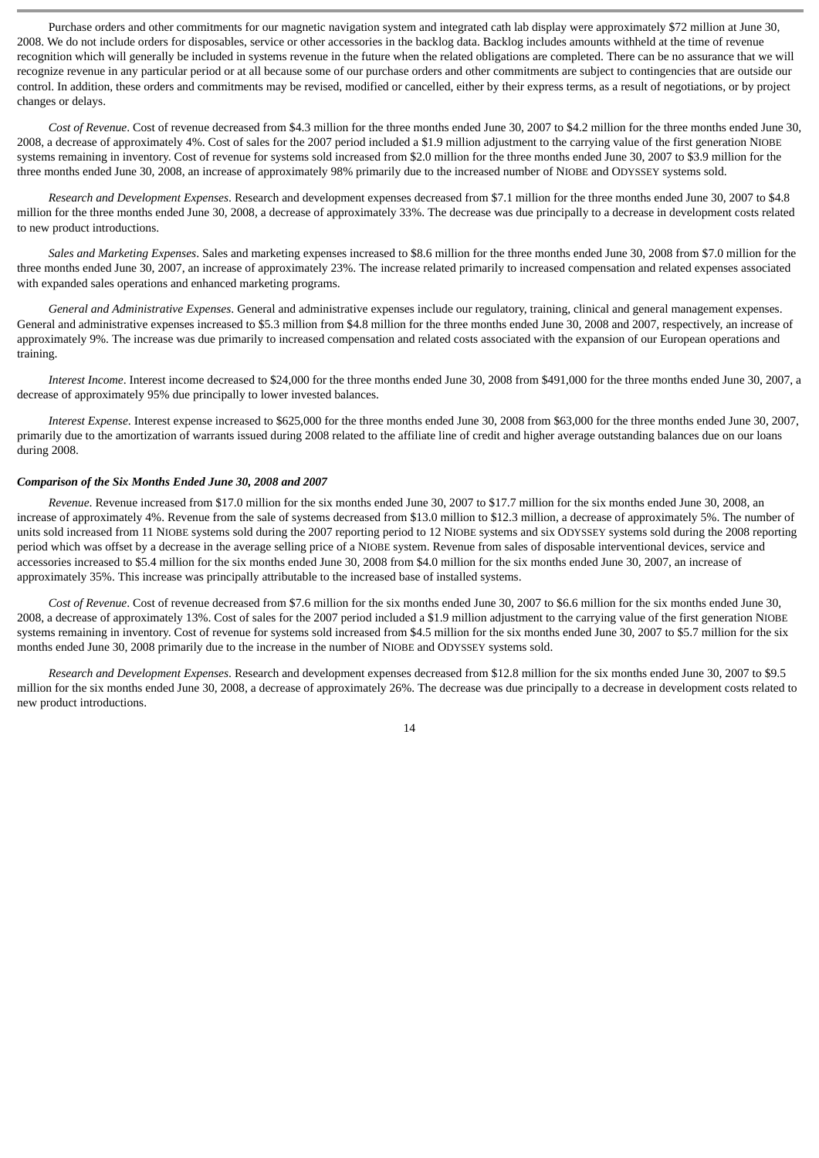Purchase orders and other commitments for our magnetic navigation system and integrated cath lab display were approximately \$72 million at June 30, 2008. We do not include orders for disposables, service or other accessories in the backlog data. Backlog includes amounts withheld at the time of revenue recognition which will generally be included in systems revenue in the future when the related obligations are completed. There can be no assurance that we will recognize revenue in any particular period or at all because some of our purchase orders and other commitments are subject to contingencies that are outside our control. In addition, these orders and commitments may be revised, modified or cancelled, either by their express terms, as a result of negotiations, or by project changes or delays.

*Cost of Revenue*. Cost of revenue decreased from \$4.3 million for the three months ended June 30, 2007 to \$4.2 million for the three months ended June 30, 2008, a decrease of approximately 4%. Cost of sales for the 2007 period included a \$1.9 million adjustment to the carrying value of the first generation NIOBE systems remaining in inventory. Cost of revenue for systems sold increased from \$2.0 million for the three months ended June 30, 2007 to \$3.9 million for the three months ended June 30, 2008, an increase of approximately 98% primarily due to the increased number of NIOBE and ODYSSEY systems sold.

*Research and Development Expenses*. Research and development expenses decreased from \$7.1 million for the three months ended June 30, 2007 to \$4.8 million for the three months ended June 30, 2008, a decrease of approximately 33%. The decrease was due principally to a decrease in development costs related to new product introductions.

*Sales and Marketing Expenses*. Sales and marketing expenses increased to \$8.6 million for the three months ended June 30, 2008 from \$7.0 million for the three months ended June 30, 2007, an increase of approximately 23%. The increase related primarily to increased compensation and related expenses associated with expanded sales operations and enhanced marketing programs.

*General and Administrative Expenses*. General and administrative expenses include our regulatory, training, clinical and general management expenses. General and administrative expenses increased to \$5.3 million from \$4.8 million for the three months ended June 30, 2008 and 2007, respectively, an increase of approximately 9%. The increase was due primarily to increased compensation and related costs associated with the expansion of our European operations and training.

*Interest Income*. Interest income decreased to \$24,000 for the three months ended June 30, 2008 from \$491,000 for the three months ended June 30, 2007, a decrease of approximately 95% due principally to lower invested balances.

*Interest Expense*. Interest expense increased to \$625,000 for the three months ended June 30, 2008 from \$63,000 for the three months ended June 30, 2007, primarily due to the amortization of warrants issued during 2008 related to the affiliate line of credit and higher average outstanding balances due on our loans during 2008.

#### *Comparison of the Six Months Ended June 30, 2008 and 2007*

*Revenue*. Revenue increased from \$17.0 million for the six months ended June 30, 2007 to \$17.7 million for the six months ended June 30, 2008, an increase of approximately 4%. Revenue from the sale of systems decreased from \$13.0 million to \$12.3 million, a decrease of approximately 5%. The number of units sold increased from 11 NIOBE systems sold during the 2007 reporting period to 12 NIOBE systems and six ODYSSEY systems sold during the 2008 reporting period which was offset by a decrease in the average selling price of a NIOBE system. Revenue from sales of disposable interventional devices, service and accessories increased to \$5.4 million for the six months ended June 30, 2008 from \$4.0 million for the six months ended June 30, 2007, an increase of approximately 35%. This increase was principally attributable to the increased base of installed systems.

*Cost of Revenue*. Cost of revenue decreased from \$7.6 million for the six months ended June 30, 2007 to \$6.6 million for the six months ended June 30, 2008, a decrease of approximately 13%. Cost of sales for the 2007 period included a \$1.9 million adjustment to the carrying value of the first generation NIOBE systems remaining in inventory. Cost of revenue for systems sold increased from \$4.5 million for the six months ended June 30, 2007 to \$5.7 million for the six months ended June 30, 2008 primarily due to the increase in the number of NIOBE and ODYSSEY systems sold.

*Research and Development Expenses*. Research and development expenses decreased from \$12.8 million for the six months ended June 30, 2007 to \$9.5 million for the six months ended June 30, 2008, a decrease of approximately 26%. The decrease was due principally to a decrease in development costs related to new product introductions.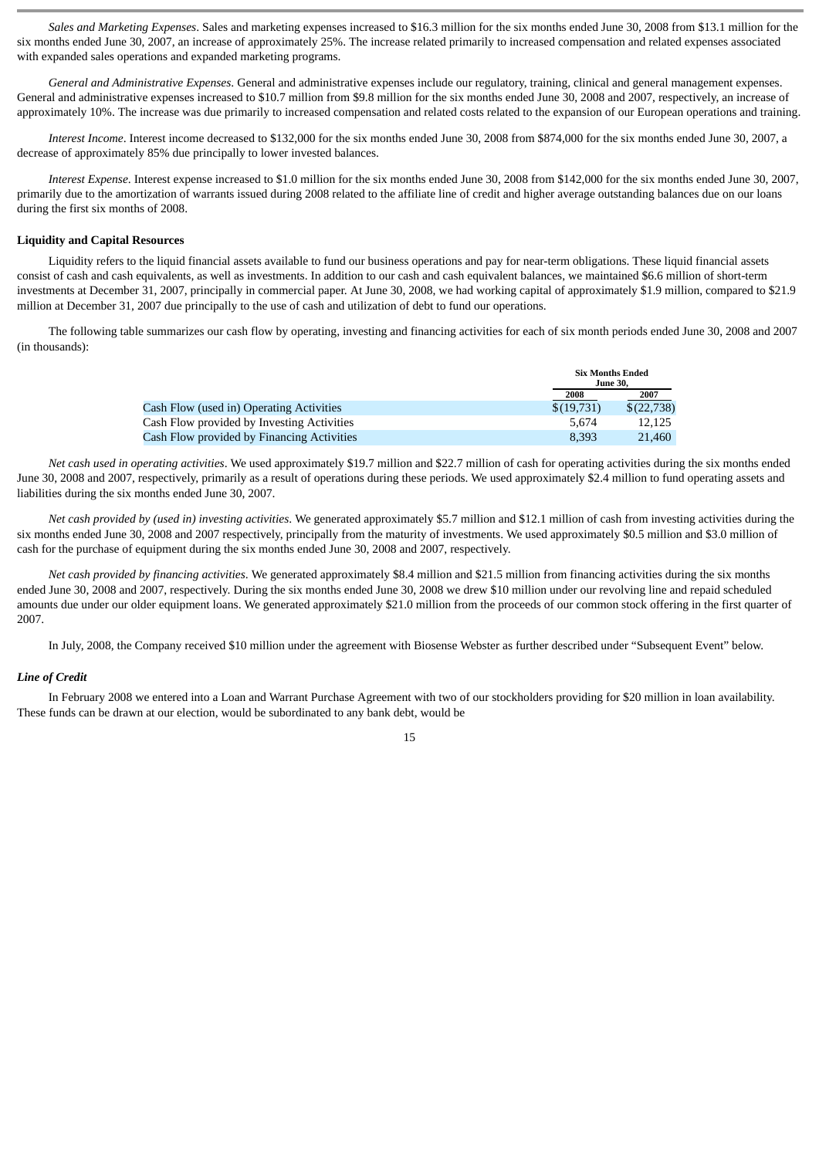*Sales and Marketing Expenses*. Sales and marketing expenses increased to \$16.3 million for the six months ended June 30, 2008 from \$13.1 million for the six months ended June 30, 2007, an increase of approximately 25%. The increase related primarily to increased compensation and related expenses associated with expanded sales operations and expanded marketing programs.

*General and Administrative Expenses*. General and administrative expenses include our regulatory, training, clinical and general management expenses. General and administrative expenses increased to \$10.7 million from \$9.8 million for the six months ended June 30, 2008 and 2007, respectively, an increase of approximately 10%. The increase was due primarily to increased compensation and related costs related to the expansion of our European operations and training.

*Interest Income*. Interest income decreased to \$132,000 for the six months ended June 30, 2008 from \$874,000 for the six months ended June 30, 2007, a decrease of approximately 85% due principally to lower invested balances.

*Interest Expense*. Interest expense increased to \$1.0 million for the six months ended June 30, 2008 from \$142,000 for the six months ended June 30, 2007, primarily due to the amortization of warrants issued during 2008 related to the affiliate line of credit and higher average outstanding balances due on our loans during the first six months of 2008.

#### **Liquidity and Capital Resources**

Liquidity refers to the liquid financial assets available to fund our business operations and pay for near-term obligations. These liquid financial assets consist of cash and cash equivalents, as well as investments. In addition to our cash and cash equivalent balances, we maintained \$6.6 million of short-term investments at December 31, 2007, principally in commercial paper. At June 30, 2008, we had working capital of approximately \$1.9 million, compared to \$21.9 million at December 31, 2007 due principally to the use of cash and utilization of debt to fund our operations.

The following table summarizes our cash flow by operating, investing and financing activities for each of six month periods ended June 30, 2008 and 2007 (in thousands):

|                                            |            | <b>Six Months Ended</b><br><b>June 30.</b> |  |
|--------------------------------------------|------------|--------------------------------------------|--|
|                                            | 2008       | 2007                                       |  |
| Cash Flow (used in) Operating Activities   | \$(19,731) | \$(22,738)                                 |  |
| Cash Flow provided by Investing Activities | 5.674      | 12.125                                     |  |
| Cash Flow provided by Financing Activities | 8.393      | 21,460                                     |  |

*Net cash used in operating activities*. We used approximately \$19.7 million and \$22.7 million of cash for operating activities during the six months ended June 30, 2008 and 2007, respectively, primarily as a result of operations during these periods. We used approximately \$2.4 million to fund operating assets and liabilities during the six months ended June 30, 2007.

*Net cash provided by (used in) investing activities*. We generated approximately \$5.7 million and \$12.1 million of cash from investing activities during the six months ended June 30, 2008 and 2007 respectively, principally from the maturity of investments. We used approximately \$0.5 million and \$3.0 million of cash for the purchase of equipment during the six months ended June 30, 2008 and 2007, respectively.

*Net cash provided by financing activities*. We generated approximately \$8.4 million and \$21.5 million from financing activities during the six months ended June 30, 2008 and 2007, respectively. During the six months ended June 30, 2008 we drew \$10 million under our revolving line and repaid scheduled amounts due under our older equipment loans. We generated approximately \$21.0 million from the proceeds of our common stock offering in the first quarter of 2007.

In July, 2008, the Company received \$10 million under the agreement with Biosense Webster as further described under "Subsequent Event" below.

#### *Line of Credit*

In February 2008 we entered into a Loan and Warrant Purchase Agreement with two of our stockholders providing for \$20 million in loan availability. These funds can be drawn at our election, would be subordinated to any bank debt, would be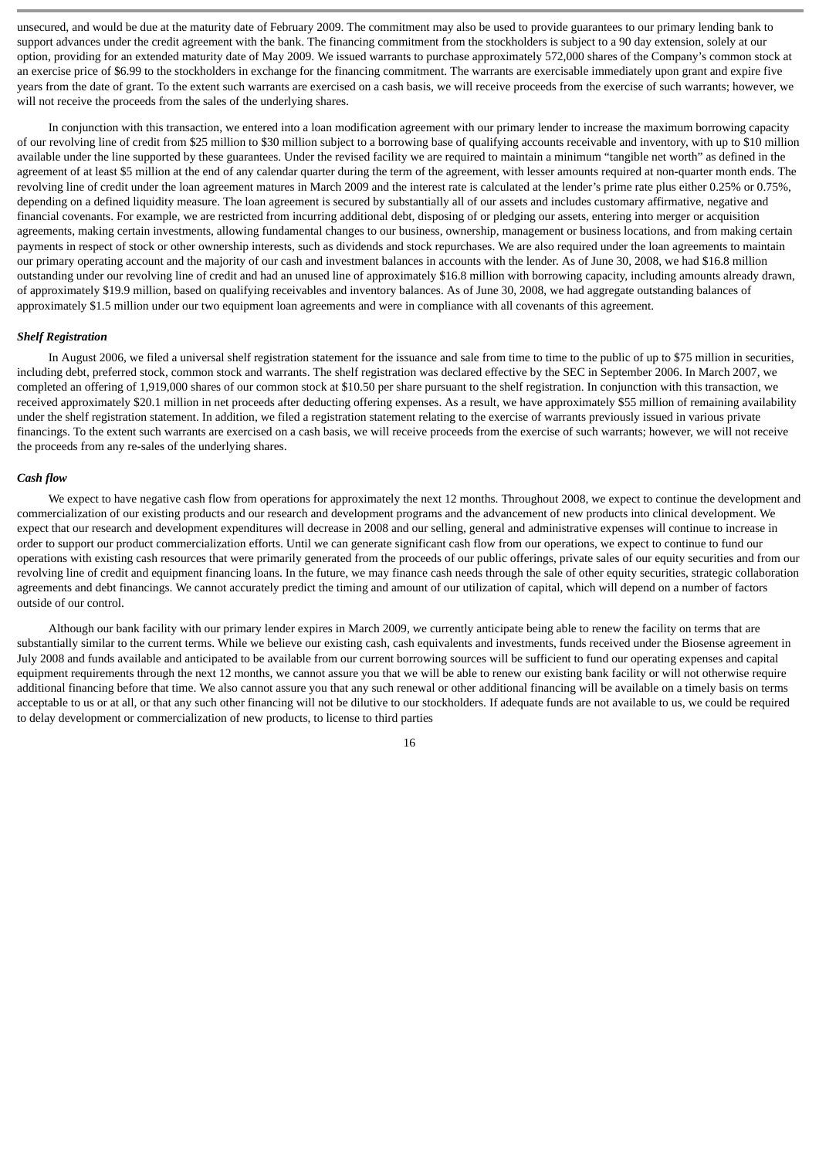unsecured, and would be due at the maturity date of February 2009. The commitment may also be used to provide guarantees to our primary lending bank to support advances under the credit agreement with the bank. The financing commitment from the stockholders is subject to a 90 day extension, solely at our option, providing for an extended maturity date of May 2009. We issued warrants to purchase approximately 572,000 shares of the Company's common stock at an exercise price of \$6.99 to the stockholders in exchange for the financing commitment. The warrants are exercisable immediately upon grant and expire five years from the date of grant. To the extent such warrants are exercised on a cash basis, we will receive proceeds from the exercise of such warrants; however, we will not receive the proceeds from the sales of the underlying shares.

In conjunction with this transaction, we entered into a loan modification agreement with our primary lender to increase the maximum borrowing capacity of our revolving line of credit from \$25 million to \$30 million subject to a borrowing base of qualifying accounts receivable and inventory, with up to \$10 million available under the line supported by these guarantees. Under the revised facility we are required to maintain a minimum "tangible net worth" as defined in the agreement of at least \$5 million at the end of any calendar quarter during the term of the agreement, with lesser amounts required at non-quarter month ends. The revolving line of credit under the loan agreement matures in March 2009 and the interest rate is calculated at the lender's prime rate plus either 0.25% or 0.75%, depending on a defined liquidity measure. The loan agreement is secured by substantially all of our assets and includes customary affirmative, negative and financial covenants. For example, we are restricted from incurring additional debt, disposing of or pledging our assets, entering into merger or acquisition agreements, making certain investments, allowing fundamental changes to our business, ownership, management or business locations, and from making certain payments in respect of stock or other ownership interests, such as dividends and stock repurchases. We are also required under the loan agreements to maintain our primary operating account and the majority of our cash and investment balances in accounts with the lender. As of June 30, 2008, we had \$16.8 million outstanding under our revolving line of credit and had an unused line of approximately \$16.8 million with borrowing capacity, including amounts already drawn, of approximately \$19.9 million, based on qualifying receivables and inventory balances. As of June 30, 2008, we had aggregate outstanding balances of approximately \$1.5 million under our two equipment loan agreements and were in compliance with all covenants of this agreement.

#### *Shelf Registration*

In August 2006, we filed a universal shelf registration statement for the issuance and sale from time to time to the public of up to \$75 million in securities, including debt, preferred stock, common stock and warrants. The shelf registration was declared effective by the SEC in September 2006. In March 2007, we completed an offering of 1,919,000 shares of our common stock at \$10.50 per share pursuant to the shelf registration. In conjunction with this transaction, we received approximately \$20.1 million in net proceeds after deducting offering expenses. As a result, we have approximately \$55 million of remaining availability under the shelf registration statement. In addition, we filed a registration statement relating to the exercise of warrants previously issued in various private financings. To the extent such warrants are exercised on a cash basis, we will receive proceeds from the exercise of such warrants; however, we will not receive the proceeds from any re-sales of the underlying shares.

#### *Cash flow*

We expect to have negative cash flow from operations for approximately the next 12 months. Throughout 2008, we expect to continue the development and commercialization of our existing products and our research and development programs and the advancement of new products into clinical development. We expect that our research and development expenditures will decrease in 2008 and our selling, general and administrative expenses will continue to increase in order to support our product commercialization efforts. Until we can generate significant cash flow from our operations, we expect to continue to fund our operations with existing cash resources that were primarily generated from the proceeds of our public offerings, private sales of our equity securities and from our revolving line of credit and equipment financing loans. In the future, we may finance cash needs through the sale of other equity securities, strategic collaboration agreements and debt financings. We cannot accurately predict the timing and amount of our utilization of capital, which will depend on a number of factors outside of our control.

Although our bank facility with our primary lender expires in March 2009, we currently anticipate being able to renew the facility on terms that are substantially similar to the current terms. While we believe our existing cash, cash equivalents and investments, funds received under the Biosense agreement in July 2008 and funds available and anticipated to be available from our current borrowing sources will be sufficient to fund our operating expenses and capital equipment requirements through the next 12 months, we cannot assure you that we will be able to renew our existing bank facility or will not otherwise require additional financing before that time. We also cannot assure you that any such renewal or other additional financing will be available on a timely basis on terms acceptable to us or at all, or that any such other financing will not be dilutive to our stockholders. If adequate funds are not available to us, we could be required to delay development or commercialization of new products, to license to third parties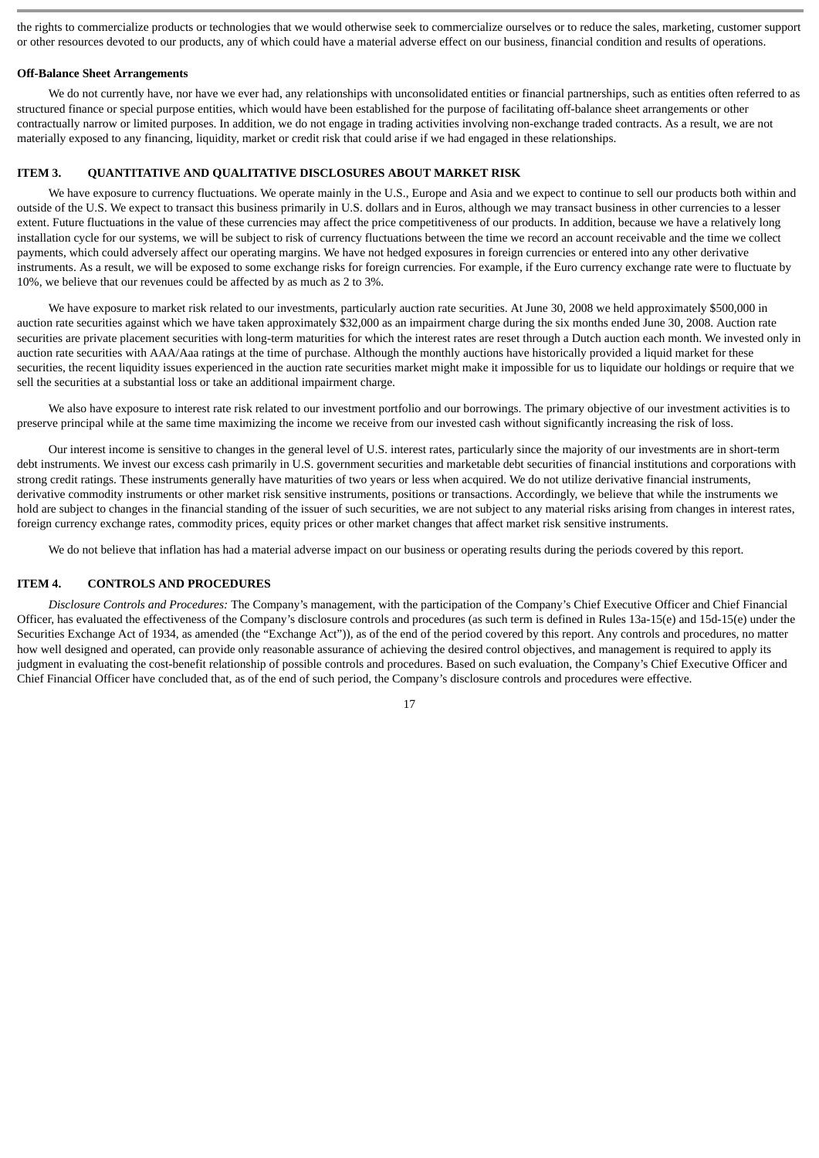the rights to commercialize products or technologies that we would otherwise seek to commercialize ourselves or to reduce the sales, marketing, customer support or other resources devoted to our products, any of which could have a material adverse effect on our business, financial condition and results of operations.

#### **Off-Balance Sheet Arrangements**

We do not currently have, nor have we ever had, any relationships with unconsolidated entities or financial partnerships, such as entities often referred to as structured finance or special purpose entities, which would have been established for the purpose of facilitating off-balance sheet arrangements or other contractually narrow or limited purposes. In addition, we do not engage in trading activities involving non-exchange traded contracts. As a result, we are not materially exposed to any financing, liquidity, market or credit risk that could arise if we had engaged in these relationships.

# <span id="page-16-0"></span>**ITEM 3. QUANTITATIVE AND QUALITATIVE DISCLOSURES ABOUT MARKET RISK**

We have exposure to currency fluctuations. We operate mainly in the U.S., Europe and Asia and we expect to continue to sell our products both within and outside of the U.S. We expect to transact this business primarily in U.S. dollars and in Euros, although we may transact business in other currencies to a lesser extent. Future fluctuations in the value of these currencies may affect the price competitiveness of our products. In addition, because we have a relatively long installation cycle for our systems, we will be subject to risk of currency fluctuations between the time we record an account receivable and the time we collect payments, which could adversely affect our operating margins. We have not hedged exposures in foreign currencies or entered into any other derivative instruments. As a result, we will be exposed to some exchange risks for foreign currencies. For example, if the Euro currency exchange rate were to fluctuate by 10%, we believe that our revenues could be affected by as much as 2 to 3%.

We have exposure to market risk related to our investments, particularly auction rate securities. At June 30, 2008 we held approximately \$500,000 in auction rate securities against which we have taken approximately \$32,000 as an impairment charge during the six months ended June 30, 2008. Auction rate securities are private placement securities with long-term maturities for which the interest rates are reset through a Dutch auction each month. We invested only in auction rate securities with AAA/Aaa ratings at the time of purchase. Although the monthly auctions have historically provided a liquid market for these securities, the recent liquidity issues experienced in the auction rate securities market might make it impossible for us to liquidate our holdings or require that we sell the securities at a substantial loss or take an additional impairment charge.

We also have exposure to interest rate risk related to our investment portfolio and our borrowings. The primary objective of our investment activities is to preserve principal while at the same time maximizing the income we receive from our invested cash without significantly increasing the risk of loss.

Our interest income is sensitive to changes in the general level of U.S. interest rates, particularly since the majority of our investments are in short-term debt instruments. We invest our excess cash primarily in U.S. government securities and marketable debt securities of financial institutions and corporations with strong credit ratings. These instruments generally have maturities of two years or less when acquired. We do not utilize derivative financial instruments, derivative commodity instruments or other market risk sensitive instruments, positions or transactions. Accordingly, we believe that while the instruments we hold are subject to changes in the financial standing of the issuer of such securities, we are not subject to any material risks arising from changes in interest rates, foreign currency exchange rates, commodity prices, equity prices or other market changes that affect market risk sensitive instruments.

We do not believe that inflation has had a material adverse impact on our business or operating results during the periods covered by this report.

#### <span id="page-16-1"></span>**ITEM 4. CONTROLS AND PROCEDURES**

*Disclosure Controls and Procedures:* The Company's management, with the participation of the Company's Chief Executive Officer and Chief Financial Officer, has evaluated the effectiveness of the Company's disclosure controls and procedures (as such term is defined in Rules 13a-15(e) and 15d-15(e) under the Securities Exchange Act of 1934, as amended (the "Exchange Act")), as of the end of the period covered by this report. Any controls and procedures, no matter how well designed and operated, can provide only reasonable assurance of achieving the desired control objectives, and management is required to apply its judgment in evaluating the cost-benefit relationship of possible controls and procedures. Based on such evaluation, the Company's Chief Executive Officer and Chief Financial Officer have concluded that, as of the end of such period, the Company's disclosure controls and procedures were effective.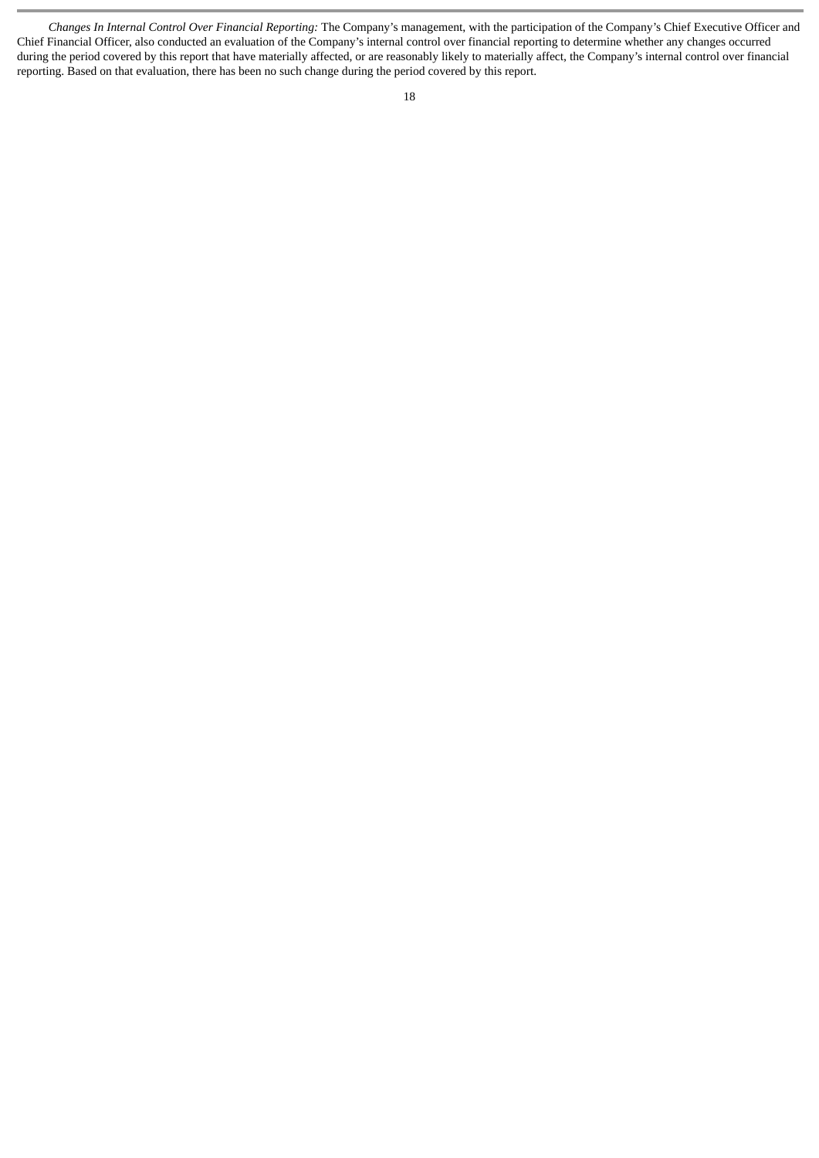*Changes In Internal Control Over Financial Reporting:* The Company's management, with the participation of the Company's Chief Executive Officer and Chief Financial Officer, also conducted an evaluation of the Company's internal control over financial reporting to determine whether any changes occurred during the period covered by this report that have materially affected, or are reasonably likely to materially affect, the Company's internal control over financial reporting. Based on that evaluation, there has been no such change during the period covered by this report.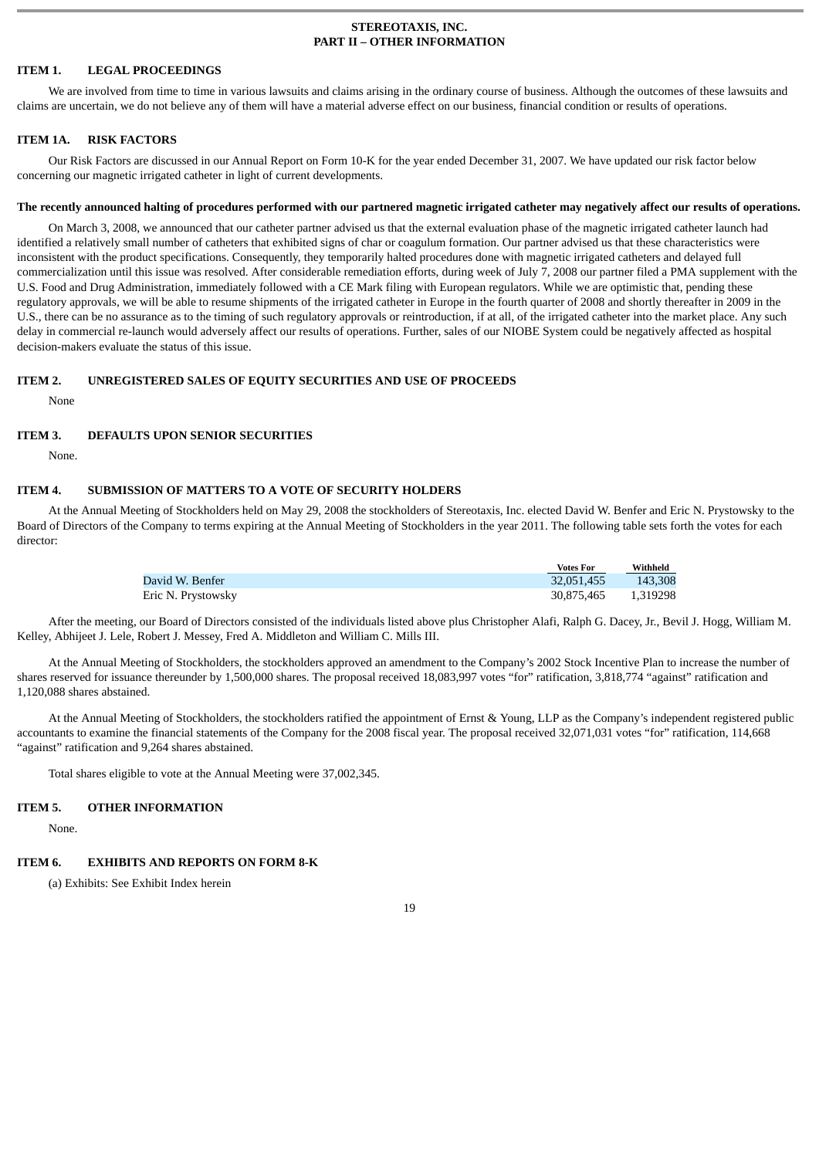#### **STEREOTAXIS, INC. PART II – OTHER INFORMATION**

#### <span id="page-18-1"></span><span id="page-18-0"></span>**ITEM 1. LEGAL PROCEEDINGS**

We are involved from time to time in various lawsuits and claims arising in the ordinary course of business. Although the outcomes of these lawsuits and claims are uncertain, we do not believe any of them will have a material adverse effect on our business, financial condition or results of operations.

#### <span id="page-18-2"></span>**ITEM 1A. RISK FACTORS**

Our Risk Factors are discussed in our Annual Report on Form 10-K for the year ended December 31, 2007. We have updated our risk factor below concerning our magnetic irrigated catheter in light of current developments.

#### **The recently announced halting of procedures performed with our partnered magnetic irrigated catheter may negatively affect our results of operations.**

On March 3, 2008, we announced that our catheter partner advised us that the external evaluation phase of the magnetic irrigated catheter launch had identified a relatively small number of catheters that exhibited signs of char or coagulum formation. Our partner advised us that these characteristics were inconsistent with the product specifications. Consequently, they temporarily halted procedures done with magnetic irrigated catheters and delayed full commercialization until this issue was resolved. After considerable remediation efforts, during week of July 7, 2008 our partner filed a PMA supplement with the U.S. Food and Drug Administration, immediately followed with a CE Mark filing with European regulators. While we are optimistic that, pending these regulatory approvals, we will be able to resume shipments of the irrigated catheter in Europe in the fourth quarter of 2008 and shortly thereafter in 2009 in the U.S., there can be no assurance as to the timing of such regulatory approvals or reintroduction, if at all, of the irrigated catheter into the market place. Any such delay in commercial re-launch would adversely affect our results of operations. Further, sales of our NIOBE System could be negatively affected as hospital decision-makers evaluate the status of this issue.

#### <span id="page-18-3"></span>**ITEM 2. UNREGISTERED SALES OF EQUITY SECURITIES AND USE OF PROCEEDS**

None

#### <span id="page-18-4"></span>**ITEM 3. DEFAULTS UPON SENIOR SECURITIES**

None.

# <span id="page-18-5"></span>**ITEM 4. SUBMISSION OF MATTERS TO A VOTE OF SECURITY HOLDERS**

At the Annual Meeting of Stockholders held on May 29, 2008 the stockholders of Stereotaxis, Inc. elected David W. Benfer and Eric N. Prystowsky to the Board of Directors of the Company to terms expiring at the Annual Meeting of Stockholders in the year 2011. The following table sets forth the votes for each director:

|                    | <b>Votes For</b> | Withheld |
|--------------------|------------------|----------|
| David W. Benfer    | 32.051.455       | 143,308  |
| Eric N. Prystowsky | 30,875,465       | 1.319298 |

After the meeting, our Board of Directors consisted of the individuals listed above plus Christopher Alafi, Ralph G. Dacey, Jr., Bevil J. Hogg, William M. Kelley, Abhijeet J. Lele, Robert J. Messey, Fred A. Middleton and William C. Mills III.

At the Annual Meeting of Stockholders, the stockholders approved an amendment to the Company's 2002 Stock Incentive Plan to increase the number of shares reserved for issuance thereunder by 1,500,000 shares. The proposal received 18,083,997 votes "for" ratification, 3,818,774 "against" ratification and 1,120,088 shares abstained.

At the Annual Meeting of Stockholders, the stockholders ratified the appointment of Ernst & Young, LLP as the Company's independent registered public accountants to examine the financial statements of the Company for the 2008 fiscal year. The proposal received 32,071,031 votes "for" ratification, 114,668 "against" ratification and 9,264 shares abstained.

Total shares eligible to vote at the Annual Meeting were 37,002,345.

# <span id="page-18-6"></span>**ITEM 5. OTHER INFORMATION**

None.

#### <span id="page-18-7"></span>**ITEM 6. EXHIBITS AND REPORTS ON FORM 8-K**

(a) Exhibits: See Exhibit Index herein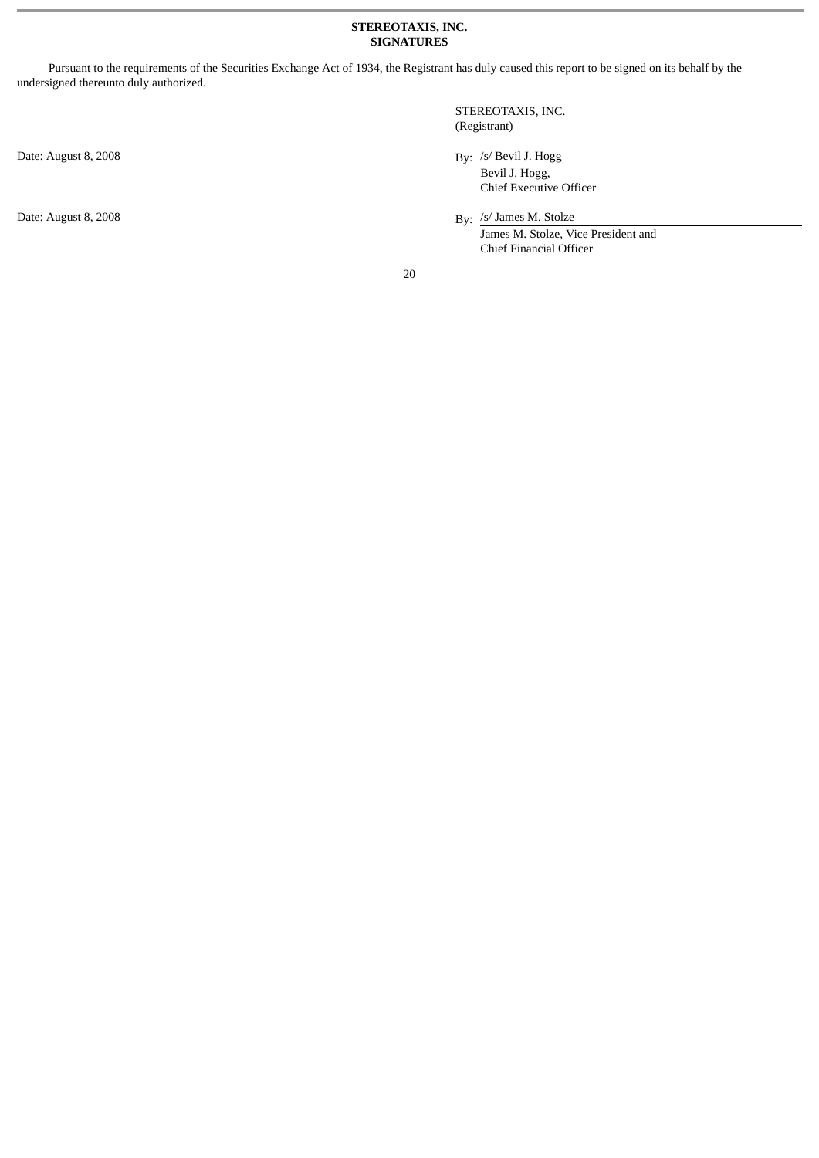# **STEREOTAXIS, INC. SIGNATURES**

<span id="page-19-0"></span>Pursuant to the requirements of the Securities Exchange Act of 1934, the Registrant has duly caused this report to be signed on its behalf by the undersigned thereunto duly authorized.

Date: August 8, 2008 By: /s/ Bevil J. Hogg

STEREOTAXIS, INC. (Registrant)

Bevil J. Hogg, Chief Executive Officer

Date: August 8, 2008 By: /s/ James M. Stolze James M. Stolze, Vice President and Chief Financial Officer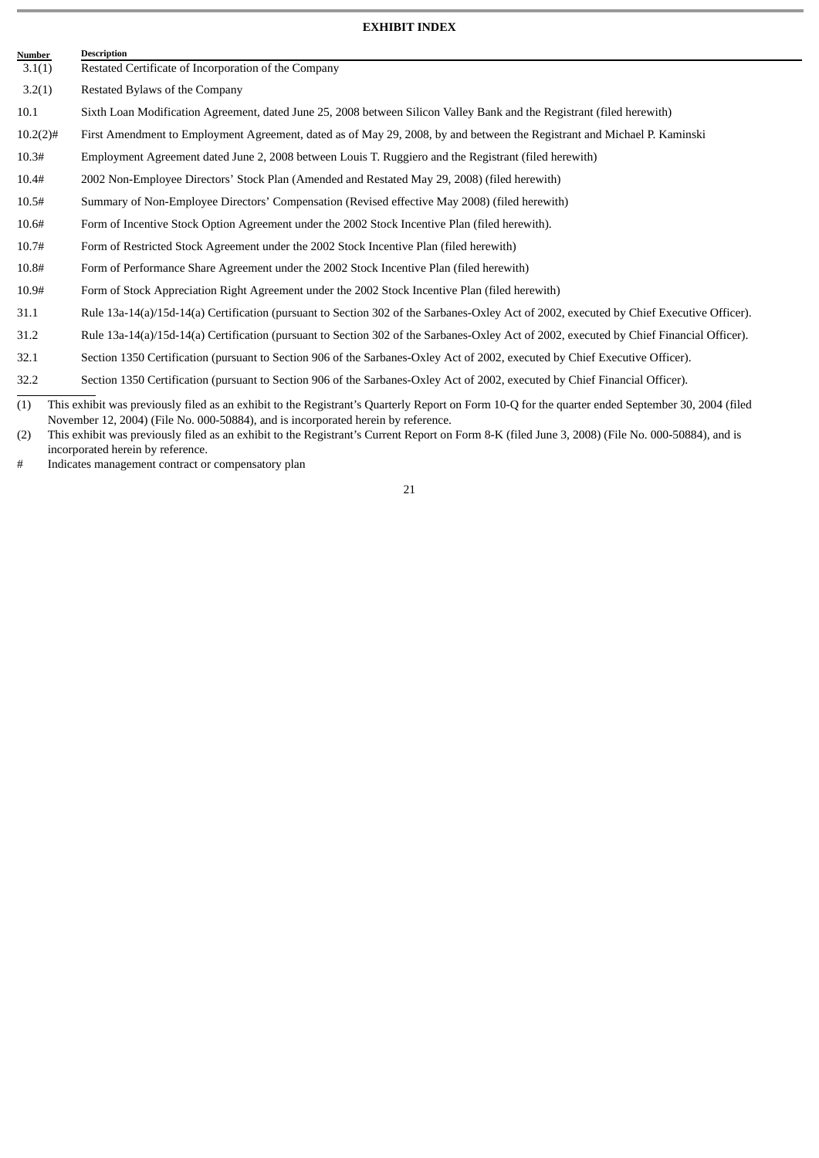# **EXHIBIT INDEX**

<span id="page-20-0"></span>

| Number      | <b>Description</b>                                                                                                                       |
|-------------|------------------------------------------------------------------------------------------------------------------------------------------|
| 3.1(1)      | Restated Certificate of Incorporation of the Company                                                                                     |
| 3.2(1)      | Restated Bylaws of the Company                                                                                                           |
| 10.1        | Sixth Loan Modification Agreement, dated June 25, 2008 between Silicon Valley Bank and the Registrant (filed herewith)                   |
| $10.2(2)$ # | First Amendment to Employment Agreement, dated as of May 29, 2008, by and between the Registrant and Michael P. Kaminski                 |
| 10.3#       | Employment Agreement dated June 2, 2008 between Louis T. Ruggiero and the Registrant (filed herewith)                                    |
| 10.4#       | 2002 Non-Employee Directors' Stock Plan (Amended and Restated May 29, 2008) (filed herewith)                                             |
| 10.5#       | Summary of Non-Employee Directors' Compensation (Revised effective May 2008) (filed herewith)                                            |
| 10.6#       | Form of Incentive Stock Option Agreement under the 2002 Stock Incentive Plan (filed herewith).                                           |
| 10.7#       | Form of Restricted Stock Agreement under the 2002 Stock Incentive Plan (filed herewith)                                                  |
| 10.8#       | Form of Performance Share Agreement under the 2002 Stock Incentive Plan (filed herewith)                                                 |
| 10.9#       | Form of Stock Appreciation Right Agreement under the 2002 Stock Incentive Plan (filed herewith)                                          |
| 31.1        | Rule 13a-14(a)/15d-14(a) Certification (pursuant to Section 302 of the Sarbanes-Oxley Act of 2002, executed by Chief Executive Officer). |
| 31.2        | Rule 13a-14(a)/15d-14(a) Certification (pursuant to Section 302 of the Sarbanes-Oxley Act of 2002, executed by Chief Financial Officer). |
| 32.1        | Section 1350 Certification (pursuant to Section 906 of the Sarbanes-Oxley Act of 2002, executed by Chief Executive Officer).             |
| 32.2        | Section 1350 Certification (pursuant to Section 906 of the Sarbanes-Oxley Act of 2002, executed by Chief Financial Officer).             |
|             |                                                                                                                                          |

<sup>(1)</sup> This exhibit was previously filed as an exhibit to the Registrant's Quarterly Report on Form 10-Q for the quarter ended September 30, 2004 (filed November 12, 2004) (File No. 000-50884), and is incorporated herein by reference.

# Indicates management contract or compensatory plan

<sup>(2)</sup> This exhibit was previously filed as an exhibit to the Registrant's Current Report on Form 8-K (filed June 3, 2008) (File No. 000-50884), and is incorporated herein by reference.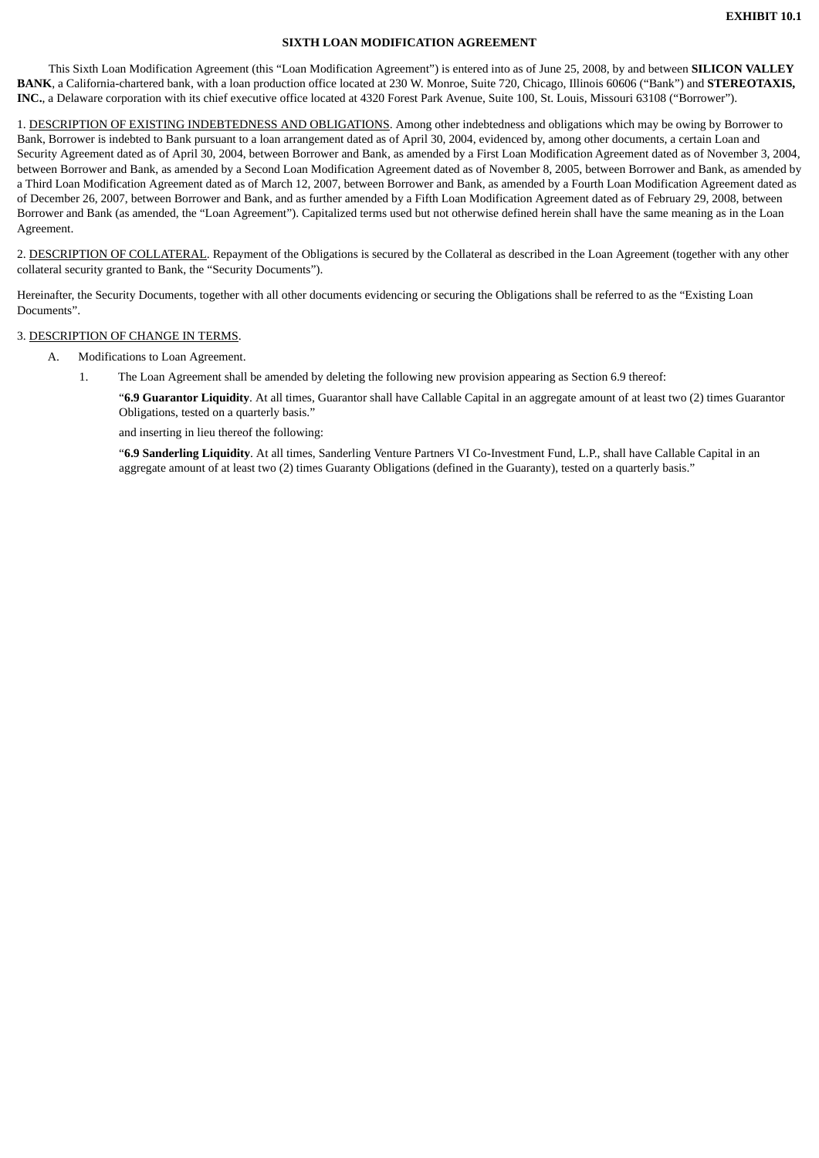# **SIXTH LOAN MODIFICATION AGREEMENT**

This Sixth Loan Modification Agreement (this "Loan Modification Agreement") is entered into as of June 25, 2008, by and between **SILICON VALLEY BANK**, a California-chartered bank, with a loan production office located at 230 W. Monroe, Suite 720, Chicago, Illinois 60606 ("Bank") and **STEREOTAXIS, INC.**, a Delaware corporation with its chief executive office located at 4320 Forest Park Avenue, Suite 100, St. Louis, Missouri 63108 ("Borrower").

1. DESCRIPTION OF EXISTING INDEBTEDNESS AND OBLIGATIONS. Among other indebtedness and obligations which may be owing by Borrower to Bank, Borrower is indebted to Bank pursuant to a loan arrangement dated as of April 30, 2004, evidenced by, among other documents, a certain Loan and Security Agreement dated as of April 30, 2004, between Borrower and Bank, as amended by a First Loan Modification Agreement dated as of November 3, 2004, between Borrower and Bank, as amended by a Second Loan Modification Agreement dated as of November 8, 2005, between Borrower and Bank, as amended by a Third Loan Modification Agreement dated as of March 12, 2007, between Borrower and Bank, as amended by a Fourth Loan Modification Agreement dated as of December 26, 2007, between Borrower and Bank, and as further amended by a Fifth Loan Modification Agreement dated as of February 29, 2008, between Borrower and Bank (as amended, the "Loan Agreement"). Capitalized terms used but not otherwise defined herein shall have the same meaning as in the Loan Agreement.

2. DESCRIPTION OF COLLATERAL. Repayment of the Obligations is secured by the Collateral as described in the Loan Agreement (together with any other collateral security granted to Bank, the "Security Documents").

Hereinafter, the Security Documents, together with all other documents evidencing or securing the Obligations shall be referred to as the "Existing Loan Documents".

# 3. DESCRIPTION OF CHANGE IN TERMS.

- A. Modifications to Loan Agreement.
	- 1. The Loan Agreement shall be amended by deleting the following new provision appearing as Section 6.9 thereof:

"**6.9 Guarantor Liquidity**. At all times, Guarantor shall have Callable Capital in an aggregate amount of at least two (2) times Guarantor Obligations, tested on a quarterly basis."

and inserting in lieu thereof the following:

"**6.9 Sanderling Liquidity**. At all times, Sanderling Venture Partners VI Co-Investment Fund, L.P., shall have Callable Capital in an aggregate amount of at least two (2) times Guaranty Obligations (defined in the Guaranty), tested on a quarterly basis."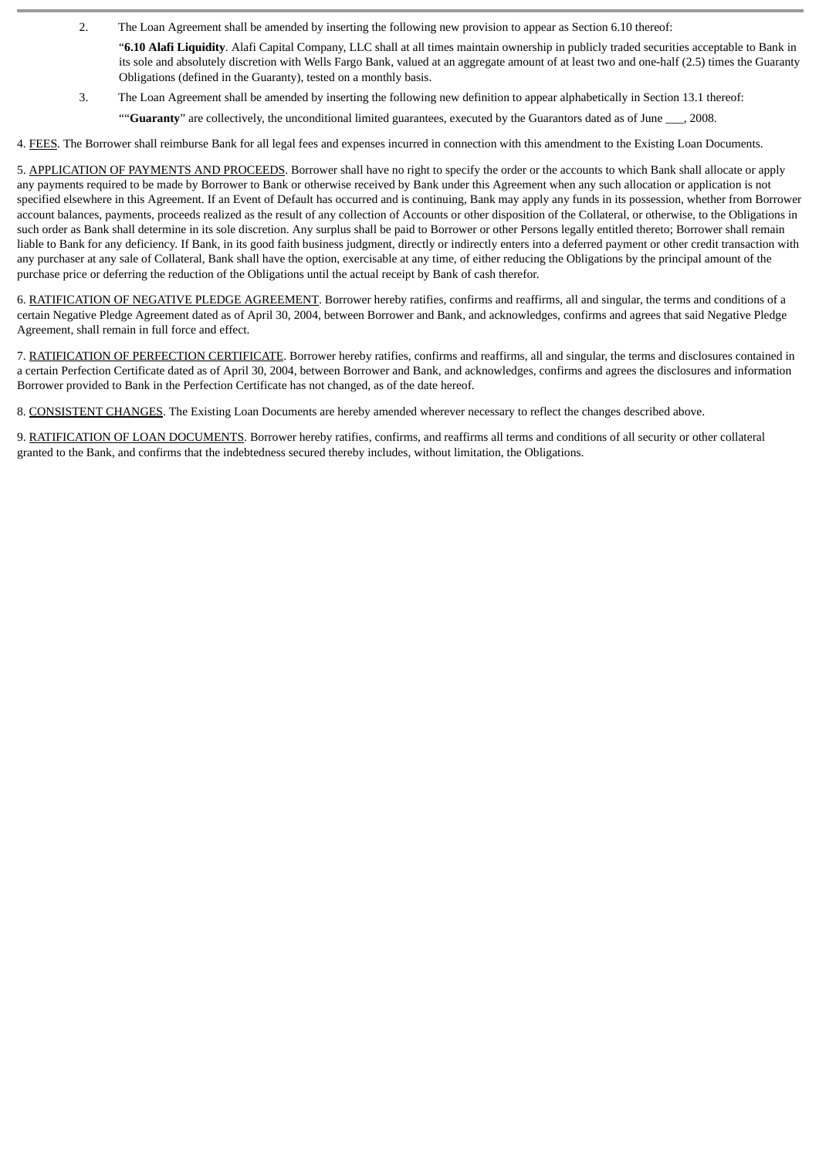- 2. The Loan Agreement shall be amended by inserting the following new provision to appear as Section 6.10 thereof:
	- "**6.10 Alafi Liquidity**. Alafi Capital Company, LLC shall at all times maintain ownership in publicly traded securities acceptable to Bank in its sole and absolutely discretion with Wells Fargo Bank, valued at an aggregate amount of at least two and one-half (2.5) times the Guaranty Obligations (defined in the Guaranty), tested on a monthly basis.
- 3. The Loan Agreement shall be amended by inserting the following new definition to appear alphabetically in Section 13.1 thereof: ""**Guaranty**" are collectively, the unconditional limited guarantees, executed by the Guarantors dated as of June \_\_\_, 2008.

4. FEES. The Borrower shall reimburse Bank for all legal fees and expenses incurred in connection with this amendment to the Existing Loan Documents.

5. APPLICATION OF PAYMENTS AND PROCEEDS. Borrower shall have no right to specify the order or the accounts to which Bank shall allocate or apply any payments required to be made by Borrower to Bank or otherwise received by Bank under this Agreement when any such allocation or application is not specified elsewhere in this Agreement. If an Event of Default has occurred and is continuing, Bank may apply any funds in its possession, whether from Borrower account balances, payments, proceeds realized as the result of any collection of Accounts or other disposition of the Collateral, or otherwise, to the Obligations in such order as Bank shall determine in its sole discretion. Any surplus shall be paid to Borrower or other Persons legally entitled thereto; Borrower shall remain liable to Bank for any deficiency. If Bank, in its good faith business judgment, directly or indirectly enters into a deferred payment or other credit transaction with any purchaser at any sale of Collateral, Bank shall have the option, exercisable at any time, of either reducing the Obligations by the principal amount of the purchase price or deferring the reduction of the Obligations until the actual receipt by Bank of cash therefor.

6. RATIFICATION OF NEGATIVE PLEDGE AGREEMENT. Borrower hereby ratifies, confirms and reaffirms, all and singular, the terms and conditions of a certain Negative Pledge Agreement dated as of April 30, 2004, between Borrower and Bank, and acknowledges, confirms and agrees that said Negative Pledge Agreement, shall remain in full force and effect.

7. RATIFICATION OF PERFECTION CERTIFICATE. Borrower hereby ratifies, confirms and reaffirms, all and singular, the terms and disclosures contained in a certain Perfection Certificate dated as of April 30, 2004, between Borrower and Bank, and acknowledges, confirms and agrees the disclosures and information Borrower provided to Bank in the Perfection Certificate has not changed, as of the date hereof.

8. CONSISTENT CHANGES. The Existing Loan Documents are hereby amended wherever necessary to reflect the changes described above.

9. RATIFICATION OF LOAN DOCUMENTS. Borrower hereby ratifies, confirms, and reaffirms all terms and conditions of all security or other collateral granted to the Bank, and confirms that the indebtedness secured thereby includes, without limitation, the Obligations.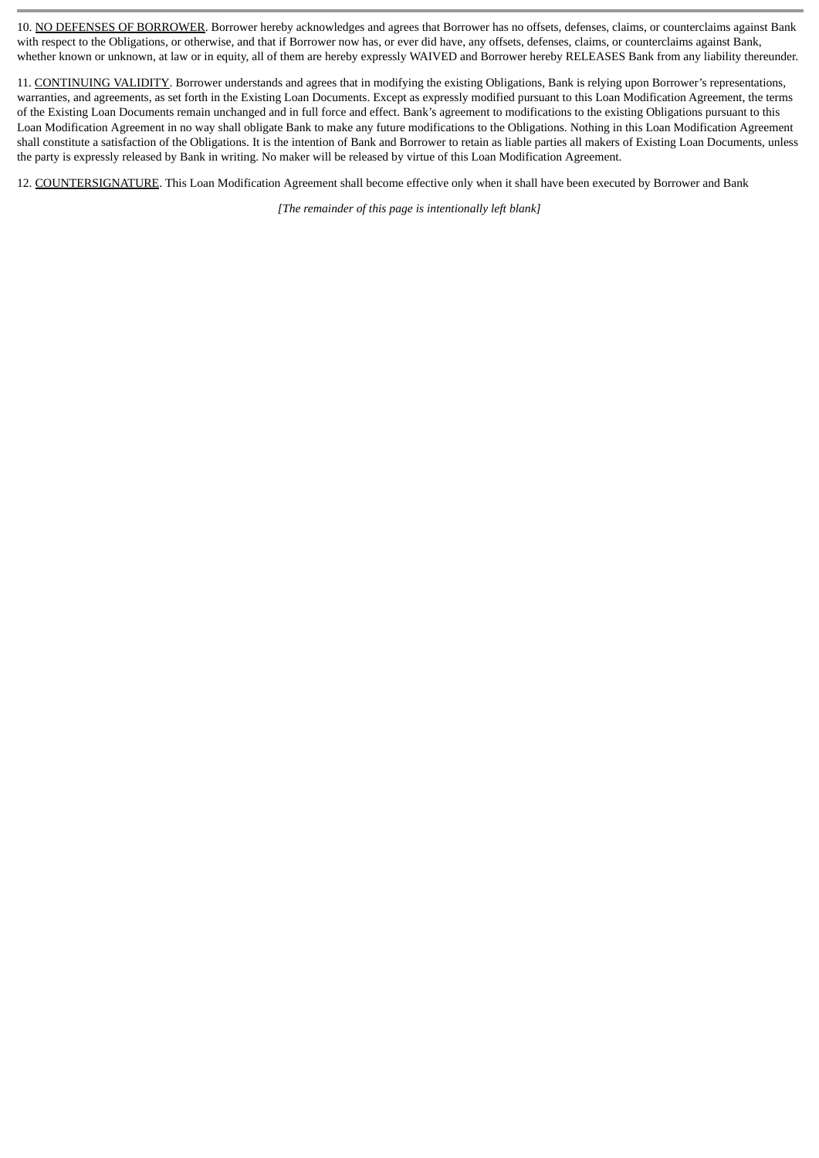10. NO DEFENSES OF BORROWER. Borrower hereby acknowledges and agrees that Borrower has no offsets, defenses, claims, or counterclaims against Bank with respect to the Obligations, or otherwise, and that if Borrower now has, or ever did have, any offsets, defenses, claims, or counterclaims against Bank, whether known or unknown, at law or in equity, all of them are hereby expressly WAIVED and Borrower hereby RELEASES Bank from any liability thereunder.

11. CONTINUING VALIDITY. Borrower understands and agrees that in modifying the existing Obligations, Bank is relying upon Borrower's representations, warranties, and agreements, as set forth in the Existing Loan Documents. Except as expressly modified pursuant to this Loan Modification Agreement, the terms of the Existing Loan Documents remain unchanged and in full force and effect. Bank's agreement to modifications to the existing Obligations pursuant to this Loan Modification Agreement in no way shall obligate Bank to make any future modifications to the Obligations. Nothing in this Loan Modification Agreement shall constitute a satisfaction of the Obligations. It is the intention of Bank and Borrower to retain as liable parties all makers of Existing Loan Documents, unless the party is expressly released by Bank in writing. No maker will be released by virtue of this Loan Modification Agreement.

12. COUNTERSIGNATURE. This Loan Modification Agreement shall become effective only when it shall have been executed by Borrower and Bank

*[The remainder of this page is intentionally left blank]*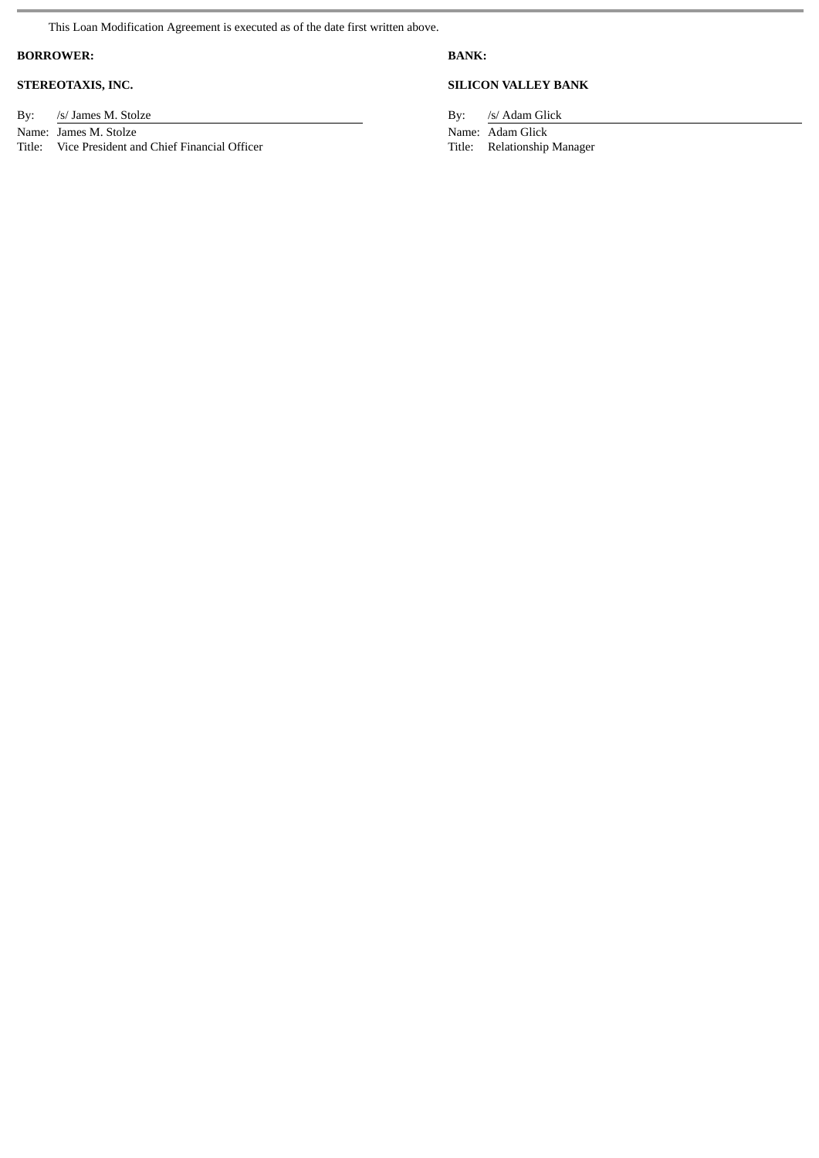This Loan Modification Agreement is executed as of the date first written above.

# **BORROWER: BANK:**

By: /s/ James M. Stolze By: /s/ Adam Glick Name:  $\frac{1}{5}$  James M. Stolze By: /s/ Adam Glick Name:  $\frac{1}{5}$  Adam Glick Name:  $\frac{1}{5}$  Adam Glick Name:  $\frac{1}{5}$  Adam Glick Name:  $\frac{1}{5}$  Adam Glick Name:  $\frac{1}{5}$  Adam

Name: James M. Stolze<br>
Title: Vice President and Chief Financial Officer<br>
Title: Nelationship Manager<br>
Name: Adam Glick<br>
Name: Adam Glick<br>
Name: Adam Glick Vice President and Chief Financial Officer

# **STEREOTAXIS, INC. SILICON VALLEY BANK**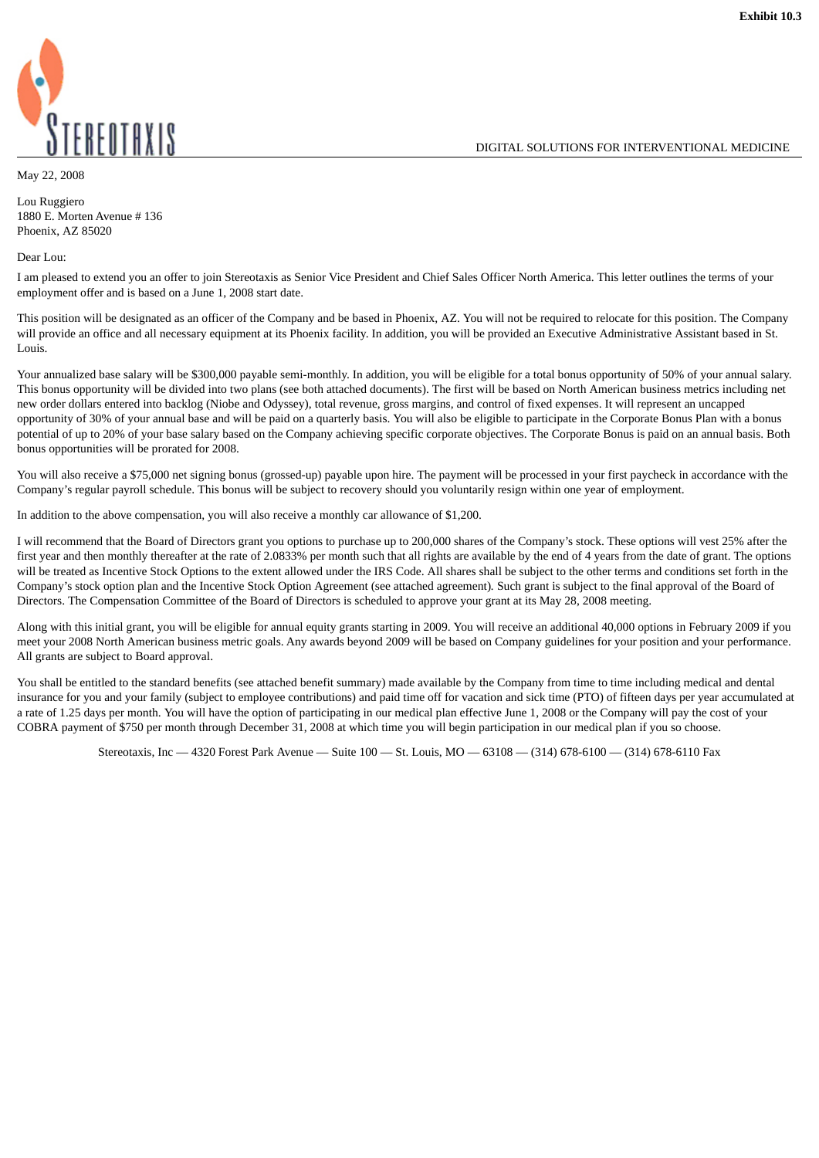DIGITAL SOLUTIONS FOR INTERVENTIONAL MEDICINE



May 22, 2008

Lou Ruggiero 1880 E. Morten Avenue # 136 Phoenix, AZ 85020

Dear Lou:

I am pleased to extend you an offer to join Stereotaxis as Senior Vice President and Chief Sales Officer North America. This letter outlines the terms of your employment offer and is based on a June 1, 2008 start date.

This position will be designated as an officer of the Company and be based in Phoenix, AZ. You will not be required to relocate for this position. The Company will provide an office and all necessary equipment at its Phoenix facility. In addition, you will be provided an Executive Administrative Assistant based in St. Louis.

Your annualized base salary will be \$300,000 payable semi-monthly. In addition, you will be eligible for a total bonus opportunity of 50% of your annual salary. This bonus opportunity will be divided into two plans (see both attached documents). The first will be based on North American business metrics including net new order dollars entered into backlog (Niobe and Odyssey), total revenue, gross margins, and control of fixed expenses. It will represent an uncapped opportunity of 30% of your annual base and will be paid on a quarterly basis. You will also be eligible to participate in the Corporate Bonus Plan with a bonus potential of up to 20% of your base salary based on the Company achieving specific corporate objectives. The Corporate Bonus is paid on an annual basis. Both bonus opportunities will be prorated for 2008.

You will also receive a \$75,000 net signing bonus (grossed-up) payable upon hire. The payment will be processed in your first paycheck in accordance with the Company's regular payroll schedule. This bonus will be subject to recovery should you voluntarily resign within one year of employment.

In addition to the above compensation, you will also receive a monthly car allowance of \$1,200.

I will recommend that the Board of Directors grant you options to purchase up to 200,000 shares of the Company's stock. These options will vest 25% after the first year and then monthly thereafter at the rate of 2.0833% per month such that all rights are available by the end of 4 years from the date of grant. The options will be treated as Incentive Stock Options to the extent allowed under the IRS Code. All shares shall be subject to the other terms and conditions set forth in the Company's stock option plan and the Incentive Stock Option Agreement (see attached agreement)*.* Such grant is subject to the final approval of the Board of Directors. The Compensation Committee of the Board of Directors is scheduled to approve your grant at its May 28, 2008 meeting.

Along with this initial grant, you will be eligible for annual equity grants starting in 2009. You will receive an additional 40,000 options in February 2009 if you meet your 2008 North American business metric goals. Any awards beyond 2009 will be based on Company guidelines for your position and your performance. All grants are subject to Board approval.

You shall be entitled to the standard benefits (see attached benefit summary) made available by the Company from time to time including medical and dental insurance for you and your family (subject to employee contributions) and paid time off for vacation and sick time (PTO) of fifteen days per year accumulated at a rate of 1.25 days per month. You will have the option of participating in our medical plan effective June 1, 2008 or the Company will pay the cost of your COBRA payment of \$750 per month through December 31, 2008 at which time you will begin participation in our medical plan if you so choose.

Stereotaxis, Inc — 4320 Forest Park Avenue — Suite 100 — St. Louis, MO — 63108 — (314) 678-6100 — (314) 678-6110 Fax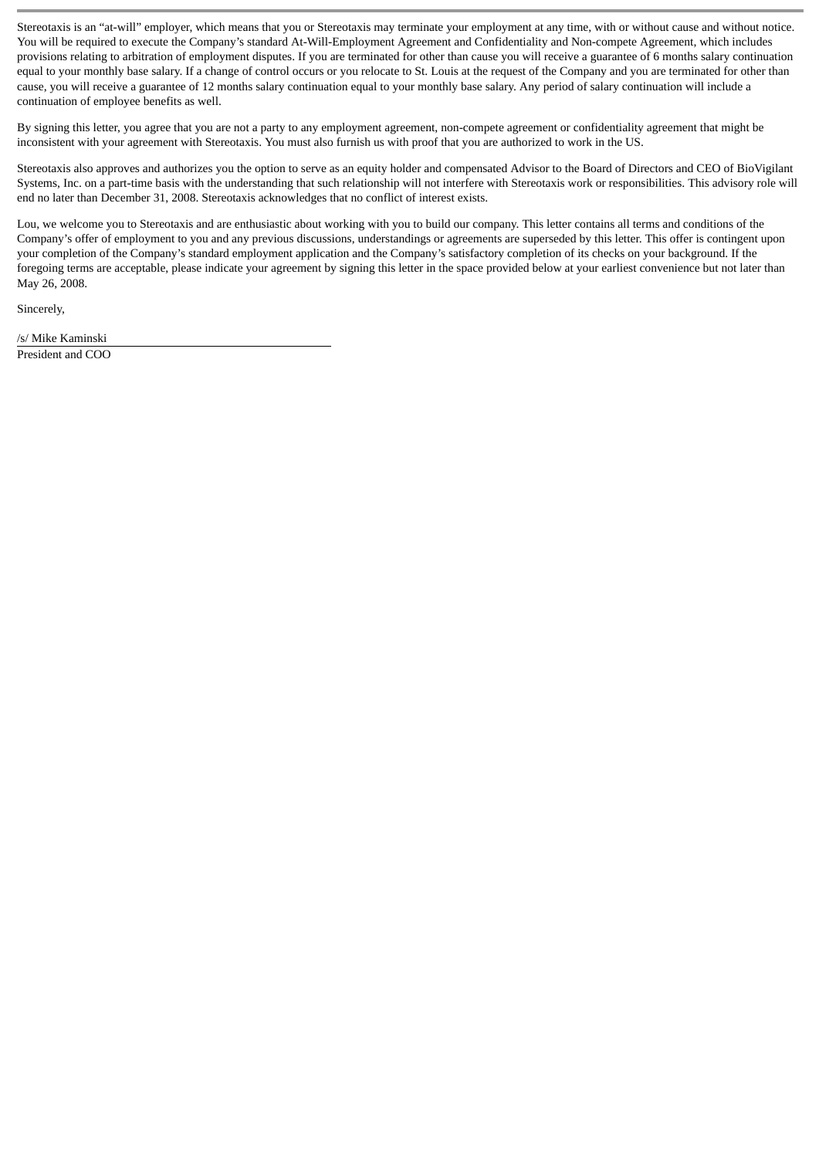Stereotaxis is an "at-will" employer, which means that you or Stereotaxis may terminate your employment at any time, with or without cause and without notice. You will be required to execute the Company's standard At-Will-Employment Agreement and Confidentiality and Non-compete Agreement, which includes provisions relating to arbitration of employment disputes. If you are terminated for other than cause you will receive a guarantee of 6 months salary continuation equal to your monthly base salary. If a change of control occurs or you relocate to St. Louis at the request of the Company and you are terminated for other than cause, you will receive a guarantee of 12 months salary continuation equal to your monthly base salary. Any period of salary continuation will include a continuation of employee benefits as well.

By signing this letter, you agree that you are not a party to any employment agreement, non-compete agreement or confidentiality agreement that might be inconsistent with your agreement with Stereotaxis. You must also furnish us with proof that you are authorized to work in the US.

Stereotaxis also approves and authorizes you the option to serve as an equity holder and compensated Advisor to the Board of Directors and CEO of BioVigilant Systems, Inc. on a part-time basis with the understanding that such relationship will not interfere with Stereotaxis work or responsibilities. This advisory role will end no later than December 31, 2008. Stereotaxis acknowledges that no conflict of interest exists.

Lou, we welcome you to Stereotaxis and are enthusiastic about working with you to build our company. This letter contains all terms and conditions of the Company's offer of employment to you and any previous discussions, understandings or agreements are superseded by this letter. This offer is contingent upon your completion of the Company's standard employment application and the Company's satisfactory completion of its checks on your background. If the foregoing terms are acceptable, please indicate your agreement by signing this letter in the space provided below at your earliest convenience but not later than May 26, 2008.

Sincerely,

/s/ Mike Kaminski President and COO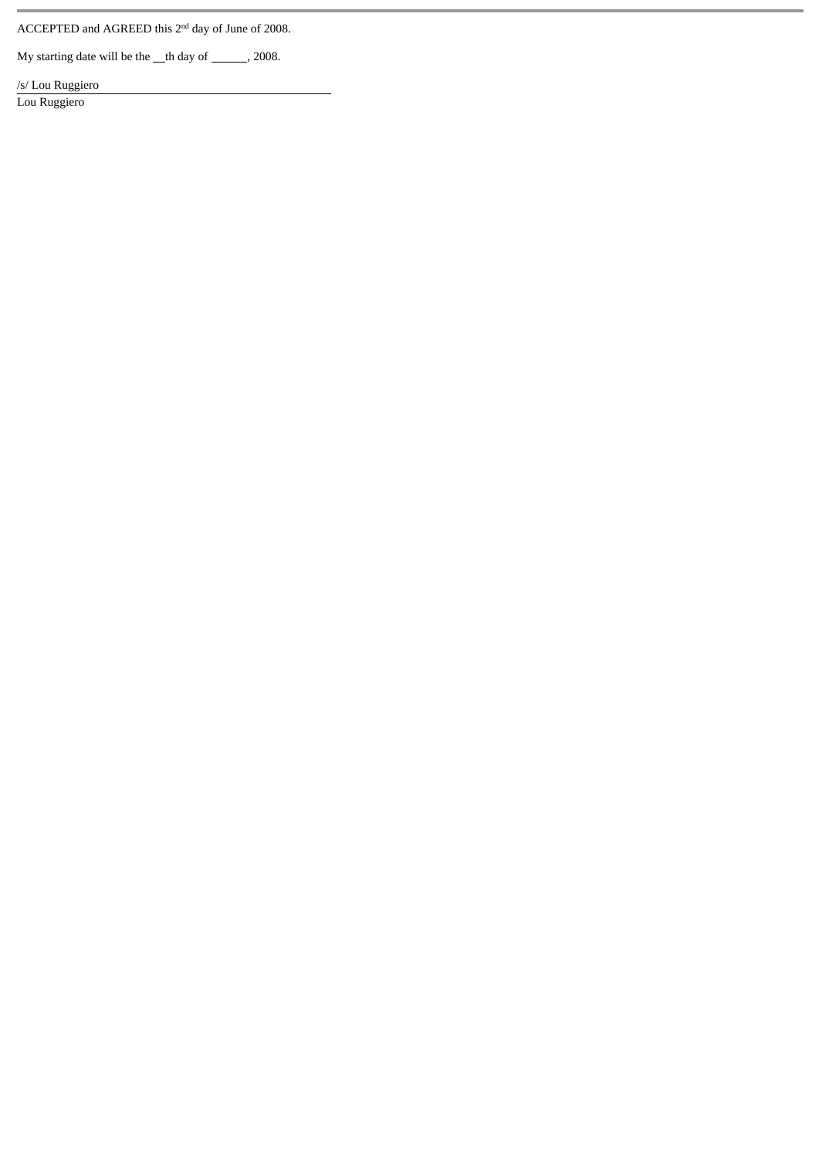ACCEPTED and AGREED this 2<sup>nd</sup> day of June of 2008.

My starting date will be the  $\_\text{th}$  day of  $\_\text{cm}$ , 2008.

/s/ Lou Ruggiero

Lou Ruggiero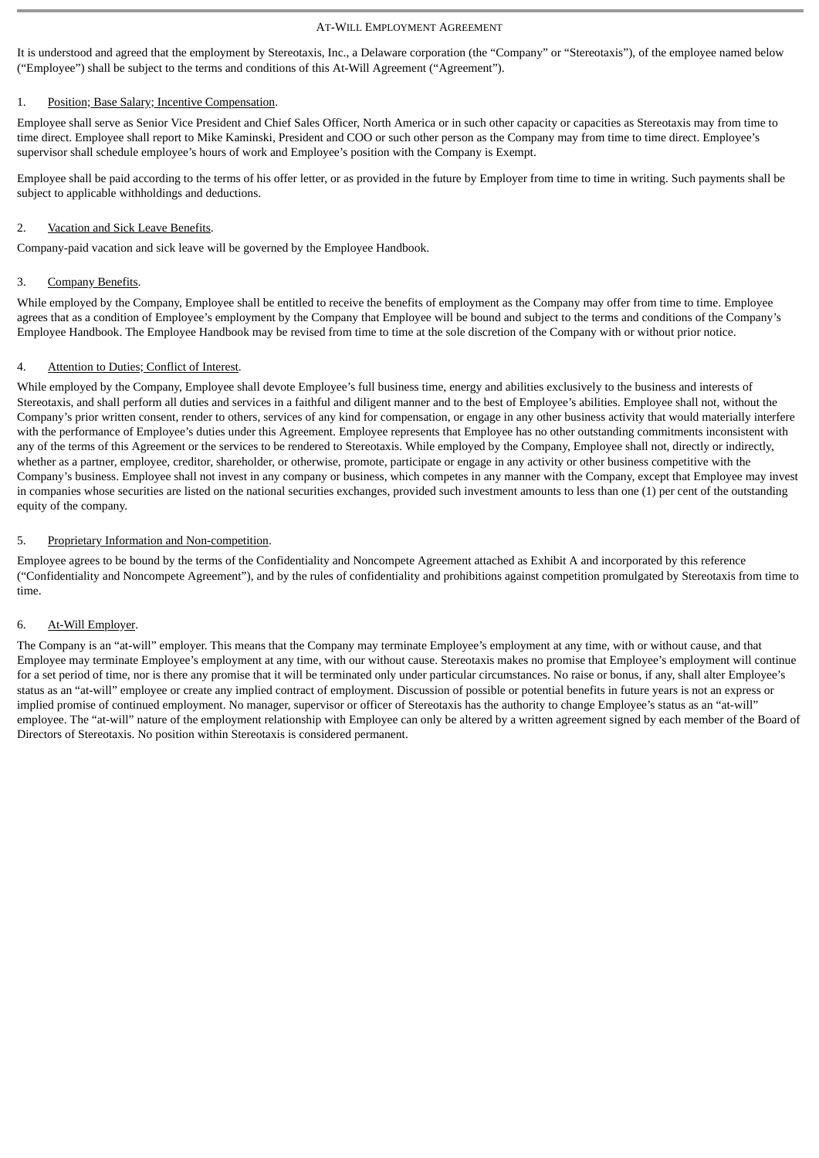#### AT-WILL EMPLOYMENT AGREEMENT

It is understood and agreed that the employment by Stereotaxis, Inc., a Delaware corporation (the "Company" or "Stereotaxis"), of the employee named below ("Employee") shall be subject to the terms and conditions of this At-Will Agreement ("Agreement").

# 1. Position; Base Salary; Incentive Compensation.

Employee shall serve as Senior Vice President and Chief Sales Officer, North America or in such other capacity or capacities as Stereotaxis may from time to time direct. Employee shall report to Mike Kaminski, President and COO or such other person as the Company may from time to time direct. Employee's supervisor shall schedule employee's hours of work and Employee's position with the Company is Exempt.

Employee shall be paid according to the terms of his offer letter, or as provided in the future by Employer from time to time in writing. Such payments shall be subject to applicable withholdings and deductions.

# 2. Vacation and Sick Leave Benefits.

Company-paid vacation and sick leave will be governed by the Employee Handbook.

# 3. Company Benefits.

While employed by the Company, Employee shall be entitled to receive the benefits of employment as the Company may offer from time to time. Employee agrees that as a condition of Employee's employment by the Company that Employee will be bound and subject to the terms and conditions of the Company's Employee Handbook. The Employee Handbook may be revised from time to time at the sole discretion of the Company with or without prior notice.

# 4. Attention to Duties; Conflict of Interest.

While employed by the Company, Employee shall devote Employee's full business time, energy and abilities exclusively to the business and interests of Stereotaxis, and shall perform all duties and services in a faithful and diligent manner and to the best of Employee's abilities. Employee shall not, without the Company's prior written consent, render to others, services of any kind for compensation, or engage in any other business activity that would materially interfere with the performance of Employee's duties under this Agreement. Employee represents that Employee has no other outstanding commitments inconsistent with any of the terms of this Agreement or the services to be rendered to Stereotaxis. While employed by the Company, Employee shall not, directly or indirectly, whether as a partner, employee, creditor, shareholder, or otherwise, promote, participate or engage in any activity or other business competitive with the Company's business. Employee shall not invest in any company or business, which competes in any manner with the Company, except that Employee may invest in companies whose securities are listed on the national securities exchanges, provided such investment amounts to less than one (1) per cent of the outstanding equity of the company.

# 5. Proprietary Information and Non-competition.

Employee agrees to be bound by the terms of the Confidentiality and Noncompete Agreement attached as Exhibit A and incorporated by this reference ("Confidentiality and Noncompete Agreement"), and by the rules of confidentiality and prohibitions against competition promulgated by Stereotaxis from time to time.

# 6. At-Will Employer.

The Company is an "at-will" employer. This means that the Company may terminate Employee's employment at any time, with or without cause, and that Employee may terminate Employee's employment at any time, with our without cause. Stereotaxis makes no promise that Employee's employment will continue for a set period of time, nor is there any promise that it will be terminated only under particular circumstances. No raise or bonus, if any, shall alter Employee's status as an "at-will" employee or create any implied contract of employment. Discussion of possible or potential benefits in future years is not an express or implied promise of continued employment. No manager, supervisor or officer of Stereotaxis has the authority to change Employee's status as an "at-will" employee. The "at-will" nature of the employment relationship with Employee can only be altered by a written agreement signed by each member of the Board of Directors of Stereotaxis. No position within Stereotaxis is considered permanent.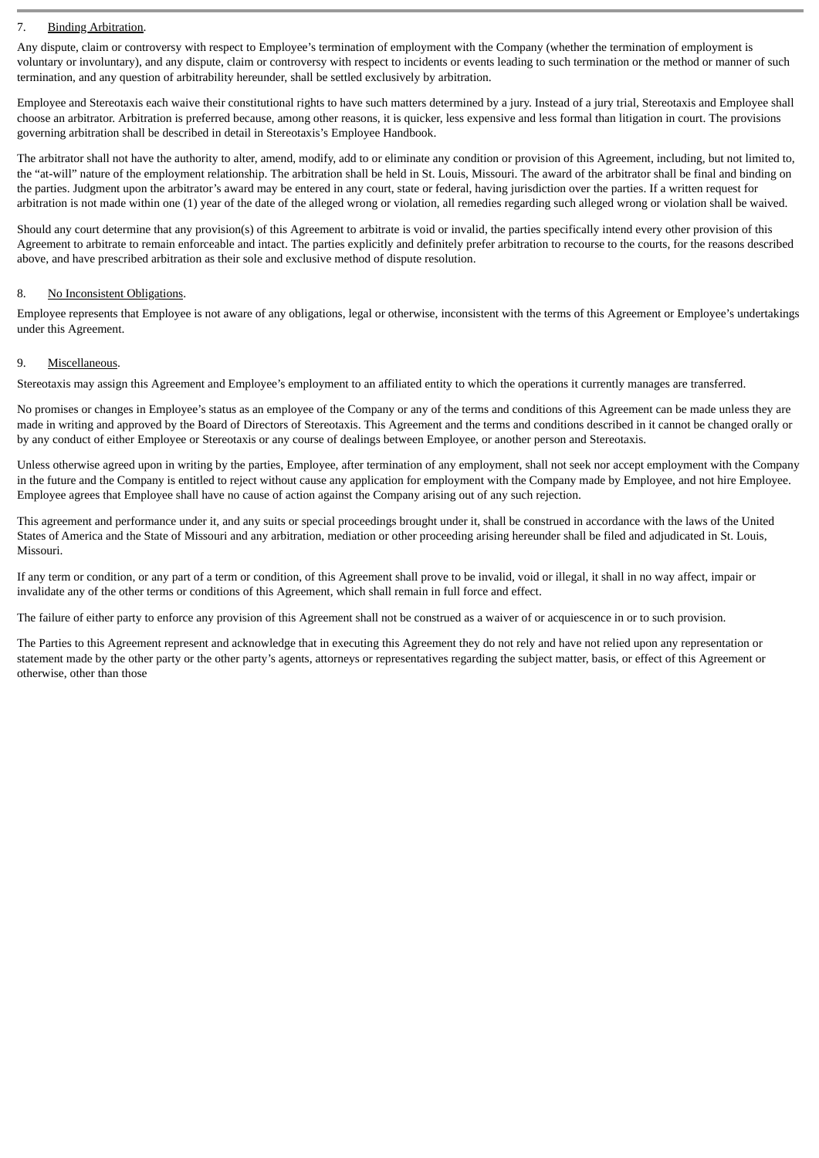# 7. Binding Arbitration.

Any dispute, claim or controversy with respect to Employee's termination of employment with the Company (whether the termination of employment is voluntary or involuntary), and any dispute, claim or controversy with respect to incidents or events leading to such termination or the method or manner of such termination, and any question of arbitrability hereunder, shall be settled exclusively by arbitration.

Employee and Stereotaxis each waive their constitutional rights to have such matters determined by a jury. Instead of a jury trial, Stereotaxis and Employee shall choose an arbitrator. Arbitration is preferred because, among other reasons, it is quicker, less expensive and less formal than litigation in court. The provisions governing arbitration shall be described in detail in Stereotaxis's Employee Handbook.

The arbitrator shall not have the authority to alter, amend, modify, add to or eliminate any condition or provision of this Agreement, including, but not limited to, the "at-will" nature of the employment relationship. The arbitration shall be held in St. Louis, Missouri. The award of the arbitrator shall be final and binding on the parties. Judgment upon the arbitrator's award may be entered in any court, state or federal, having jurisdiction over the parties. If a written request for arbitration is not made within one (1) year of the date of the alleged wrong or violation, all remedies regarding such alleged wrong or violation shall be waived.

Should any court determine that any provision(s) of this Agreement to arbitrate is void or invalid, the parties specifically intend every other provision of this Agreement to arbitrate to remain enforceable and intact. The parties explicitly and definitely prefer arbitration to recourse to the courts, for the reasons described above, and have prescribed arbitration as their sole and exclusive method of dispute resolution.

# 8. No Inconsistent Obligations.

Employee represents that Employee is not aware of any obligations, legal or otherwise, inconsistent with the terms of this Agreement or Employee's undertakings under this Agreement.

# 9. Miscellaneous.

Stereotaxis may assign this Agreement and Employee's employment to an affiliated entity to which the operations it currently manages are transferred.

No promises or changes in Employee's status as an employee of the Company or any of the terms and conditions of this Agreement can be made unless they are made in writing and approved by the Board of Directors of Stereotaxis. This Agreement and the terms and conditions described in it cannot be changed orally or by any conduct of either Employee or Stereotaxis or any course of dealings between Employee, or another person and Stereotaxis.

Unless otherwise agreed upon in writing by the parties, Employee, after termination of any employment, shall not seek nor accept employment with the Company in the future and the Company is entitled to reject without cause any application for employment with the Company made by Employee, and not hire Employee. Employee agrees that Employee shall have no cause of action against the Company arising out of any such rejection.

This agreement and performance under it, and any suits or special proceedings brought under it, shall be construed in accordance with the laws of the United States of America and the State of Missouri and any arbitration, mediation or other proceeding arising hereunder shall be filed and adjudicated in St. Louis, Missouri.

If any term or condition, or any part of a term or condition, of this Agreement shall prove to be invalid, void or illegal, it shall in no way affect, impair or invalidate any of the other terms or conditions of this Agreement, which shall remain in full force and effect.

The failure of either party to enforce any provision of this Agreement shall not be construed as a waiver of or acquiescence in or to such provision.

The Parties to this Agreement represent and acknowledge that in executing this Agreement they do not rely and have not relied upon any representation or statement made by the other party or the other party's agents, attorneys or representatives regarding the subject matter, basis, or effect of this Agreement or otherwise, other than those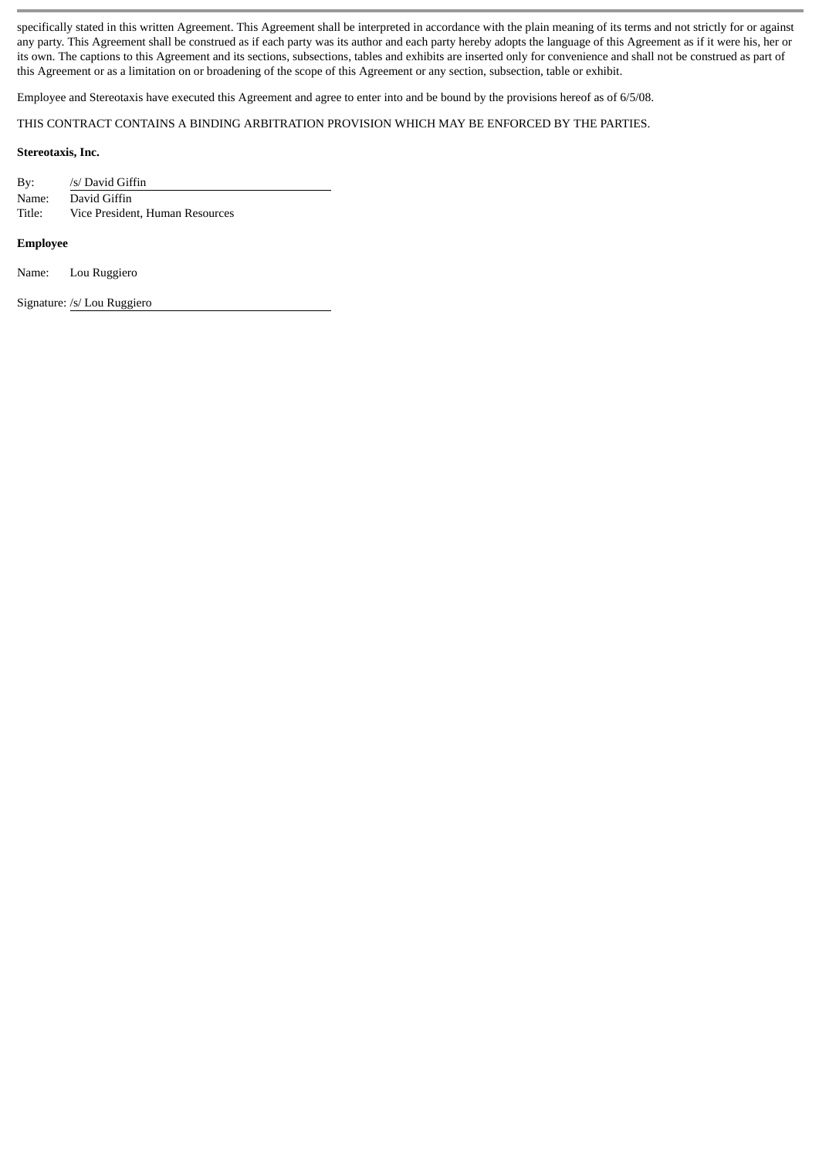specifically stated in this written Agreement. This Agreement shall be interpreted in accordance with the plain meaning of its terms and not strictly for or against any party. This Agreement shall be construed as if each party was its author and each party hereby adopts the language of this Agreement as if it were his, her or its own. The captions to this Agreement and its sections, subsections, tables and exhibits are inserted only for convenience and shall not be construed as part of this Agreement or as a limitation on or broadening of the scope of this Agreement or any section, subsection, table or exhibit.

Employee and Stereotaxis have executed this Agreement and agree to enter into and be bound by the provisions hereof as of 6/5/08.

THIS CONTRACT CONTAINS A BINDING ARBITRATION PROVISION WHICH MAY BE ENFORCED BY THE PARTIES.

#### **Stereotaxis, Inc.**

By: /s/ David Giffin Name: David Giffin Title: Vice President, Human Resources

#### **Employee**

Name: Lou Ruggiero

Signature: /s/ Lou Ruggiero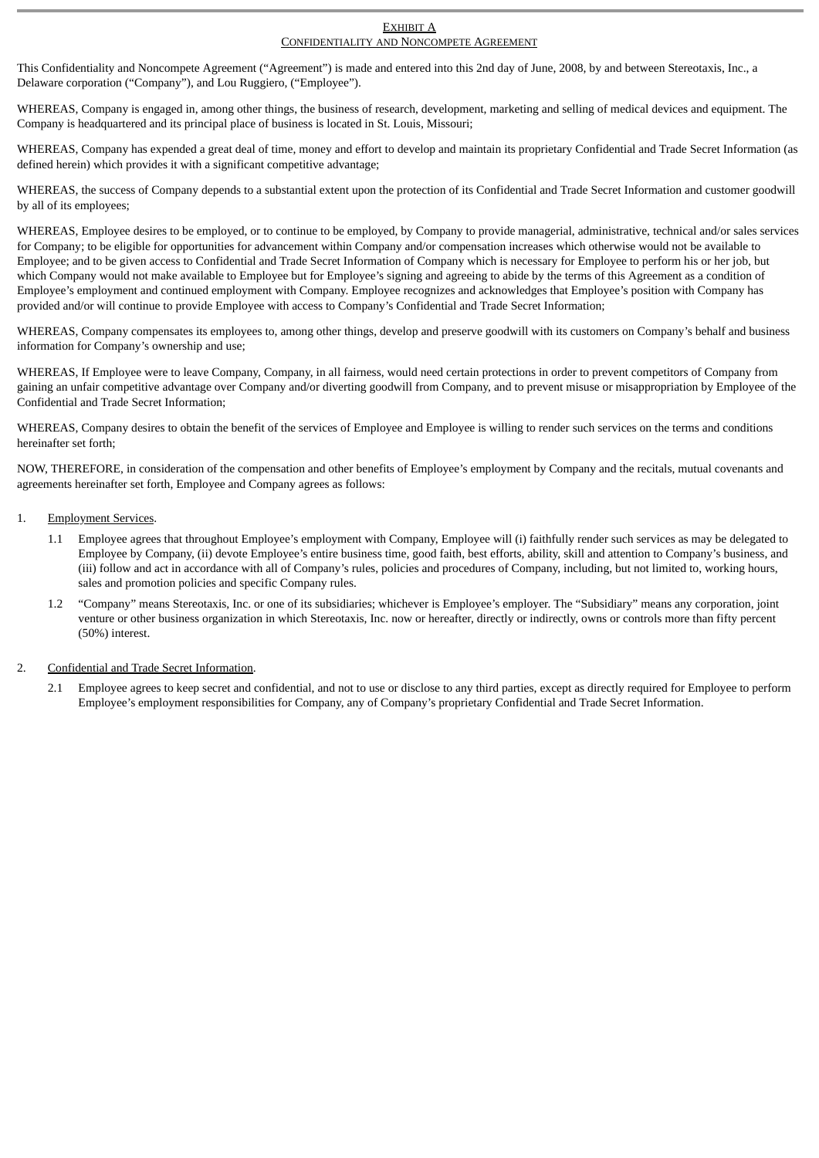#### EXHIBIT A CONFIDENTIALITY AND NONCOMPETE AGREEMENT

This Confidentiality and Noncompete Agreement ("Agreement") is made and entered into this 2nd day of June, 2008, by and between Stereotaxis, Inc., a Delaware corporation ("Company"), and Lou Ruggiero, ("Employee").

WHEREAS, Company is engaged in, among other things, the business of research, development, marketing and selling of medical devices and equipment. The Company is headquartered and its principal place of business is located in St. Louis, Missouri;

WHEREAS, Company has expended a great deal of time, money and effort to develop and maintain its proprietary Confidential and Trade Secret Information (as defined herein) which provides it with a significant competitive advantage;

WHEREAS, the success of Company depends to a substantial extent upon the protection of its Confidential and Trade Secret Information and customer goodwill by all of its employees;

WHEREAS, Employee desires to be employed, or to continue to be employed, by Company to provide managerial, administrative, technical and/or sales services for Company; to be eligible for opportunities for advancement within Company and/or compensation increases which otherwise would not be available to Employee; and to be given access to Confidential and Trade Secret Information of Company which is necessary for Employee to perform his or her job, but which Company would not make available to Employee but for Employee's signing and agreeing to abide by the terms of this Agreement as a condition of Employee's employment and continued employment with Company. Employee recognizes and acknowledges that Employee's position with Company has provided and/or will continue to provide Employee with access to Company's Confidential and Trade Secret Information;

WHEREAS, Company compensates its employees to, among other things, develop and preserve goodwill with its customers on Company's behalf and business information for Company's ownership and use;

WHEREAS, If Employee were to leave Company, Company, in all fairness, would need certain protections in order to prevent competitors of Company from gaining an unfair competitive advantage over Company and/or diverting goodwill from Company, and to prevent misuse or misappropriation by Employee of the Confidential and Trade Secret Information;

WHEREAS, Company desires to obtain the benefit of the services of Employee and Employee is willing to render such services on the terms and conditions hereinafter set forth;

NOW, THEREFORE, in consideration of the compensation and other benefits of Employee's employment by Company and the recitals, mutual covenants and agreements hereinafter set forth, Employee and Company agrees as follows:

# 1. Employment Services.

- 1.1 Employee agrees that throughout Employee's employment with Company, Employee will (i) faithfully render such services as may be delegated to Employee by Company, (ii) devote Employee's entire business time, good faith, best efforts, ability, skill and attention to Company's business, and (iii) follow and act in accordance with all of Company's rules, policies and procedures of Company, including, but not limited to, working hours, sales and promotion policies and specific Company rules.
- 1.2 "Company" means Stereotaxis, Inc. or one of its subsidiaries; whichever is Employee's employer. The "Subsidiary" means any corporation, joint venture or other business organization in which Stereotaxis, Inc. now or hereafter, directly or indirectly, owns or controls more than fifty percent (50%) interest.

# 2. Confidential and Trade Secret Information.

2.1 Employee agrees to keep secret and confidential, and not to use or disclose to any third parties, except as directly required for Employee to perform Employee's employment responsibilities for Company, any of Company's proprietary Confidential and Trade Secret Information.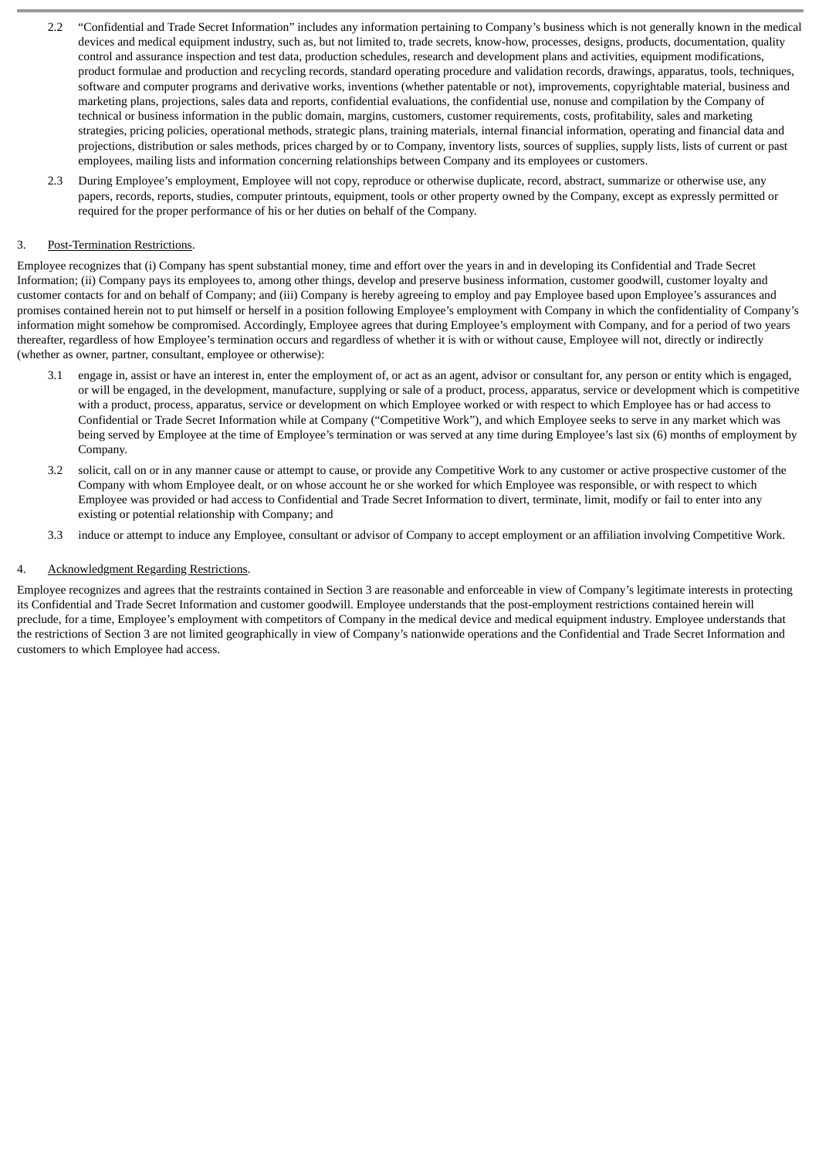- 2.2 "Confidential and Trade Secret Information" includes any information pertaining to Company's business which is not generally known in the medical devices and medical equipment industry, such as, but not limited to, trade secrets, know-how, processes, designs, products, documentation, quality control and assurance inspection and test data, production schedules, research and development plans and activities, equipment modifications, product formulae and production and recycling records, standard operating procedure and validation records, drawings, apparatus, tools, techniques, software and computer programs and derivative works, inventions (whether patentable or not), improvements, copyrightable material, business and marketing plans, projections, sales data and reports, confidential evaluations, the confidential use, nonuse and compilation by the Company of technical or business information in the public domain, margins, customers, customer requirements, costs, profitability, sales and marketing strategies, pricing policies, operational methods, strategic plans, training materials, internal financial information, operating and financial data and projections, distribution or sales methods, prices charged by or to Company, inventory lists, sources of supplies, supply lists, lists of current or past employees, mailing lists and information concerning relationships between Company and its employees or customers.
- 2.3 During Employee's employment, Employee will not copy, reproduce or otherwise duplicate, record, abstract, summarize or otherwise use, any papers, records, reports, studies, computer printouts, equipment, tools or other property owned by the Company, except as expressly permitted or required for the proper performance of his or her duties on behalf of the Company.

# 3. Post-Termination Restrictions.

Employee recognizes that (i) Company has spent substantial money, time and effort over the years in and in developing its Confidential and Trade Secret Information; (ii) Company pays its employees to, among other things, develop and preserve business information, customer goodwill, customer loyalty and customer contacts for and on behalf of Company; and (iii) Company is hereby agreeing to employ and pay Employee based upon Employee's assurances and promises contained herein not to put himself or herself in a position following Employee's employment with Company in which the confidentiality of Company's information might somehow be compromised. Accordingly, Employee agrees that during Employee's employment with Company, and for a period of two years thereafter, regardless of how Employee's termination occurs and regardless of whether it is with or without cause, Employee will not, directly or indirectly (whether as owner, partner, consultant, employee or otherwise):

- 3.1 engage in, assist or have an interest in, enter the employment of, or act as an agent, advisor or consultant for, any person or entity which is engaged, or will be engaged, in the development, manufacture, supplying or sale of a product, process, apparatus, service or development which is competitive with a product, process, apparatus, service or development on which Employee worked or with respect to which Employee has or had access to Confidential or Trade Secret Information while at Company ("Competitive Work"), and which Employee seeks to serve in any market which was being served by Employee at the time of Employee's termination or was served at any time during Employee's last six (6) months of employment by Company.
- 3.2 solicit, call on or in any manner cause or attempt to cause, or provide any Competitive Work to any customer or active prospective customer of the Company with whom Employee dealt, or on whose account he or she worked for which Employee was responsible, or with respect to which Employee was provided or had access to Confidential and Trade Secret Information to divert, terminate, limit, modify or fail to enter into any existing or potential relationship with Company; and
- 3.3 induce or attempt to induce any Employee, consultant or advisor of Company to accept employment or an affiliation involving Competitive Work.

# 4. Acknowledgment Regarding Restrictions.

Employee recognizes and agrees that the restraints contained in Section 3 are reasonable and enforceable in view of Company's legitimate interests in protecting its Confidential and Trade Secret Information and customer goodwill. Employee understands that the post-employment restrictions contained herein will preclude, for a time, Employee's employment with competitors of Company in the medical device and medical equipment industry. Employee understands that the restrictions of Section 3 are not limited geographically in view of Company's nationwide operations and the Confidential and Trade Secret Information and customers to which Employee had access.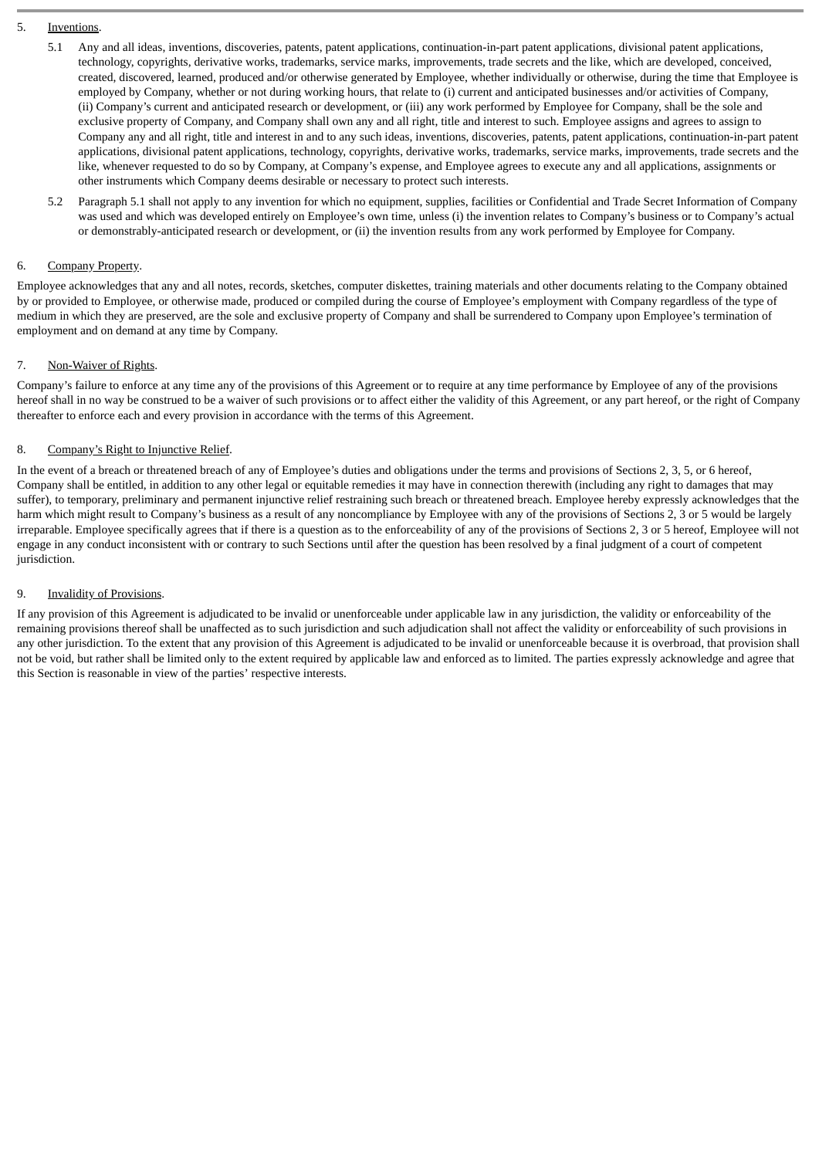- 5. Inventions.
	- 5.1 Any and all ideas, inventions, discoveries, patents, patent applications, continuation-in-part patent applications, divisional patent applications, technology, copyrights, derivative works, trademarks, service marks, improvements, trade secrets and the like, which are developed, conceived, created, discovered, learned, produced and/or otherwise generated by Employee, whether individually or otherwise, during the time that Employee is employed by Company, whether or not during working hours, that relate to (i) current and anticipated businesses and/or activities of Company, (ii) Company's current and anticipated research or development, or (iii) any work performed by Employee for Company, shall be the sole and exclusive property of Company, and Company shall own any and all right, title and interest to such. Employee assigns and agrees to assign to Company any and all right, title and interest in and to any such ideas, inventions, discoveries, patents, patent applications, continuation-in-part patent applications, divisional patent applications, technology, copyrights, derivative works, trademarks, service marks, improvements, trade secrets and the like, whenever requested to do so by Company, at Company's expense, and Employee agrees to execute any and all applications, assignments or other instruments which Company deems desirable or necessary to protect such interests.
	- 5.2 Paragraph 5.1 shall not apply to any invention for which no equipment, supplies, facilities or Confidential and Trade Secret Information of Company was used and which was developed entirely on Employee's own time, unless (i) the invention relates to Company's business or to Company's actual or demonstrably-anticipated research or development, or (ii) the invention results from any work performed by Employee for Company.

# 6. Company Property.

Employee acknowledges that any and all notes, records, sketches, computer diskettes, training materials and other documents relating to the Company obtained by or provided to Employee, or otherwise made, produced or compiled during the course of Employee's employment with Company regardless of the type of medium in which they are preserved, are the sole and exclusive property of Company and shall be surrendered to Company upon Employee's termination of employment and on demand at any time by Company.

# 7. Non-Waiver of Rights.

Company's failure to enforce at any time any of the provisions of this Agreement or to require at any time performance by Employee of any of the provisions hereof shall in no way be construed to be a waiver of such provisions or to affect either the validity of this Agreement, or any part hereof, or the right of Company thereafter to enforce each and every provision in accordance with the terms of this Agreement.

# 8. Company's Right to Injunctive Relief.

In the event of a breach or threatened breach of any of Employee's duties and obligations under the terms and provisions of Sections 2, 3, 5, or 6 hereof, Company shall be entitled, in addition to any other legal or equitable remedies it may have in connection therewith (including any right to damages that may suffer), to temporary, preliminary and permanent injunctive relief restraining such breach or threatened breach. Employee hereby expressly acknowledges that the harm which might result to Company's business as a result of any noncompliance by Employee with any of the provisions of Sections 2, 3 or 5 would be largely irreparable. Employee specifically agrees that if there is a question as to the enforceability of any of the provisions of Sections 2, 3 or 5 hereof, Employee will not engage in any conduct inconsistent with or contrary to such Sections until after the question has been resolved by a final judgment of a court of competent jurisdiction.

# 9. **Invalidity of Provisions.**

If any provision of this Agreement is adjudicated to be invalid or unenforceable under applicable law in any jurisdiction, the validity or enforceability of the remaining provisions thereof shall be unaffected as to such jurisdiction and such adjudication shall not affect the validity or enforceability of such provisions in any other jurisdiction. To the extent that any provision of this Agreement is adjudicated to be invalid or unenforceable because it is overbroad, that provision shall not be void, but rather shall be limited only to the extent required by applicable law and enforced as to limited. The parties expressly acknowledge and agree that this Section is reasonable in view of the parties' respective interests.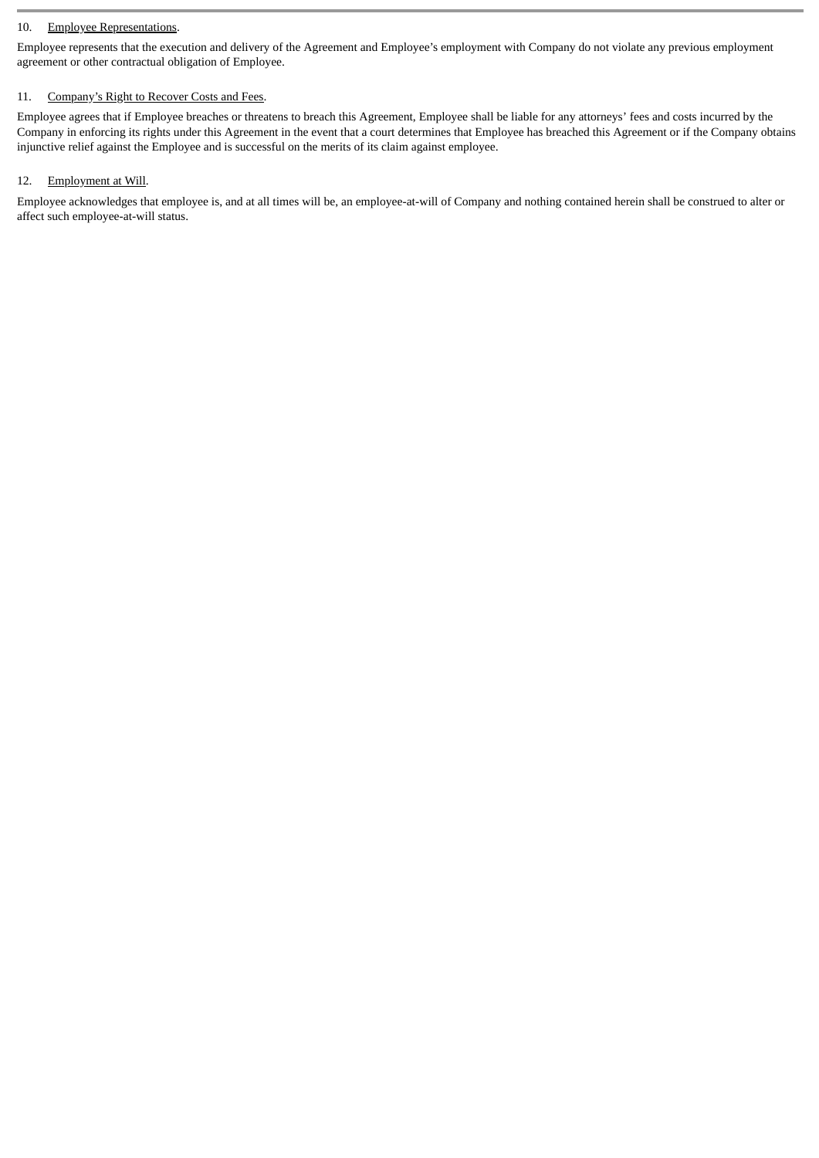# 10. Employee Representations.

Employee represents that the execution and delivery of the Agreement and Employee's employment with Company do not violate any previous employment agreement or other contractual obligation of Employee.

# 11. Company's Right to Recover Costs and Fees.

Employee agrees that if Employee breaches or threatens to breach this Agreement, Employee shall be liable for any attorneys' fees and costs incurred by the Company in enforcing its rights under this Agreement in the event that a court determines that Employee has breached this Agreement or if the Company obtains injunctive relief against the Employee and is successful on the merits of its claim against employee.

# 12. Employment at Will.

Employee acknowledges that employee is, and at all times will be, an employee-at-will of Company and nothing contained herein shall be construed to alter or affect such employee-at-will status.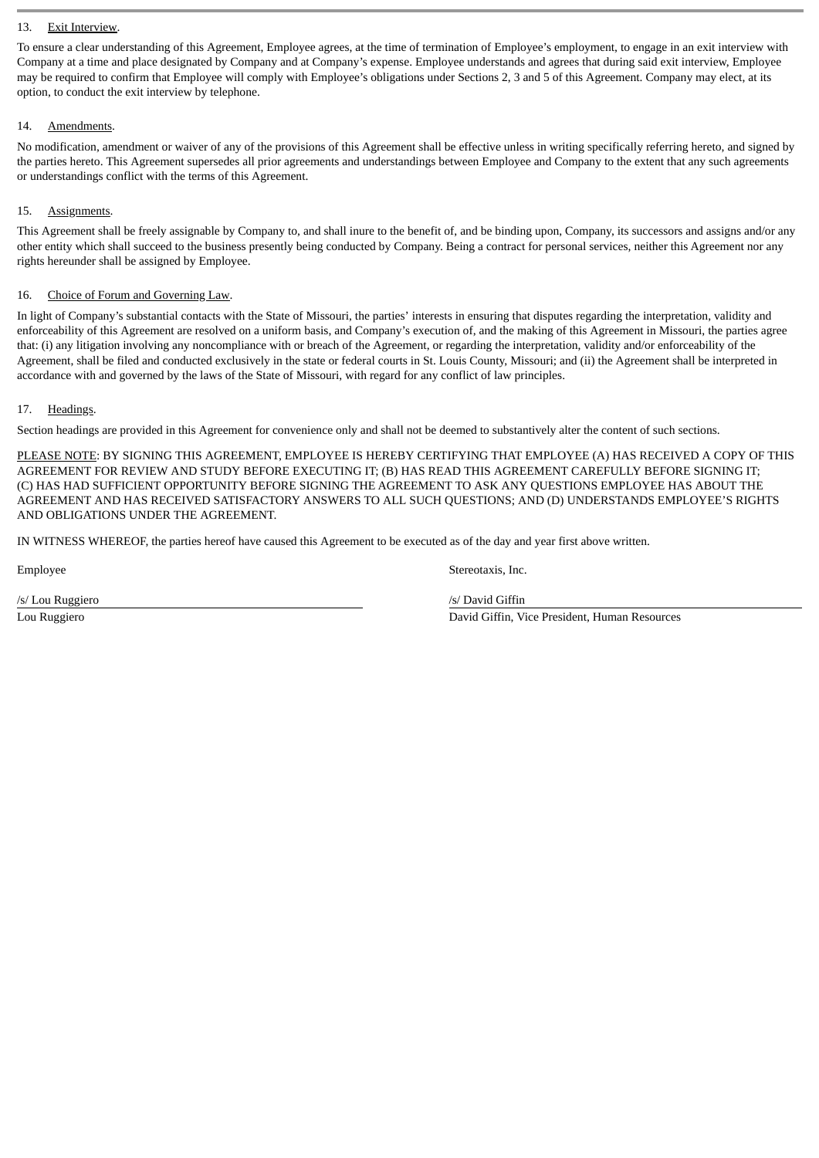# 13. Exit Interview.

To ensure a clear understanding of this Agreement, Employee agrees, at the time of termination of Employee's employment, to engage in an exit interview with Company at a time and place designated by Company and at Company's expense. Employee understands and agrees that during said exit interview, Employee may be required to confirm that Employee will comply with Employee's obligations under Sections 2, 3 and 5 of this Agreement. Company may elect, at its option, to conduct the exit interview by telephone.

# 14. Amendments.

No modification, amendment or waiver of any of the provisions of this Agreement shall be effective unless in writing specifically referring hereto, and signed by the parties hereto. This Agreement supersedes all prior agreements and understandings between Employee and Company to the extent that any such agreements or understandings conflict with the terms of this Agreement.

# 15. Assignments.

This Agreement shall be freely assignable by Company to, and shall inure to the benefit of, and be binding upon, Company, its successors and assigns and/or any other entity which shall succeed to the business presently being conducted by Company. Being a contract for personal services, neither this Agreement nor any rights hereunder shall be assigned by Employee.

# 16. Choice of Forum and Governing Law.

In light of Company's substantial contacts with the State of Missouri, the parties' interests in ensuring that disputes regarding the interpretation, validity and enforceability of this Agreement are resolved on a uniform basis, and Company's execution of, and the making of this Agreement in Missouri, the parties agree that: (i) any litigation involving any noncompliance with or breach of the Agreement, or regarding the interpretation, validity and/or enforceability of the Agreement, shall be filed and conducted exclusively in the state or federal courts in St. Louis County, Missouri; and (ii) the Agreement shall be interpreted in accordance with and governed by the laws of the State of Missouri, with regard for any conflict of law principles.

# 17. Headings.

Section headings are provided in this Agreement for convenience only and shall not be deemed to substantively alter the content of such sections.

PLEASE NOTE: BY SIGNING THIS AGREEMENT, EMPLOYEE IS HEREBY CERTIFYING THAT EMPLOYEE (A) HAS RECEIVED A COPY OF THIS AGREEMENT FOR REVIEW AND STUDY BEFORE EXECUTING IT; (B) HAS READ THIS AGREEMENT CAREFULLY BEFORE SIGNING IT; (C) HAS HAD SUFFICIENT OPPORTUNITY BEFORE SIGNING THE AGREEMENT TO ASK ANY QUESTIONS EMPLOYEE HAS ABOUT THE AGREEMENT AND HAS RECEIVED SATISFACTORY ANSWERS TO ALL SUCH QUESTIONS; AND (D) UNDERSTANDS EMPLOYEE'S RIGHTS AND OBLIGATIONS UNDER THE AGREEMENT.

IN WITNESS WHEREOF, the parties hereof have caused this Agreement to be executed as of the day and year first above written.

Employee Stereotaxis, Inc.

/s/ Lou Ruggiero /s/ David Giffin Lou Ruggiero David Giffin, Vice President, Human Resources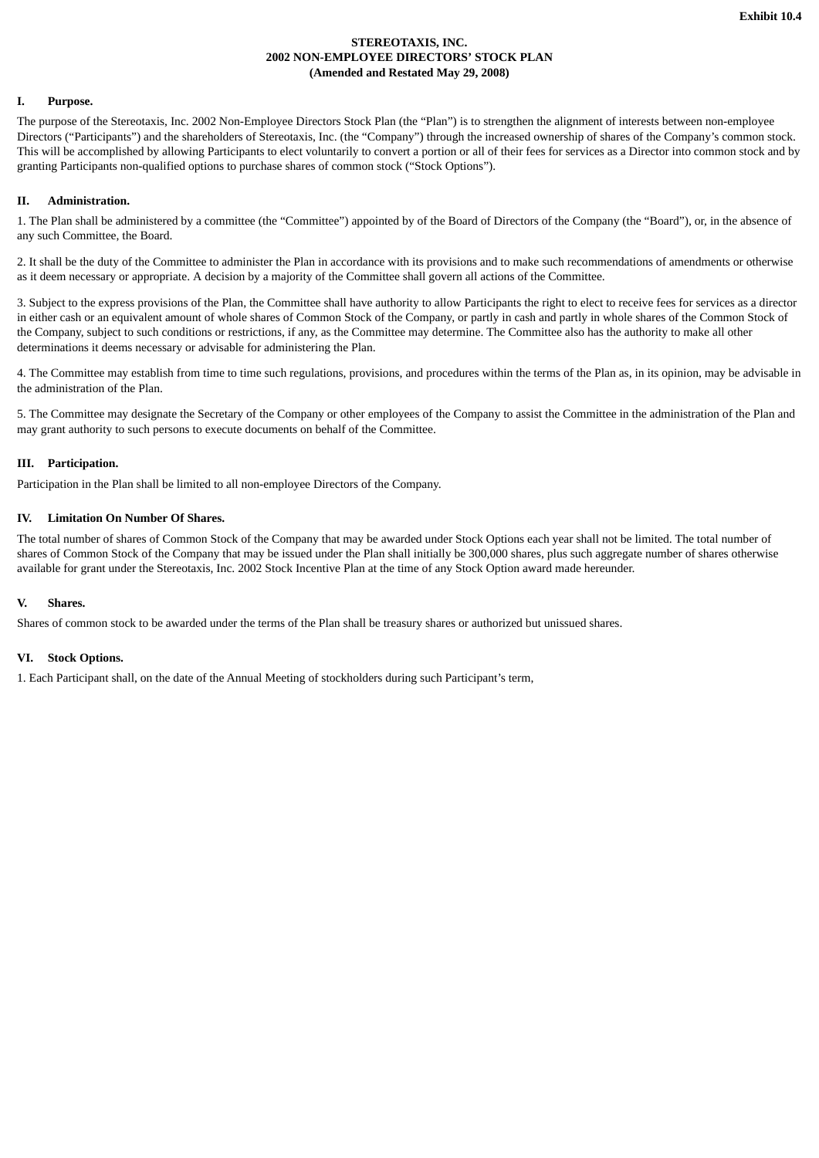# **STEREOTAXIS, INC. 2002 NON-EMPLOYEE DIRECTORS' STOCK PLAN (Amended and Restated May 29, 2008)**

# **I. Purpose.**

The purpose of the Stereotaxis, Inc. 2002 Non-Employee Directors Stock Plan (the "Plan") is to strengthen the alignment of interests between non-employee Directors ("Participants") and the shareholders of Stereotaxis, Inc. (the "Company") through the increased ownership of shares of the Company's common stock. This will be accomplished by allowing Participants to elect voluntarily to convert a portion or all of their fees for services as a Director into common stock and by granting Participants non-qualified options to purchase shares of common stock ("Stock Options").

# **II. Administration.**

1. The Plan shall be administered by a committee (the "Committee") appointed by of the Board of Directors of the Company (the "Board"), or, in the absence of any such Committee, the Board.

2. It shall be the duty of the Committee to administer the Plan in accordance with its provisions and to make such recommendations of amendments or otherwise as it deem necessary or appropriate. A decision by a majority of the Committee shall govern all actions of the Committee.

3. Subject to the express provisions of the Plan, the Committee shall have authority to allow Participants the right to elect to receive fees for services as a director in either cash or an equivalent amount of whole shares of Common Stock of the Company, or partly in cash and partly in whole shares of the Common Stock of the Company, subject to such conditions or restrictions, if any, as the Committee may determine. The Committee also has the authority to make all other determinations it deems necessary or advisable for administering the Plan.

4. The Committee may establish from time to time such regulations, provisions, and procedures within the terms of the Plan as, in its opinion, may be advisable in the administration of the Plan.

5. The Committee may designate the Secretary of the Company or other employees of the Company to assist the Committee in the administration of the Plan and may grant authority to such persons to execute documents on behalf of the Committee.

# **III. Participation.**

Participation in the Plan shall be limited to all non-employee Directors of the Company.

# **IV. Limitation On Number Of Shares.**

The total number of shares of Common Stock of the Company that may be awarded under Stock Options each year shall not be limited. The total number of shares of Common Stock of the Company that may be issued under the Plan shall initially be 300,000 shares, plus such aggregate number of shares otherwise available for grant under the Stereotaxis, Inc. 2002 Stock Incentive Plan at the time of any Stock Option award made hereunder.

# **V. Shares.**

Shares of common stock to be awarded under the terms of the Plan shall be treasury shares or authorized but unissued shares.

# **VI. Stock Options.**

1. Each Participant shall, on the date of the Annual Meeting of stockholders during such Participant's term,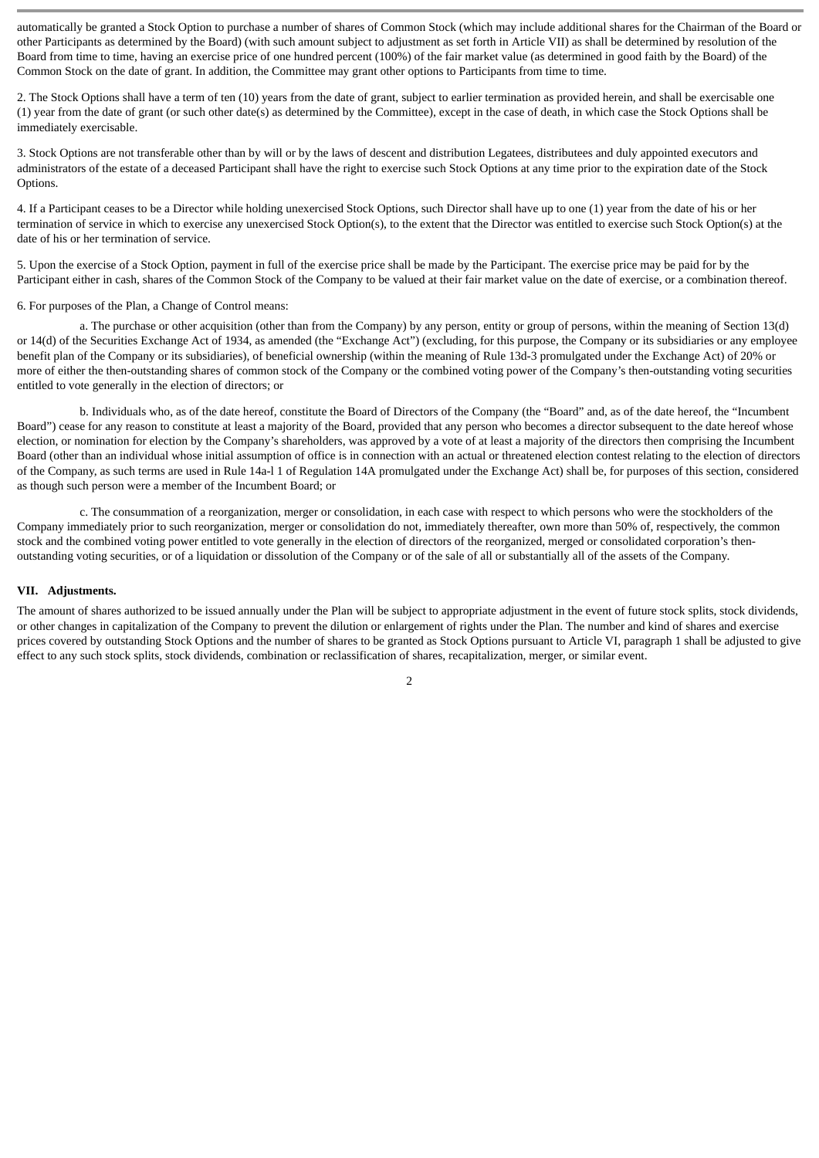automatically be granted a Stock Option to purchase a number of shares of Common Stock (which may include additional shares for the Chairman of the Board or other Participants as determined by the Board) (with such amount subject to adjustment as set forth in Article VII) as shall be determined by resolution of the Board from time to time, having an exercise price of one hundred percent (100%) of the fair market value (as determined in good faith by the Board) of the Common Stock on the date of grant. In addition, the Committee may grant other options to Participants from time to time.

2. The Stock Options shall have a term of ten (10) years from the date of grant, subject to earlier termination as provided herein, and shall be exercisable one (1) year from the date of grant (or such other date(s) as determined by the Committee), except in the case of death, in which case the Stock Options shall be immediately exercisable.

3. Stock Options are not transferable other than by will or by the laws of descent and distribution Legatees, distributees and duly appointed executors and administrators of the estate of a deceased Participant shall have the right to exercise such Stock Options at any time prior to the expiration date of the Stock Options.

4. If a Participant ceases to be a Director while holding unexercised Stock Options, such Director shall have up to one (1) year from the date of his or her termination of service in which to exercise any unexercised Stock Option(s), to the extent that the Director was entitled to exercise such Stock Option(s) at the date of his or her termination of service.

5. Upon the exercise of a Stock Option, payment in full of the exercise price shall be made by the Participant. The exercise price may be paid for by the Participant either in cash, shares of the Common Stock of the Company to be valued at their fair market value on the date of exercise, or a combination thereof.

6. For purposes of the Plan, a Change of Control means:

a. The purchase or other acquisition (other than from the Company) by any person, entity or group of persons, within the meaning of Section 13(d) or 14(d) of the Securities Exchange Act of 1934, as amended (the "Exchange Act") (excluding, for this purpose, the Company or its subsidiaries or any employee benefit plan of the Company or its subsidiaries), of beneficial ownership (within the meaning of Rule 13d-3 promulgated under the Exchange Act) of 20% or more of either the then-outstanding shares of common stock of the Company or the combined voting power of the Company's then-outstanding voting securities entitled to vote generally in the election of directors; or

b. Individuals who, as of the date hereof, constitute the Board of Directors of the Company (the "Board" and, as of the date hereof, the "Incumbent Board") cease for any reason to constitute at least a majority of the Board, provided that any person who becomes a director subsequent to the date hereof whose election, or nomination for election by the Company's shareholders, was approved by a vote of at least a majority of the directors then comprising the Incumbent Board (other than an individual whose initial assumption of office is in connection with an actual or threatened election contest relating to the election of directors of the Company, as such terms are used in Rule 14a-l 1 of Regulation 14A promulgated under the Exchange Act) shall be, for purposes of this section, considered as though such person were a member of the Incumbent Board; or

c. The consummation of a reorganization, merger or consolidation, in each case with respect to which persons who were the stockholders of the Company immediately prior to such reorganization, merger or consolidation do not, immediately thereafter, own more than 50% of, respectively, the common stock and the combined voting power entitled to vote generally in the election of directors of the reorganized, merged or consolidated corporation's thenoutstanding voting securities, or of a liquidation or dissolution of the Company or of the sale of all or substantially all of the assets of the Company.

#### **VII. Adjustments.**

The amount of shares authorized to be issued annually under the Plan will be subject to appropriate adjustment in the event of future stock splits, stock dividends, or other changes in capitalization of the Company to prevent the dilution or enlargement of rights under the Plan. The number and kind of shares and exercise prices covered by outstanding Stock Options and the number of shares to be granted as Stock Options pursuant to Article VI, paragraph 1 shall be adjusted to give effect to any such stock splits, stock dividends, combination or reclassification of shares, recapitalization, merger, or similar event.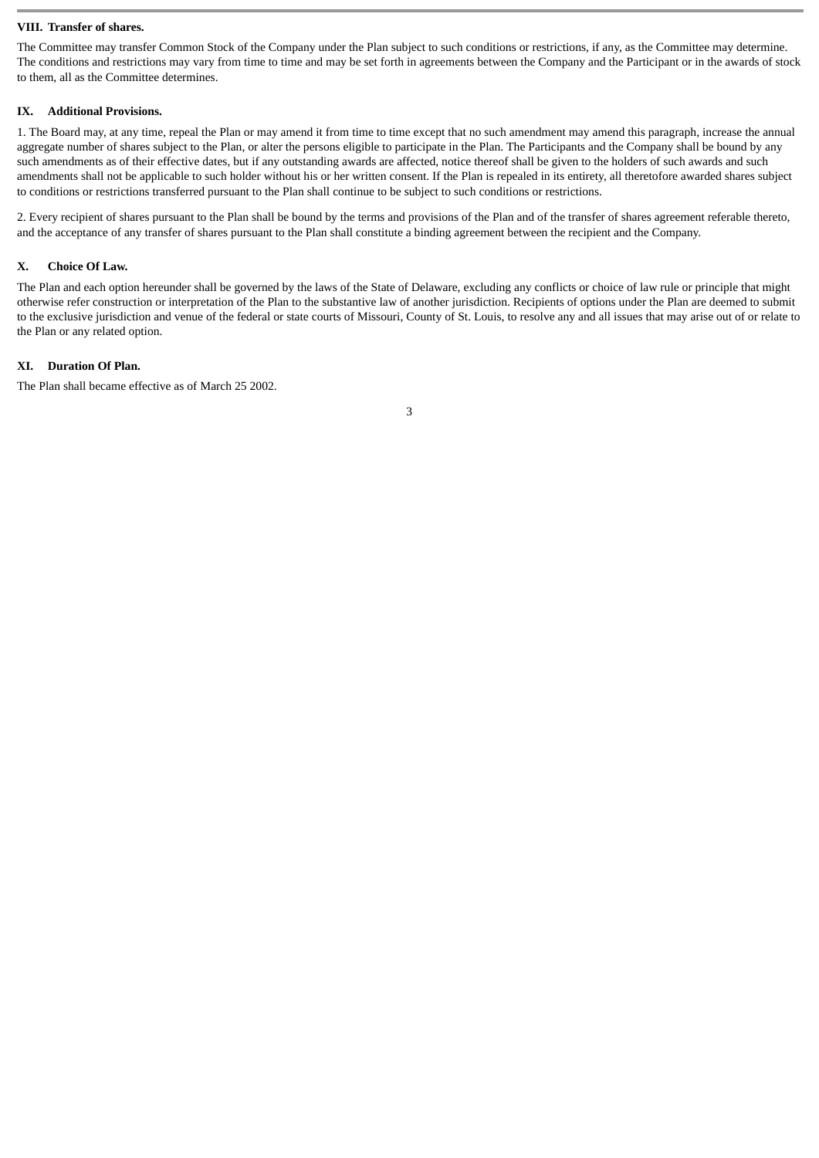#### **VIII. Transfer of shares.**

The Committee may transfer Common Stock of the Company under the Plan subject to such conditions or restrictions, if any, as the Committee may determine. The conditions and restrictions may vary from time to time and may be set forth in agreements between the Company and the Participant or in the awards of stock to them, all as the Committee determines.

#### **IX. Additional Provisions.**

1. The Board may, at any time, repeal the Plan or may amend it from time to time except that no such amendment may amend this paragraph, increase the annual aggregate number of shares subject to the Plan, or alter the persons eligible to participate in the Plan. The Participants and the Company shall be bound by any such amendments as of their effective dates, but if any outstanding awards are affected, notice thereof shall be given to the holders of such awards and such amendments shall not be applicable to such holder without his or her written consent. If the Plan is repealed in its entirety, all theretofore awarded shares subject to conditions or restrictions transferred pursuant to the Plan shall continue to be subject to such conditions or restrictions.

2. Every recipient of shares pursuant to the Plan shall be bound by the terms and provisions of the Plan and of the transfer of shares agreement referable thereto, and the acceptance of any transfer of shares pursuant to the Plan shall constitute a binding agreement between the recipient and the Company.

#### **X. Choice Of Law.**

The Plan and each option hereunder shall be governed by the laws of the State of Delaware, excluding any conflicts or choice of law rule or principle that might otherwise refer construction or interpretation of the Plan to the substantive law of another jurisdiction. Recipients of options under the Plan are deemed to submit to the exclusive jurisdiction and venue of the federal or state courts of Missouri, County of St. Louis, to resolve any and all issues that may arise out of or relate to the Plan or any related option.

#### **XI. Duration Of Plan.**

The Plan shall became effective as of March 25 2002.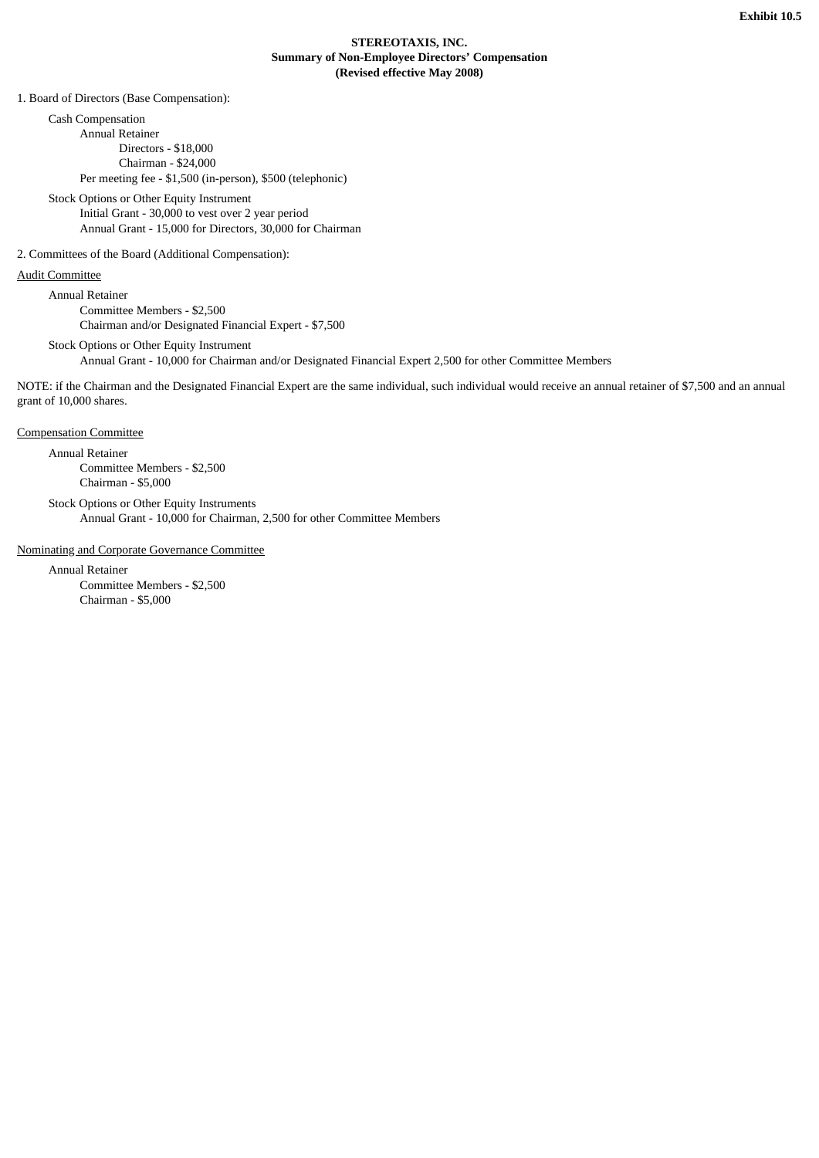# **STEREOTAXIS, INC. Summary of Non-Employee Directors' Compensation (Revised effective May 2008)**

1. Board of Directors (Base Compensation):

Cash Compensation Annual Retainer Directors - \$18,000 Chairman - \$24,000 Per meeting fee - \$1,500 (in-person), \$500 (telephonic)

Stock Options or Other Equity Instrument Initial Grant - 30,000 to vest over 2 year period Annual Grant - 15,000 for Directors, 30,000 for Chairman

2. Committees of the Board (Additional Compensation):

# Audit Committee

Annual Retainer Committee Members - \$2,500 Chairman and/or Designated Financial Expert - \$7,500

Stock Options or Other Equity Instrument Annual Grant - 10,000 for Chairman and/or Designated Financial Expert 2,500 for other Committee Members

NOTE: if the Chairman and the Designated Financial Expert are the same individual, such individual would receive an annual retainer of \$7,500 and an annual grant of 10,000 shares.

Compensation Committee

Annual Retainer Committee Members - \$2,500 Chairman - \$5,000

Stock Options or Other Equity Instruments Annual Grant - 10,000 for Chairman, 2,500 for other Committee Members

Nominating and Corporate Governance Committee

Annual Retainer Committee Members - \$2,500 Chairman - \$5,000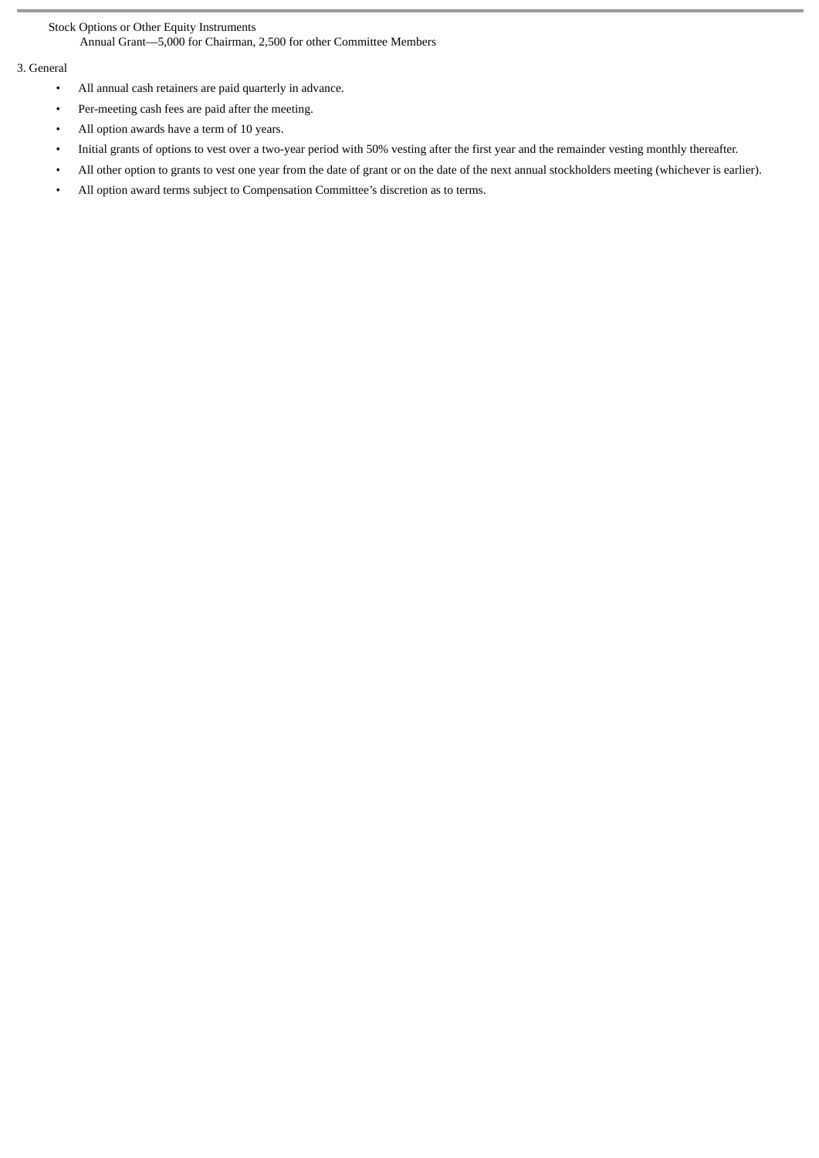Stock Options or Other Equity Instruments Annual Grant—5,000 for Chairman, 2,500 for other Committee Members

# 3. General

- All annual cash retainers are paid quarterly in advance.
- Per-meeting cash fees are paid after the meeting.
- All option awards have a term of 10 years.
- Initial grants of options to vest over a two-year period with 50% vesting after the first year and the remainder vesting monthly thereafter.
- All other option to grants to vest one year from the date of grant or on the date of the next annual stockholders meeting (whichever is earlier).
- All option award terms subject to Compensation Committee's discretion as to terms.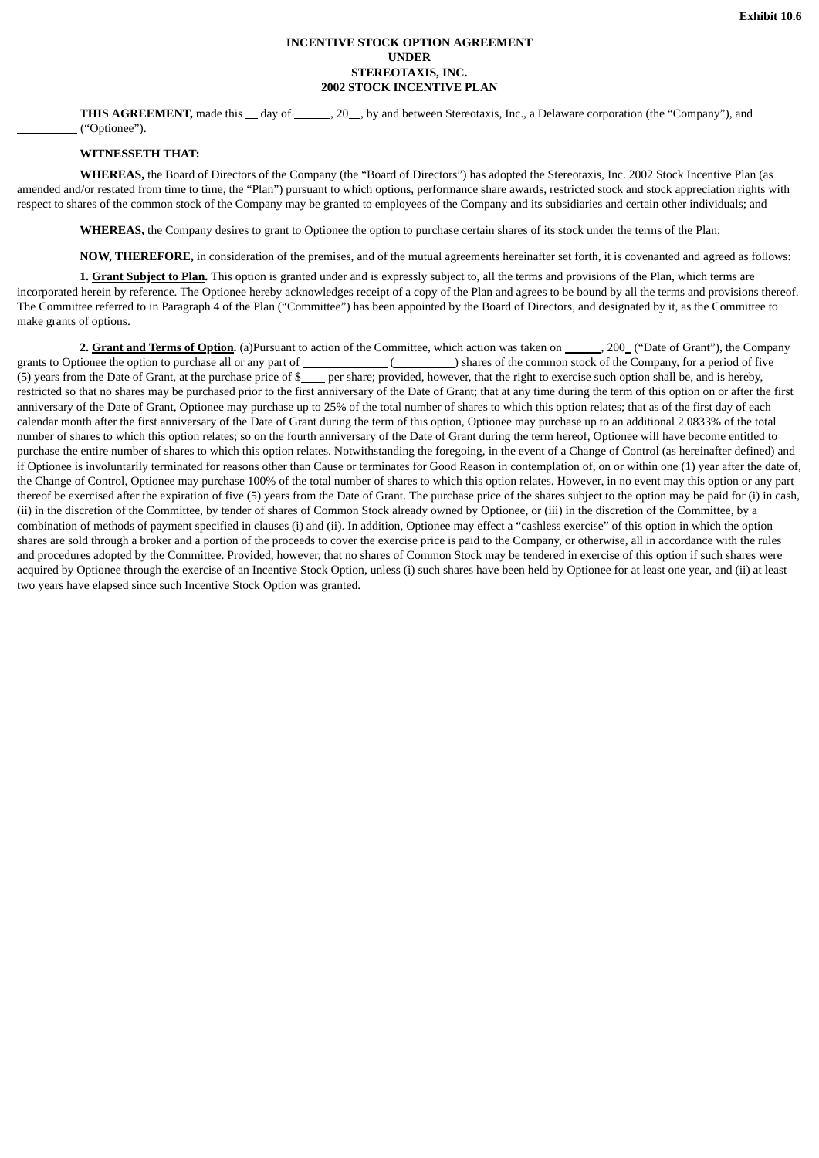# **INCENTIVE STOCK OPTION AGREEMENT UNDER STEREOTAXIS, INC. 2002 STOCK INCENTIVE PLAN**

**THIS AGREEMENT,** made this \_ day of \_\_\_\_\_, 20 , by and between Stereotaxis, Inc., a Delaware corporation (the "Company"), and ("Optionee").

#### **WITNESSETH THAT:**

**WHEREAS,** the Board of Directors of the Company (the "Board of Directors") has adopted the Stereotaxis, Inc. 2002 Stock Incentive Plan (as amended and/or restated from time to time, the "Plan") pursuant to which options, performance share awards, restricted stock and stock appreciation rights with respect to shares of the common stock of the Company may be granted to employees of the Company and its subsidiaries and certain other individuals; and

**WHEREAS,** the Company desires to grant to Optionee the option to purchase certain shares of its stock under the terms of the Plan;

**NOW, THEREFORE,** in consideration of the premises, and of the mutual agreements hereinafter set forth, it is covenanted and agreed as follows:

**1. Grant Subject to Plan.** This option is granted under and is expressly subject to, all the terms and provisions of the Plan, which terms are incorporated herein by reference. The Optionee hereby acknowledges receipt of a copy of the Plan and agrees to be bound by all the terms and provisions thereof. The Committee referred to in Paragraph 4 of the Plan ("Committee") has been appointed by the Board of Directors, and designated by it, as the Committee to make grants of options.

2. Grant and Terms of Option. (a)Pursuant to action of the Committee, which action was taken on \_\_\_\_\_, 200\_("Date of Grant"), the Company grants to Optionee the option to purchase all or any part of ( ) shares of the common stock of the Company, for a period of five (5) years from the Date of Grant, at the purchase price of  $\frac{1}{2}$  per share; provided, however, that the right to exercise such option shall be, and is hereby, restricted so that no shares may be purchased prior to the first anniversary of the Date of Grant; that at any time during the term of this option on or after the first anniversary of the Date of Grant, Optionee may purchase up to 25% of the total number of shares to which this option relates; that as of the first day of each calendar month after the first anniversary of the Date of Grant during the term of this option, Optionee may purchase up to an additional 2.0833% of the total number of shares to which this option relates; so on the fourth anniversary of the Date of Grant during the term hereof, Optionee will have become entitled to purchase the entire number of shares to which this option relates. Notwithstanding the foregoing, in the event of a Change of Control (as hereinafter defined) and if Optionee is involuntarily terminated for reasons other than Cause or terminates for Good Reason in contemplation of, on or within one (1) year after the date of, the Change of Control, Optionee may purchase 100% of the total number of shares to which this option relates. However, in no event may this option or any part thereof be exercised after the expiration of five (5) years from the Date of Grant. The purchase price of the shares subject to the option may be paid for (i) in cash, (ii) in the discretion of the Committee, by tender of shares of Common Stock already owned by Optionee, or (iii) in the discretion of the Committee, by a combination of methods of payment specified in clauses (i) and (ii). In addition, Optionee may effect a "cashless exercise" of this option in which the option shares are sold through a broker and a portion of the proceeds to cover the exercise price is paid to the Company, or otherwise, all in accordance with the rules and procedures adopted by the Committee. Provided, however, that no shares of Common Stock may be tendered in exercise of this option if such shares were acquired by Optionee through the exercise of an Incentive Stock Option, unless (i) such shares have been held by Optionee for at least one year, and (ii) at least two years have elapsed since such Incentive Stock Option was granted.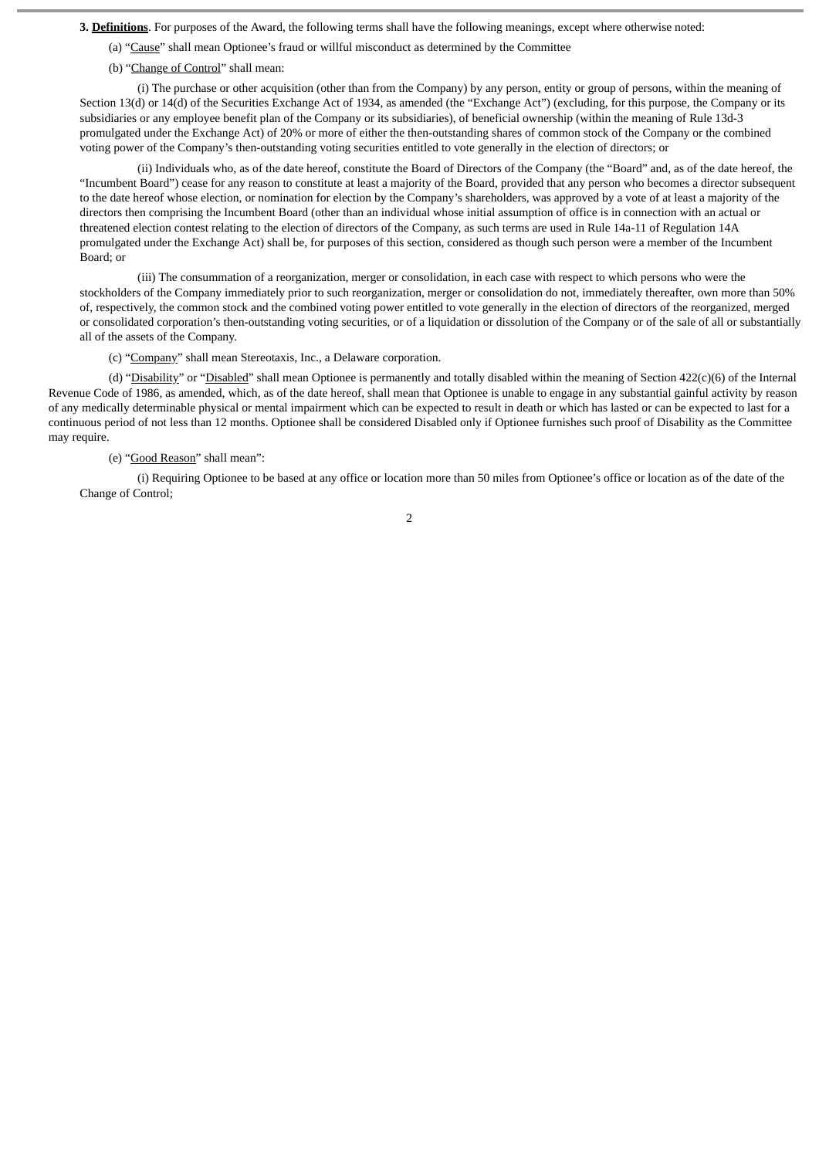**3. Definitions**. For purposes of the Award, the following terms shall have the following meanings, except where otherwise noted:

- (a) "Cause" shall mean Optionee's fraud or willful misconduct as determined by the Committee
- (b) "Change of Control" shall mean:

(i) The purchase or other acquisition (other than from the Company) by any person, entity or group of persons, within the meaning of Section 13(d) or 14(d) of the Securities Exchange Act of 1934, as amended (the "Exchange Act") (excluding, for this purpose, the Company or its subsidiaries or any employee benefit plan of the Company or its subsidiaries), of beneficial ownership (within the meaning of Rule 13d-3 promulgated under the Exchange Act) of 20% or more of either the then-outstanding shares of common stock of the Company or the combined voting power of the Company's then-outstanding voting securities entitled to vote generally in the election of directors; or

(ii) Individuals who, as of the date hereof, constitute the Board of Directors of the Company (the "Board" and, as of the date hereof, the "Incumbent Board") cease for any reason to constitute at least a majority of the Board, provided that any person who becomes a director subsequent to the date hereof whose election, or nomination for election by the Company's shareholders, was approved by a vote of at least a majority of the directors then comprising the Incumbent Board (other than an individual whose initial assumption of office is in connection with an actual or threatened election contest relating to the election of directors of the Company, as such terms are used in Rule 14a-11 of Regulation 14A promulgated under the Exchange Act) shall be, for purposes of this section, considered as though such person were a member of the Incumbent Board; or

(iii) The consummation of a reorganization, merger or consolidation, in each case with respect to which persons who were the stockholders of the Company immediately prior to such reorganization, merger or consolidation do not, immediately thereafter, own more than 50% of, respectively, the common stock and the combined voting power entitled to vote generally in the election of directors of the reorganized, merged or consolidated corporation's then-outstanding voting securities, or of a liquidation or dissolution of the Company or of the sale of all or substantially all of the assets of the Company.

(c) "Company" shall mean Stereotaxis, Inc., a Delaware corporation.

(d) "Disability" or "Disabled" shall mean Optionee is permanently and totally disabled within the meaning of Section 422(c)(6) of the Internal Revenue Code of 1986, as amended, which, as of the date hereof, shall mean that Optionee is unable to engage in any substantial gainful activity by reason of any medically determinable physical or mental impairment which can be expected to result in death or which has lasted or can be expected to last for a continuous period of not less than 12 months. Optionee shall be considered Disabled only if Optionee furnishes such proof of Disability as the Committee may require.

#### (e) "Good Reason" shall mean":

(i) Requiring Optionee to be based at any office or location more than 50 miles from Optionee's office or location as of the date of the Change of Control;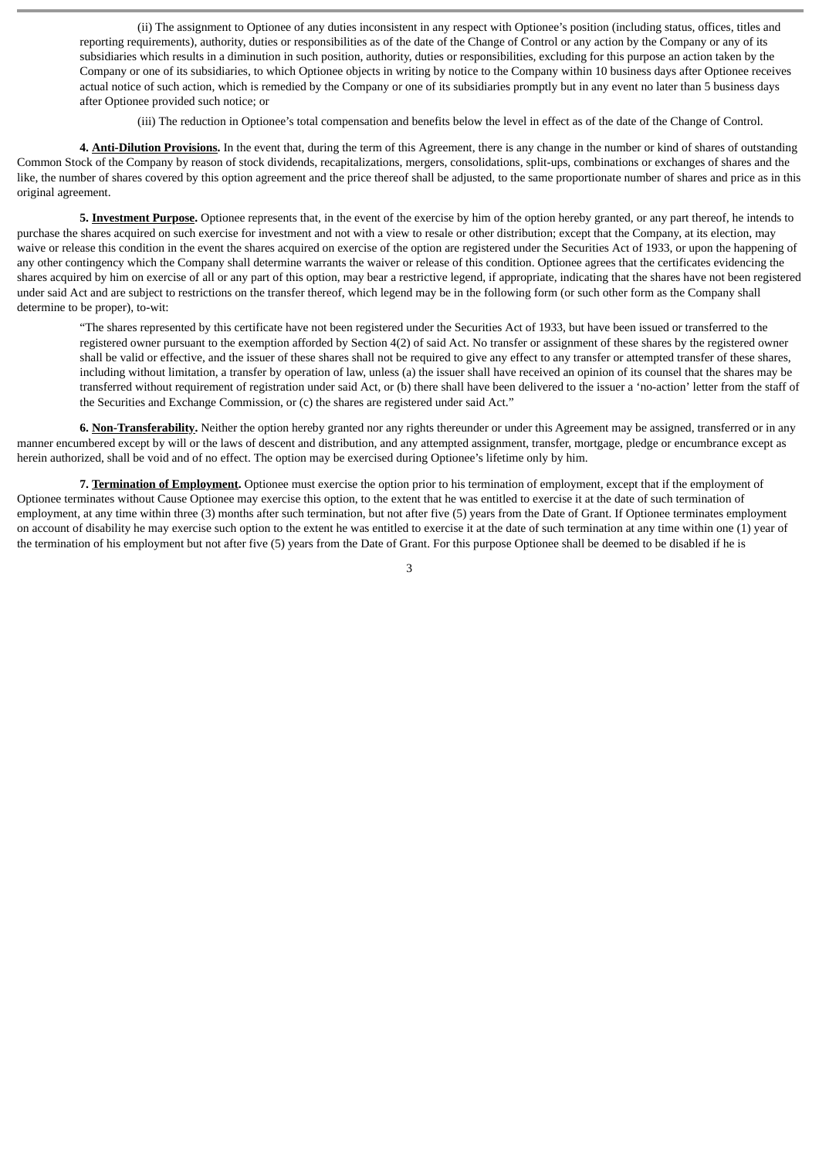(ii) The assignment to Optionee of any duties inconsistent in any respect with Optionee's position (including status, offices, titles and reporting requirements), authority, duties or responsibilities as of the date of the Change of Control or any action by the Company or any of its subsidiaries which results in a diminution in such position, authority, duties or responsibilities, excluding for this purpose an action taken by the Company or one of its subsidiaries, to which Optionee objects in writing by notice to the Company within 10 business days after Optionee receives actual notice of such action, which is remedied by the Company or one of its subsidiaries promptly but in any event no later than 5 business days after Optionee provided such notice; or

(iii) The reduction in Optionee's total compensation and benefits below the level in effect as of the date of the Change of Control.

**4. Anti-Dilution Provisions.** In the event that, during the term of this Agreement, there is any change in the number or kind of shares of outstanding Common Stock of the Company by reason of stock dividends, recapitalizations, mergers, consolidations, split-ups, combinations or exchanges of shares and the like, the number of shares covered by this option agreement and the price thereof shall be adjusted, to the same proportionate number of shares and price as in this original agreement.

**5. Investment Purpose.** Optionee represents that, in the event of the exercise by him of the option hereby granted, or any part thereof, he intends to purchase the shares acquired on such exercise for investment and not with a view to resale or other distribution; except that the Company, at its election, may waive or release this condition in the event the shares acquired on exercise of the option are registered under the Securities Act of 1933, or upon the happening of any other contingency which the Company shall determine warrants the waiver or release of this condition. Optionee agrees that the certificates evidencing the shares acquired by him on exercise of all or any part of this option, may bear a restrictive legend, if appropriate, indicating that the shares have not been registered under said Act and are subject to restrictions on the transfer thereof, which legend may be in the following form (or such other form as the Company shall determine to be proper), to-wit:

"The shares represented by this certificate have not been registered under the Securities Act of 1933, but have been issued or transferred to the registered owner pursuant to the exemption afforded by Section 4(2) of said Act. No transfer or assignment of these shares by the registered owner shall be valid or effective, and the issuer of these shares shall not be required to give any effect to any transfer or attempted transfer of these shares, including without limitation, a transfer by operation of law, unless (a) the issuer shall have received an opinion of its counsel that the shares may be transferred without requirement of registration under said Act, or (b) there shall have been delivered to the issuer a 'no-action' letter from the staff of the Securities and Exchange Commission, or (c) the shares are registered under said Act."

**6. Non-Transferability.** Neither the option hereby granted nor any rights thereunder or under this Agreement may be assigned, transferred or in any manner encumbered except by will or the laws of descent and distribution, and any attempted assignment, transfer, mortgage, pledge or encumbrance except as herein authorized, shall be void and of no effect. The option may be exercised during Optionee's lifetime only by him.

**7. Termination of Employment.** Optionee must exercise the option prior to his termination of employment, except that if the employment of Optionee terminates without Cause Optionee may exercise this option, to the extent that he was entitled to exercise it at the date of such termination of employment, at any time within three (3) months after such termination, but not after five (5) years from the Date of Grant. If Optionee terminates employment on account of disability he may exercise such option to the extent he was entitled to exercise it at the date of such termination at any time within one (1) year of the termination of his employment but not after five (5) years from the Date of Grant. For this purpose Optionee shall be deemed to be disabled if he is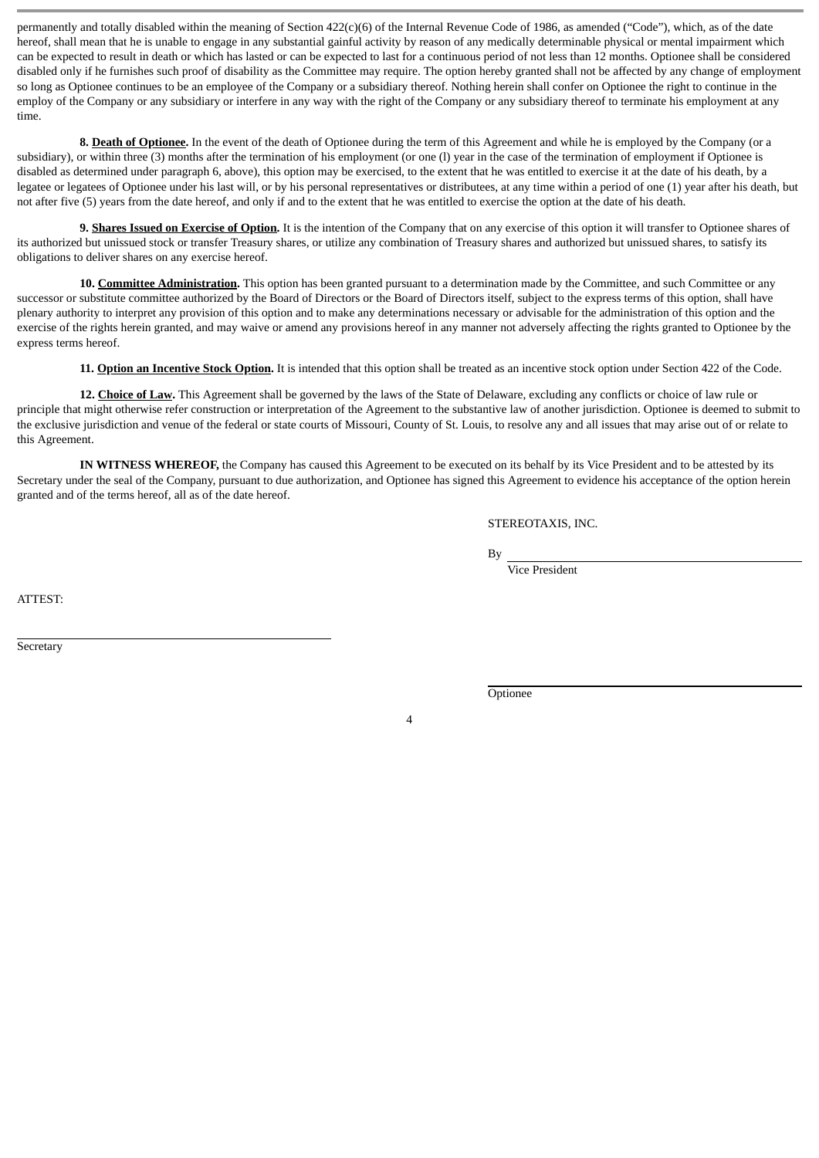permanently and totally disabled within the meaning of Section 422(c)(6) of the Internal Revenue Code of 1986, as amended ("Code"), which, as of the date hereof, shall mean that he is unable to engage in any substantial gainful activity by reason of any medically determinable physical or mental impairment which can be expected to result in death or which has lasted or can be expected to last for a continuous period of not less than 12 months. Optionee shall be considered disabled only if he furnishes such proof of disability as the Committee may require. The option hereby granted shall not be affected by any change of employment so long as Optionee continues to be an employee of the Company or a subsidiary thereof. Nothing herein shall confer on Optionee the right to continue in the employ of the Company or any subsidiary or interfere in any way with the right of the Company or any subsidiary thereof to terminate his employment at any time.

**8. Death of Optionee.** In the event of the death of Optionee during the term of this Agreement and while he is employed by the Company (or a subsidiary), or within three (3) months after the termination of his employment (or one (l) year in the case of the termination of employment if Optionee is disabled as determined under paragraph 6, above), this option may be exercised, to the extent that he was entitled to exercise it at the date of his death, by a legatee or legatees of Optionee under his last will, or by his personal representatives or distributees, at any time within a period of one (1) year after his death, but not after five (5) years from the date hereof, and only if and to the extent that he was entitled to exercise the option at the date of his death.

**9. Shares Issued on Exercise of Option.** It is the intention of the Company that on any exercise of this option it will transfer to Optionee shares of its authorized but unissued stock or transfer Treasury shares, or utilize any combination of Treasury shares and authorized but unissued shares, to satisfy its obligations to deliver shares on any exercise hereof.

**10. Committee Administration.** This option has been granted pursuant to a determination made by the Committee, and such Committee or any successor or substitute committee authorized by the Board of Directors or the Board of Directors itself, subject to the express terms of this option, shall have plenary authority to interpret any provision of this option and to make any determinations necessary or advisable for the administration of this option and the exercise of the rights herein granted, and may waive or amend any provisions hereof in any manner not adversely affecting the rights granted to Optionee by the express terms hereof.

**11. Option an Incentive Stock Option.** It is intended that this option shall be treated as an incentive stock option under Section 422 of the Code.

**12. Choice of Law.** This Agreement shall be governed by the laws of the State of Delaware, excluding any conflicts or choice of law rule or principle that might otherwise refer construction or interpretation of the Agreement to the substantive law of another jurisdiction. Optionee is deemed to submit to the exclusive jurisdiction and venue of the federal or state courts of Missouri, County of St. Louis, to resolve any and all issues that may arise out of or relate to this Agreement.

**IN WITNESS WHEREOF,** the Company has caused this Agreement to be executed on its behalf by its Vice President and to be attested by its Secretary under the seal of the Company, pursuant to due authorization, and Optionee has signed this Agreement to evidence his acceptance of the option herein granted and of the terms hereof, all as of the date hereof.

STEREOTAXIS, INC.

By

Vice President

ATTEST:

**Secretary** 

**Optionee**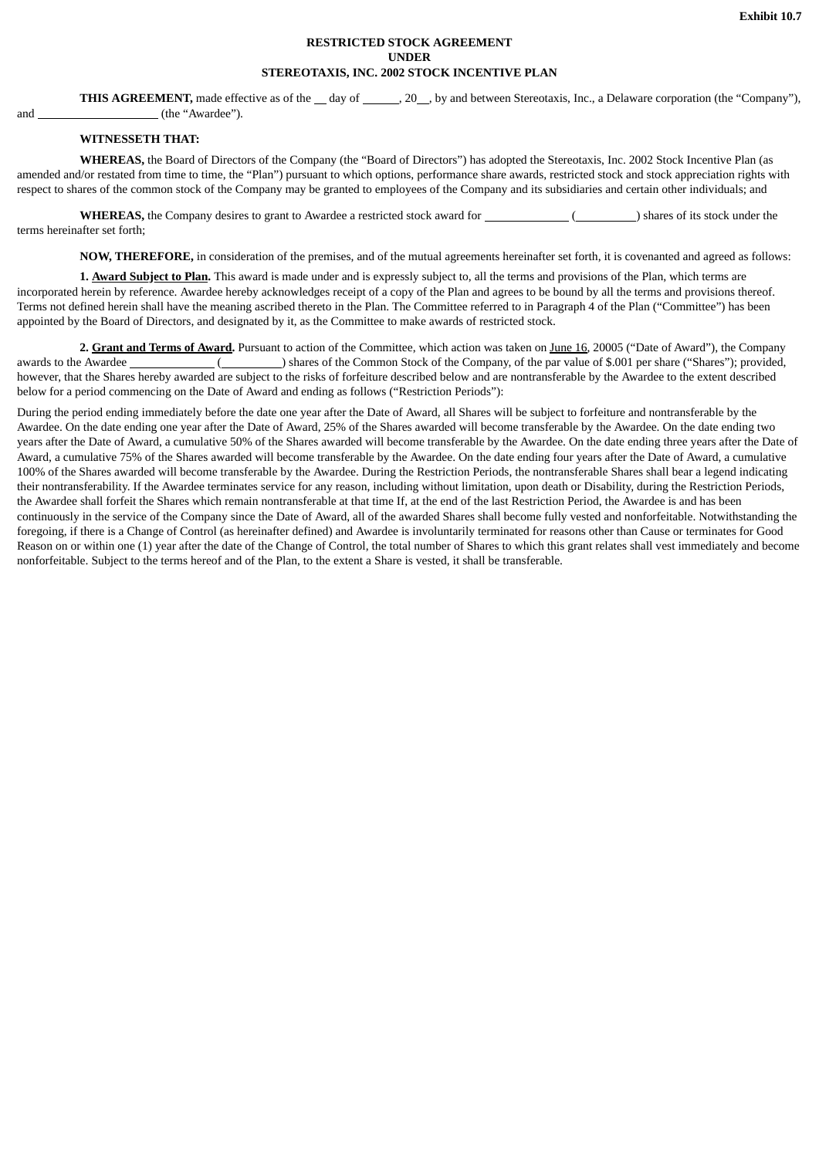# **RESTRICTED STOCK AGREEMENT UNDER STEREOTAXIS, INC. 2002 STOCK INCENTIVE PLAN**

**THIS AGREEMENT**, made effective as of the \_\_ day of \_\_\_\_\_\_, 20 \_\_, by and between Stereotaxis, Inc., a Delaware corporation (the "Company"). and (the "Awardee").

# **WITNESSETH THAT:**

**WHEREAS,** the Board of Directors of the Company (the "Board of Directors") has adopted the Stereotaxis, Inc. 2002 Stock Incentive Plan (as amended and/or restated from time to time, the "Plan") pursuant to which options, performance share awards, restricted stock and stock appreciation rights with respect to shares of the common stock of the Company may be granted to employees of the Company and its subsidiaries and certain other individuals; and

**WHEREAS,** the Company desires to grant to Awardee a restricted stock award for ( ) shares of its stock under the terms hereinafter set forth;

**NOW, THEREFORE,** in consideration of the premises, and of the mutual agreements hereinafter set forth, it is covenanted and agreed as follows:

**1. Award Subject to Plan.** This award is made under and is expressly subject to, all the terms and provisions of the Plan, which terms are incorporated herein by reference. Awardee hereby acknowledges receipt of a copy of the Plan and agrees to be bound by all the terms and provisions thereof. Terms not defined herein shall have the meaning ascribed thereto in the Plan. The Committee referred to in Paragraph 4 of the Plan ("Committee") has been appointed by the Board of Directors, and designated by it, as the Committee to make awards of restricted stock.

**2. Grant and Terms of Award.** Pursuant to action of the Committee, which action was taken on June 16, 20005 ("Date of Award"), the Company awards to the Awardee ( ) shares of the Common Stock of the Company, of the par value of \$.001 per share ("Shares"); provided, however, that the Shares hereby awarded are subject to the risks of forfeiture described below and are nontransferable by the Awardee to the extent described below for a period commencing on the Date of Award and ending as follows ("Restriction Periods"):

During the period ending immediately before the date one year after the Date of Award, all Shares will be subject to forfeiture and nontransferable by the Awardee. On the date ending one year after the Date of Award, 25% of the Shares awarded will become transferable by the Awardee. On the date ending two years after the Date of Award, a cumulative 50% of the Shares awarded will become transferable by the Awardee. On the date ending three years after the Date of Award, a cumulative 75% of the Shares awarded will become transferable by the Awardee. On the date ending four years after the Date of Award, a cumulative 100% of the Shares awarded will become transferable by the Awardee. During the Restriction Periods, the nontransferable Shares shall bear a legend indicating their nontransferability. If the Awardee terminates service for any reason, including without limitation, upon death or Disability, during the Restriction Periods, the Awardee shall forfeit the Shares which remain nontransferable at that time If, at the end of the last Restriction Period, the Awardee is and has been continuously in the service of the Company since the Date of Award, all of the awarded Shares shall become fully vested and nonforfeitable. Notwithstanding the foregoing, if there is a Change of Control (as hereinafter defined) and Awardee is involuntarily terminated for reasons other than Cause or terminates for Good Reason on or within one (1) year after the date of the Change of Control, the total number of Shares to which this grant relates shall vest immediately and become nonforfeitable. Subject to the terms hereof and of the Plan, to the extent a Share is vested, it shall be transferable.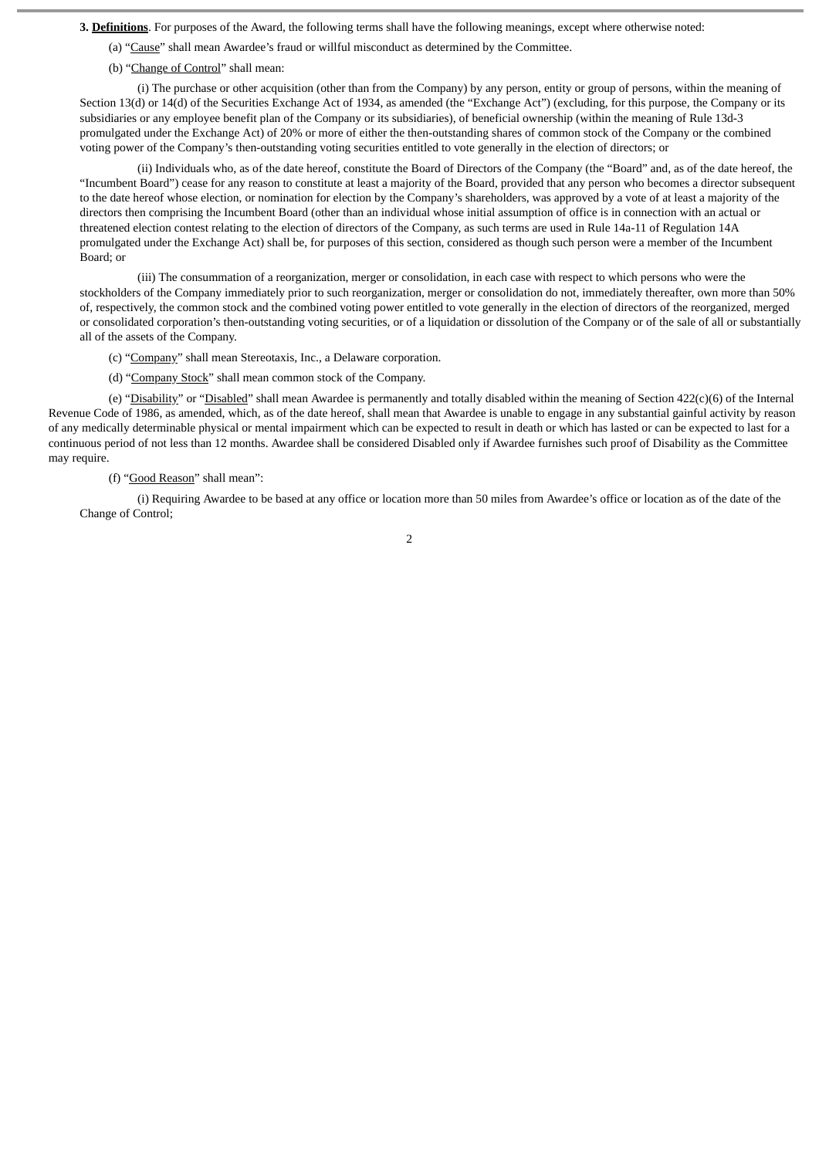**3. Definitions**. For purposes of the Award, the following terms shall have the following meanings, except where otherwise noted:

- (a) "Cause" shall mean Awardee's fraud or willful misconduct as determined by the Committee.
- (b) "Change of Control" shall mean:

(i) The purchase or other acquisition (other than from the Company) by any person, entity or group of persons, within the meaning of Section 13(d) or 14(d) of the Securities Exchange Act of 1934, as amended (the "Exchange Act") (excluding, for this purpose, the Company or its subsidiaries or any employee benefit plan of the Company or its subsidiaries), of beneficial ownership (within the meaning of Rule 13d-3 promulgated under the Exchange Act) of 20% or more of either the then-outstanding shares of common stock of the Company or the combined voting power of the Company's then-outstanding voting securities entitled to vote generally in the election of directors; or

(ii) Individuals who, as of the date hereof, constitute the Board of Directors of the Company (the "Board" and, as of the date hereof, the "Incumbent Board") cease for any reason to constitute at least a majority of the Board, provided that any person who becomes a director subsequent to the date hereof whose election, or nomination for election by the Company's shareholders, was approved by a vote of at least a majority of the directors then comprising the Incumbent Board (other than an individual whose initial assumption of office is in connection with an actual or threatened election contest relating to the election of directors of the Company, as such terms are used in Rule 14a-11 of Regulation 14A promulgated under the Exchange Act) shall be, for purposes of this section, considered as though such person were a member of the Incumbent Board; or

(iii) The consummation of a reorganization, merger or consolidation, in each case with respect to which persons who were the stockholders of the Company immediately prior to such reorganization, merger or consolidation do not, immediately thereafter, own more than 50% of, respectively, the common stock and the combined voting power entitled to vote generally in the election of directors of the reorganized, merged or consolidated corporation's then-outstanding voting securities, or of a liquidation or dissolution of the Company or of the sale of all or substantially all of the assets of the Company.

(c) "Company" shall mean Stereotaxis, Inc., a Delaware corporation.

(d) "Company Stock" shall mean common stock of the Company.

(e) "Disability" or "Disabled" shall mean Awardee is permanently and totally disabled within the meaning of Section 422(c)(6) of the Internal Revenue Code of 1986, as amended, which, as of the date hereof, shall mean that Awardee is unable to engage in any substantial gainful activity by reason of any medically determinable physical or mental impairment which can be expected to result in death or which has lasted or can be expected to last for a continuous period of not less than 12 months. Awardee shall be considered Disabled only if Awardee furnishes such proof of Disability as the Committee may require.

#### (f) "Good Reason" shall mean":

(i) Requiring Awardee to be based at any office or location more than 50 miles from Awardee's office or location as of the date of the Change of Control;

 $\overline{2}$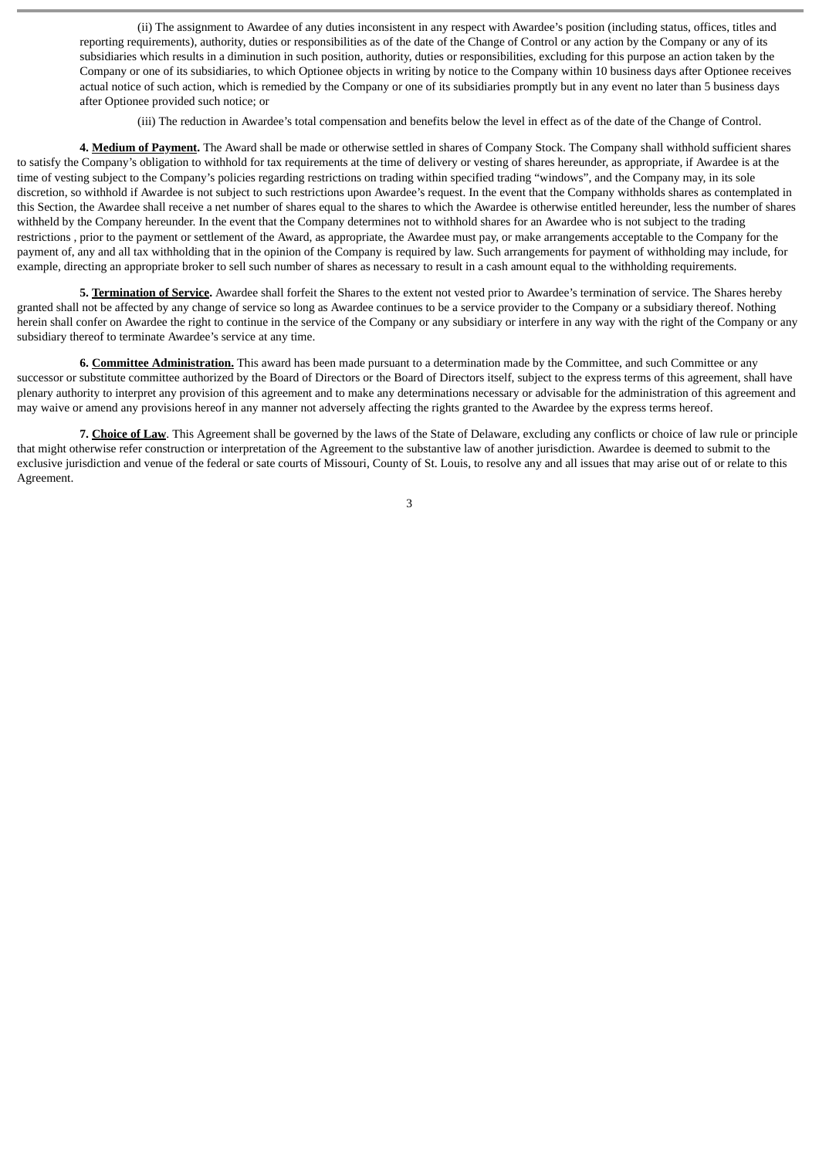(ii) The assignment to Awardee of any duties inconsistent in any respect with Awardee's position (including status, offices, titles and reporting requirements), authority, duties or responsibilities as of the date of the Change of Control or any action by the Company or any of its subsidiaries which results in a diminution in such position, authority, duties or responsibilities, excluding for this purpose an action taken by the Company or one of its subsidiaries, to which Optionee objects in writing by notice to the Company within 10 business days after Optionee receives actual notice of such action, which is remedied by the Company or one of its subsidiaries promptly but in any event no later than 5 business days after Optionee provided such notice; or

(iii) The reduction in Awardee's total compensation and benefits below the level in effect as of the date of the Change of Control.

**4. Medium of Payment.** The Award shall be made or otherwise settled in shares of Company Stock. The Company shall withhold sufficient shares to satisfy the Company's obligation to withhold for tax requirements at the time of delivery or vesting of shares hereunder, as appropriate, if Awardee is at the time of vesting subject to the Company's policies regarding restrictions on trading within specified trading "windows", and the Company may, in its sole discretion, so withhold if Awardee is not subject to such restrictions upon Awardee's request. In the event that the Company withholds shares as contemplated in this Section, the Awardee shall receive a net number of shares equal to the shares to which the Awardee is otherwise entitled hereunder, less the number of shares withheld by the Company hereunder. In the event that the Company determines not to withhold shares for an Awardee who is not subject to the trading restrictions , prior to the payment or settlement of the Award, as appropriate, the Awardee must pay, or make arrangements acceptable to the Company for the payment of, any and all tax withholding that in the opinion of the Company is required by law. Such arrangements for payment of withholding may include, for example, directing an appropriate broker to sell such number of shares as necessary to result in a cash amount equal to the withholding requirements.

**5. Termination of Service.** Awardee shall forfeit the Shares to the extent not vested prior to Awardee's termination of service. The Shares hereby granted shall not be affected by any change of service so long as Awardee continues to be a service provider to the Company or a subsidiary thereof. Nothing herein shall confer on Awardee the right to continue in the service of the Company or any subsidiary or interfere in any way with the right of the Company or any subsidiary thereof to terminate Awardee's service at any time.

**6. Committee Administration.** This award has been made pursuant to a determination made by the Committee, and such Committee or any successor or substitute committee authorized by the Board of Directors or the Board of Directors itself, subject to the express terms of this agreement, shall have plenary authority to interpret any provision of this agreement and to make any determinations necessary or advisable for the administration of this agreement and may waive or amend any provisions hereof in any manner not adversely affecting the rights granted to the Awardee by the express terms hereof.

**7. Choice of Law**. This Agreement shall be governed by the laws of the State of Delaware, excluding any conflicts or choice of law rule or principle that might otherwise refer construction or interpretation of the Agreement to the substantive law of another jurisdiction. Awardee is deemed to submit to the exclusive jurisdiction and venue of the federal or sate courts of Missouri, County of St. Louis, to resolve any and all issues that may arise out of or relate to this Agreement.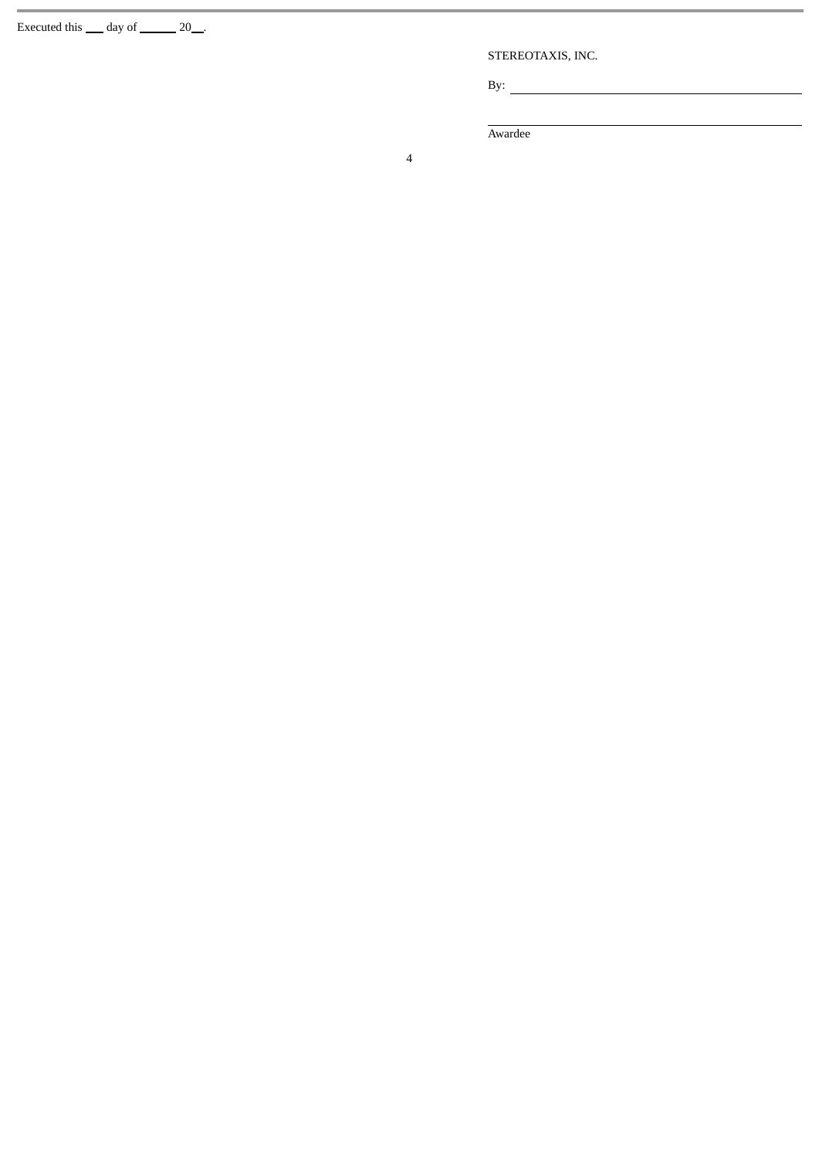Executed this  $\_\_$  day of  $\_\_$  20  $\_\_$ .

STEREOTAXIS, INC.

 $\sim$ 

By:  $\overline{\phantom{a}}$ 

Awardee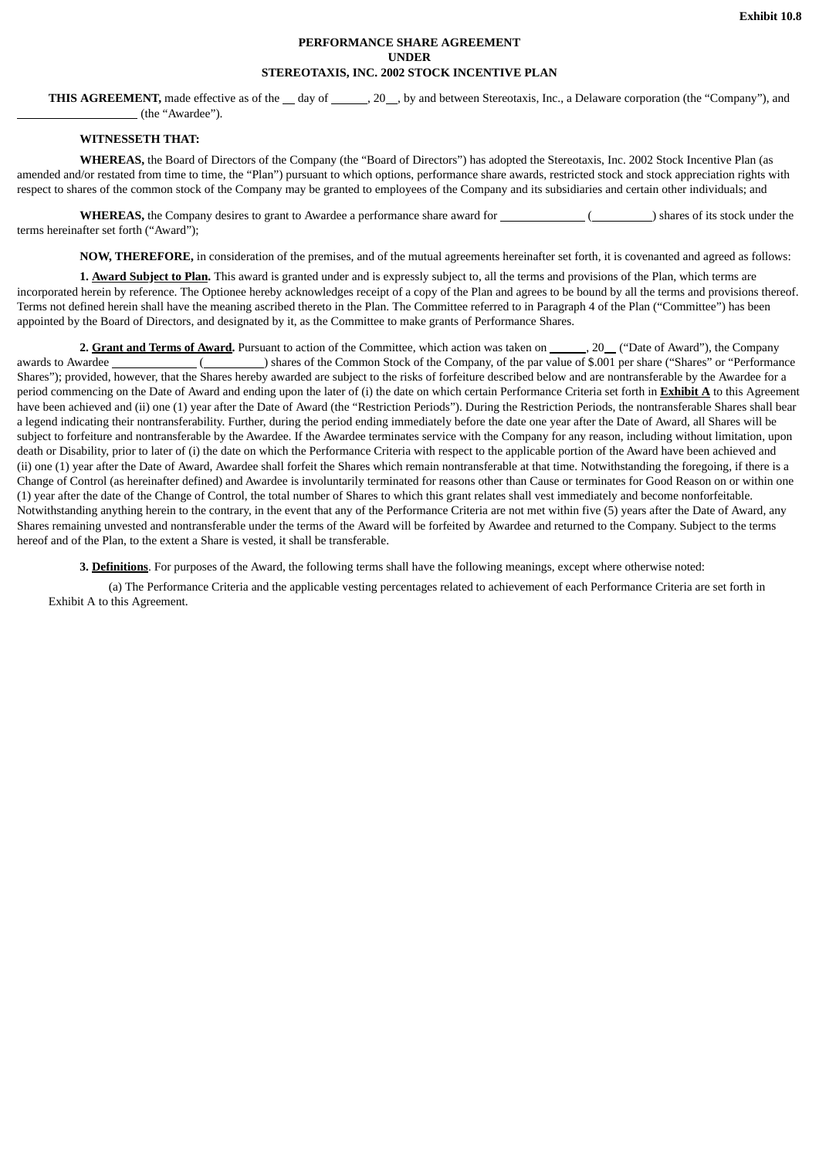# **PERFORMANCE SHARE AGREEMENT UNDER STEREOTAXIS, INC. 2002 STOCK INCENTIVE PLAN**

**THIS AGREEMENT**, made effective as of the day of  $\qquad \qquad .20$ , by and between Stereotaxis, Inc., a Delaware corporation (the "Company"), and (the "Awardee").

# **WITNESSETH THAT:**

**WHEREAS,** the Board of Directors of the Company (the "Board of Directors") has adopted the Stereotaxis, Inc. 2002 Stock Incentive Plan (as amended and/or restated from time to time, the "Plan") pursuant to which options, performance share awards, restricted stock and stock appreciation rights with respect to shares of the common stock of the Company may be granted to employees of the Company and its subsidiaries and certain other individuals; and

**WHEREAS,** the Company desires to grant to Awardee a performance share award for ( ) shares of its stock under the terms hereinafter set forth ("Award");

**NOW, THEREFORE,** in consideration of the premises, and of the mutual agreements hereinafter set forth, it is covenanted and agreed as follows:

**1. Award Subject to Plan.** This award is granted under and is expressly subject to, all the terms and provisions of the Plan, which terms are incorporated herein by reference. The Optionee hereby acknowledges receipt of a copy of the Plan and agrees to be bound by all the terms and provisions thereof. Terms not defined herein shall have the meaning ascribed thereto in the Plan. The Committee referred to in Paragraph 4 of the Plan ("Committee") has been appointed by the Board of Directors, and designated by it, as the Committee to make grants of Performance Shares.

2. Grant and Terms of Award. Pursuant to action of the Committee, which action was taken on \_\_\_\_\_\_, 20<sub>\_\_</sub> ("Date of Award"), the Company awards to Awardee ( ) shares of the Common Stock of the Company, of the par value of \$.001 per share ("Shares" or "Performance" Shares"); provided, however, that the Shares hereby awarded are subject to the risks of forfeiture described below and are nontransferable by the Awardee for a period commencing on the Date of Award and ending upon the later of (i) the date on which certain Performance Criteria set forth in **Exhibit A** to this Agreement have been achieved and (ii) one (1) year after the Date of Award (the "Restriction Periods"). During the Restriction Periods, the nontransferable Shares shall bear a legend indicating their nontransferability. Further, during the period ending immediately before the date one year after the Date of Award, all Shares will be subject to forfeiture and nontransferable by the Awardee. If the Awardee terminates service with the Company for any reason, including without limitation, upon death or Disability, prior to later of (i) the date on which the Performance Criteria with respect to the applicable portion of the Award have been achieved and (ii) one (1) year after the Date of Award, Awardee shall forfeit the Shares which remain nontransferable at that time. Notwithstanding the foregoing, if there is a Change of Control (as hereinafter defined) and Awardee is involuntarily terminated for reasons other than Cause or terminates for Good Reason on or within one (1) year after the date of the Change of Control, the total number of Shares to which this grant relates shall vest immediately and become nonforfeitable. Notwithstanding anything herein to the contrary, in the event that any of the Performance Criteria are not met within five (5) years after the Date of Award, any Shares remaining unvested and nontransferable under the terms of the Award will be forfeited by Awardee and returned to the Company. Subject to the terms hereof and of the Plan, to the extent a Share is vested, it shall be transferable.

**3. Definitions**. For purposes of the Award, the following terms shall have the following meanings, except where otherwise noted:

(a) The Performance Criteria and the applicable vesting percentages related to achievement of each Performance Criteria are set forth in Exhibit A to this Agreement.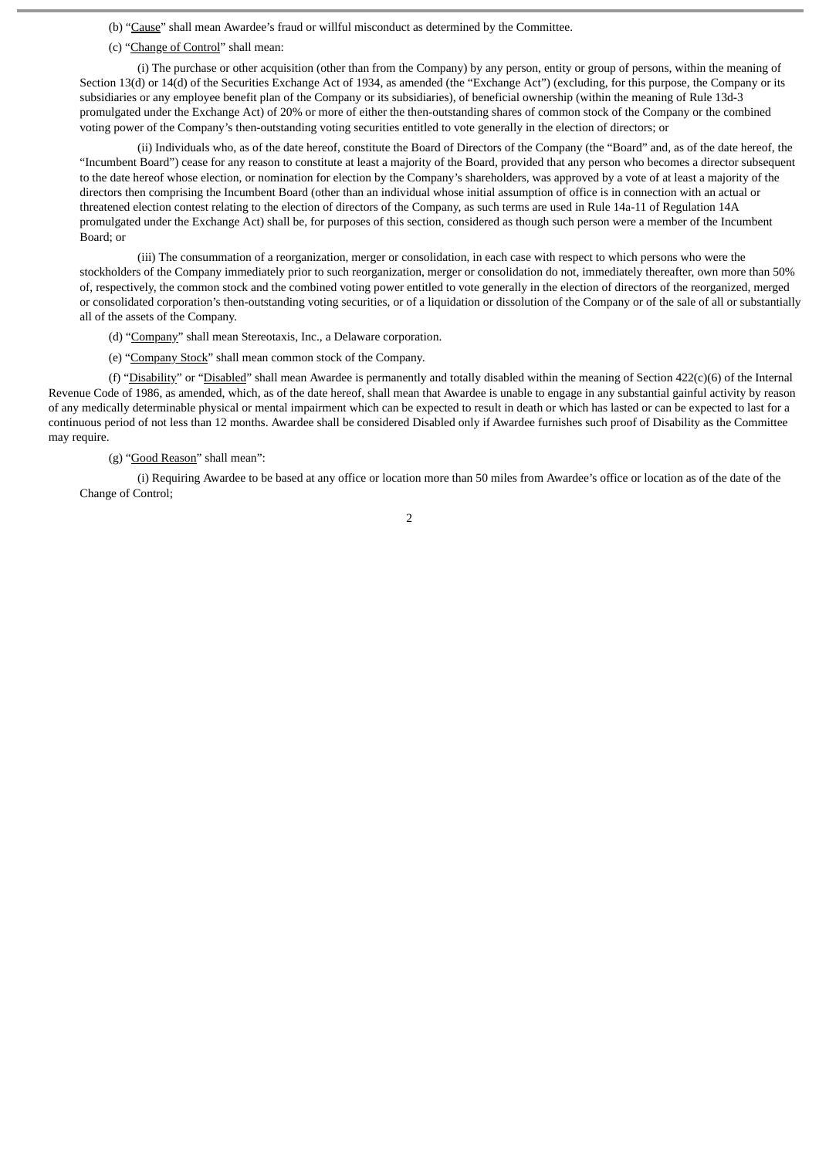(b) "Cause" shall mean Awardee's fraud or willful misconduct as determined by the Committee.

(c) "Change of Control" shall mean:

(i) The purchase or other acquisition (other than from the Company) by any person, entity or group of persons, within the meaning of Section 13(d) or 14(d) of the Securities Exchange Act of 1934, as amended (the "Exchange Act") (excluding, for this purpose, the Company or its subsidiaries or any employee benefit plan of the Company or its subsidiaries), of beneficial ownership (within the meaning of Rule 13d-3 promulgated under the Exchange Act) of 20% or more of either the then-outstanding shares of common stock of the Company or the combined voting power of the Company's then-outstanding voting securities entitled to vote generally in the election of directors; or

(ii) Individuals who, as of the date hereof, constitute the Board of Directors of the Company (the "Board" and, as of the date hereof, the "Incumbent Board") cease for any reason to constitute at least a majority of the Board, provided that any person who becomes a director subsequent to the date hereof whose election, or nomination for election by the Company's shareholders, was approved by a vote of at least a majority of the directors then comprising the Incumbent Board (other than an individual whose initial assumption of office is in connection with an actual or threatened election contest relating to the election of directors of the Company, as such terms are used in Rule 14a-11 of Regulation 14A promulgated under the Exchange Act) shall be, for purposes of this section, considered as though such person were a member of the Incumbent Board; or

(iii) The consummation of a reorganization, merger or consolidation, in each case with respect to which persons who were the stockholders of the Company immediately prior to such reorganization, merger or consolidation do not, immediately thereafter, own more than 50% of, respectively, the common stock and the combined voting power entitled to vote generally in the election of directors of the reorganized, merged or consolidated corporation's then-outstanding voting securities, or of a liquidation or dissolution of the Company or of the sale of all or substantially all of the assets of the Company.

(d) "Company" shall mean Stereotaxis, Inc., a Delaware corporation.

(e) "Company Stock" shall mean common stock of the Company.

(f) "Disability" or "Disabled" shall mean Awardee is permanently and totally disabled within the meaning of Section 422(c)(6) of the Internal Revenue Code of 1986, as amended, which, as of the date hereof, shall mean that Awardee is unable to engage in any substantial gainful activity by reason of any medically determinable physical or mental impairment which can be expected to result in death or which has lasted or can be expected to last for a continuous period of not less than 12 months. Awardee shall be considered Disabled only if Awardee furnishes such proof of Disability as the Committee may require.

#### (g) "Good Reason" shall mean":

(i) Requiring Awardee to be based at any office or location more than 50 miles from Awardee's office or location as of the date of the Change of Control;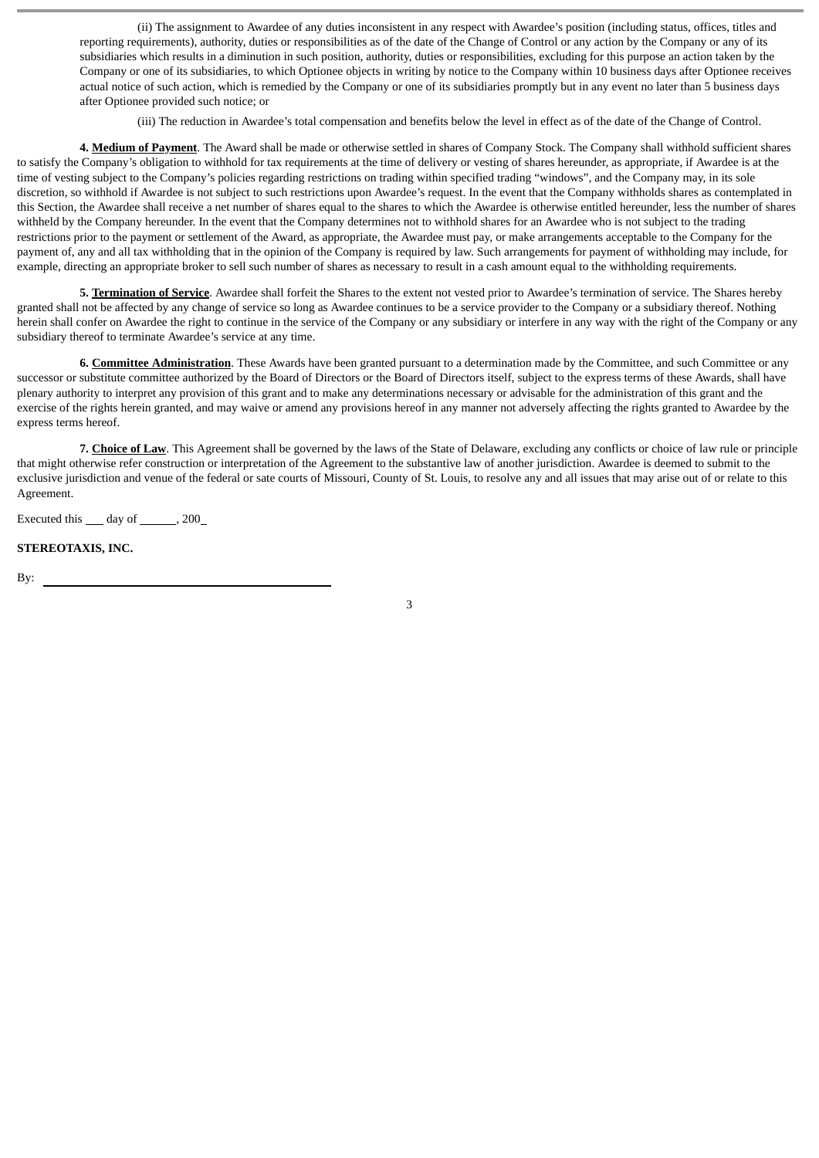(ii) The assignment to Awardee of any duties inconsistent in any respect with Awardee's position (including status, offices, titles and reporting requirements), authority, duties or responsibilities as of the date of the Change of Control or any action by the Company or any of its subsidiaries which results in a diminution in such position, authority, duties or responsibilities, excluding for this purpose an action taken by the Company or one of its subsidiaries, to which Optionee objects in writing by notice to the Company within 10 business days after Optionee receives actual notice of such action, which is remedied by the Company or one of its subsidiaries promptly but in any event no later than 5 business days after Optionee provided such notice; or

(iii) The reduction in Awardee's total compensation and benefits below the level in effect as of the date of the Change of Control.

**4. Medium of Payment**. The Award shall be made or otherwise settled in shares of Company Stock. The Company shall withhold sufficient shares to satisfy the Company's obligation to withhold for tax requirements at the time of delivery or vesting of shares hereunder, as appropriate, if Awardee is at the time of vesting subject to the Company's policies regarding restrictions on trading within specified trading "windows", and the Company may, in its sole discretion, so withhold if Awardee is not subject to such restrictions upon Awardee's request. In the event that the Company withholds shares as contemplated in this Section, the Awardee shall receive a net number of shares equal to the shares to which the Awardee is otherwise entitled hereunder, less the number of shares withheld by the Company hereunder. In the event that the Company determines not to withhold shares for an Awardee who is not subject to the trading restrictions prior to the payment or settlement of the Award, as appropriate, the Awardee must pay, or make arrangements acceptable to the Company for the payment of, any and all tax withholding that in the opinion of the Company is required by law. Such arrangements for payment of withholding may include, for example, directing an appropriate broker to sell such number of shares as necessary to result in a cash amount equal to the withholding requirements.

**5. Termination of Service**. Awardee shall forfeit the Shares to the extent not vested prior to Awardee's termination of service. The Shares hereby granted shall not be affected by any change of service so long as Awardee continues to be a service provider to the Company or a subsidiary thereof. Nothing herein shall confer on Awardee the right to continue in the service of the Company or any subsidiary or interfere in any way with the right of the Company or any subsidiary thereof to terminate Awardee's service at any time.

**6. Committee Administration**. These Awards have been granted pursuant to a determination made by the Committee, and such Committee or any successor or substitute committee authorized by the Board of Directors or the Board of Directors itself, subject to the express terms of these Awards, shall have plenary authority to interpret any provision of this grant and to make any determinations necessary or advisable for the administration of this grant and the exercise of the rights herein granted, and may waive or amend any provisions hereof in any manner not adversely affecting the rights granted to Awardee by the express terms hereof.

**7. Choice of Law**. This Agreement shall be governed by the laws of the State of Delaware, excluding any conflicts or choice of law rule or principle that might otherwise refer construction or interpretation of the Agreement to the substantive law of another jurisdiction. Awardee is deemed to submit to the exclusive jurisdiction and venue of the federal or sate courts of Missouri, County of St. Louis, to resolve any and all issues that may arise out of or relate to this Agreement.

Executed this day of , 200

#### **STEREOTAXIS, INC.**

By: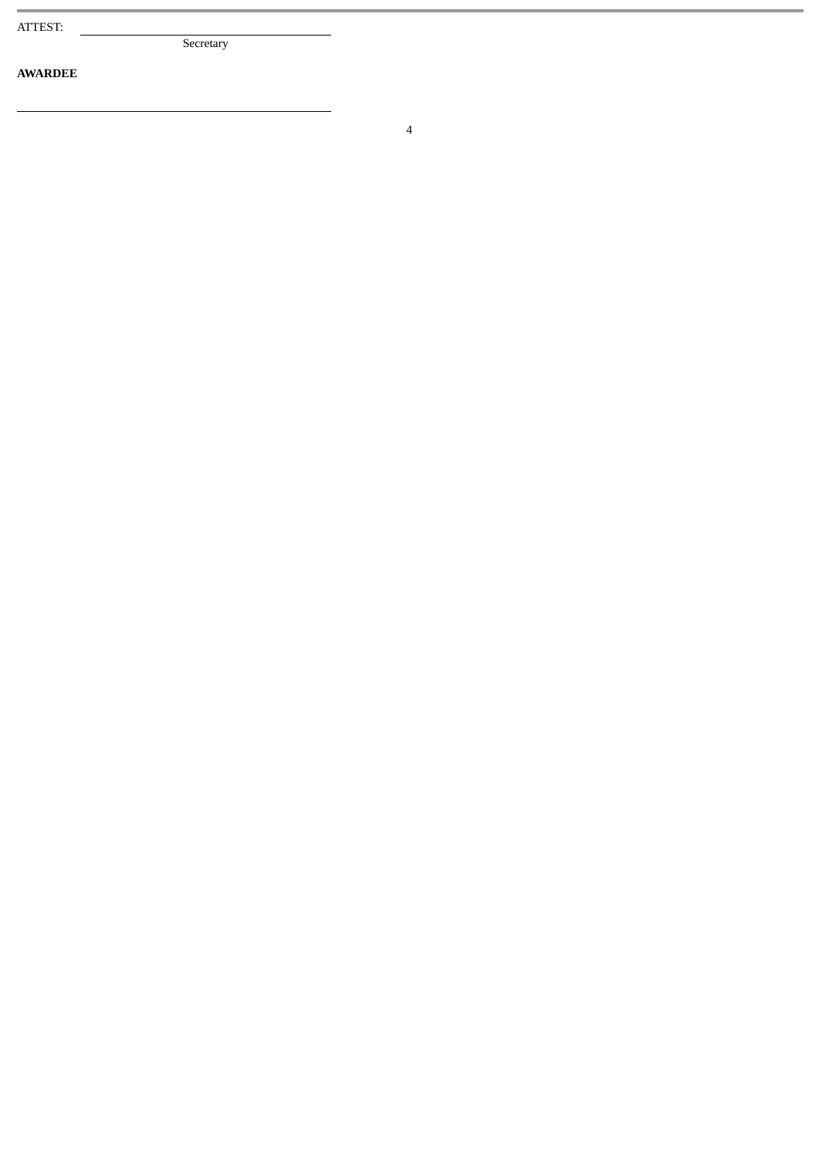**AWARDEE**

Secretary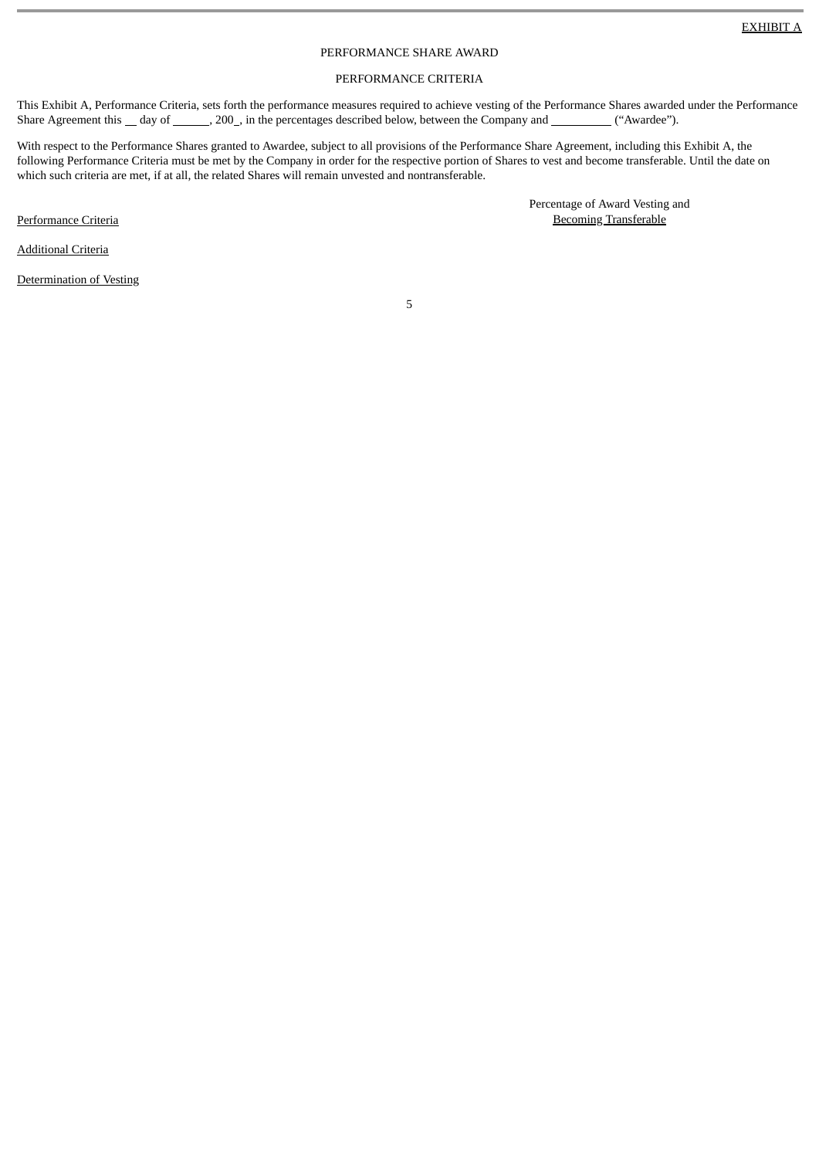# PERFORMANCE SHARE AWARD

#### PERFORMANCE CRITERIA

This Exhibit A, Performance Criteria, sets forth the performance measures required to achieve vesting of the Performance Shares awarded under the Performance Share Agreement this \_day of \_\_\_\_\_\_, 200\_, in the percentages described below, between the Company and \_\_\_\_\_\_\_("Awardee").

With respect to the Performance Shares granted to Awardee, subject to all provisions of the Performance Share Agreement, including this Exhibit A, the following Performance Criteria must be met by the Company in order for the respective portion of Shares to vest and become transferable. Until the date on which such criteria are met, if at all, the related Shares will remain unvested and nontransferable.

Performance Criteria

Percentage of Award Vesting and Becoming Transferable

Additional Criteria

Determination of Vesting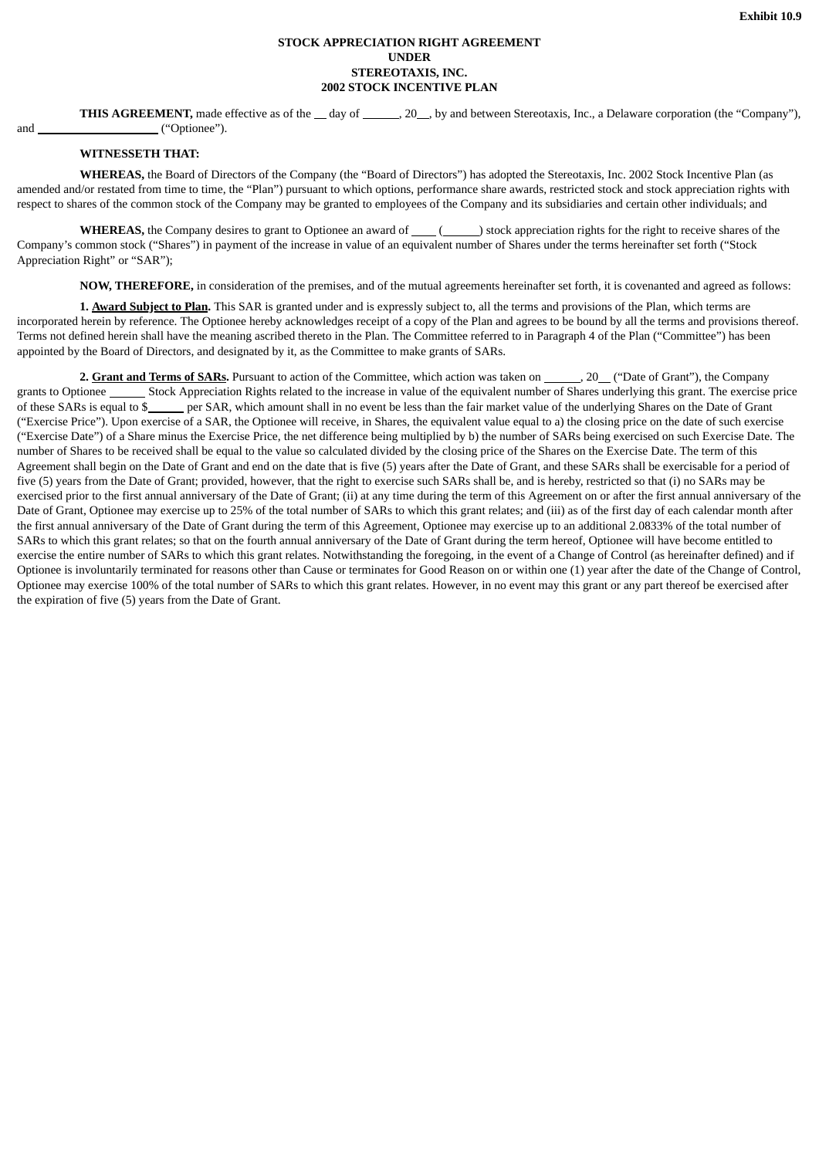# **STOCK APPRECIATION RIGHT AGREEMENT UNDER STEREOTAXIS, INC. 2002 STOCK INCENTIVE PLAN**

**THIS AGREEMENT**, made effective as of the day of  $\_\_\_$ , 20, by and between Stereotaxis, Inc., a Delaware corporation (the "Company"), and ("Optionee").

# **WITNESSETH THAT:**

**WHEREAS,** the Board of Directors of the Company (the "Board of Directors") has adopted the Stereotaxis, Inc. 2002 Stock Incentive Plan (as amended and/or restated from time to time, the "Plan") pursuant to which options, performance share awards, restricted stock and stock appreciation rights with respect to shares of the common stock of the Company may be granted to employees of the Company and its subsidiaries and certain other individuals; and

**WHEREAS,** the Company desires to grant to Optionee an award of \_\_\_\_(\_\_\_\_\_\_) stock appreciation rights for the right to receive shares of the Company's common stock ("Shares") in payment of the increase in value of an equivalent number of Shares under the terms hereinafter set forth ("Stock Appreciation Right" or "SAR");

**NOW, THEREFORE,** in consideration of the premises, and of the mutual agreements hereinafter set forth, it is covenanted and agreed as follows:

**1. Award Subject to Plan.** This SAR is granted under and is expressly subject to, all the terms and provisions of the Plan, which terms are incorporated herein by reference. The Optionee hereby acknowledges receipt of a copy of the Plan and agrees to be bound by all the terms and provisions thereof. Terms not defined herein shall have the meaning ascribed thereto in the Plan. The Committee referred to in Paragraph 4 of the Plan ("Committee") has been appointed by the Board of Directors, and designated by it, as the Committee to make grants of SARs.

**2. Grant and Terms of SARs.** Pursuant to action of the Committee, which action was taken on , 20 ("Date of Grant"), the Company grants to Optionee \_\_\_\_\_\_\_\_ Stock Appreciation Rights related to the increase in value of the equivalent number of Shares underlying this grant. The exercise price of these SARs is equal to \$ per SAR, which amount shall in per SAR, which amount shall in no event be less than the fair market value of the underlying Shares on the Date of Grant ("Exercise Price"). Upon exercise of a SAR, the Optionee will receive, in Shares, the equivalent value equal to a) the closing price on the date of such exercise ("Exercise Date") of a Share minus the Exercise Price, the net difference being multiplied by b) the number of SARs being exercised on such Exercise Date. The number of Shares to be received shall be equal to the value so calculated divided by the closing price of the Shares on the Exercise Date. The term of this Agreement shall begin on the Date of Grant and end on the date that is five (5) years after the Date of Grant, and these SARs shall be exercisable for a period of five (5) years from the Date of Grant; provided, however, that the right to exercise such SARs shall be, and is hereby, restricted so that (i) no SARs may be exercised prior to the first annual anniversary of the Date of Grant; (ii) at any time during the term of this Agreement on or after the first annual anniversary of the Date of Grant, Optionee may exercise up to 25% of the total number of SARs to which this grant relates; and (iii) as of the first day of each calendar month after the first annual anniversary of the Date of Grant during the term of this Agreement, Optionee may exercise up to an additional 2.0833% of the total number of SARs to which this grant relates; so that on the fourth annual anniversary of the Date of Grant during the term hereof, Optionee will have become entitled to exercise the entire number of SARs to which this grant relates. Notwithstanding the foregoing, in the event of a Change of Control (as hereinafter defined) and if Optionee is involuntarily terminated for reasons other than Cause or terminates for Good Reason on or within one (1) year after the date of the Change of Control, Optionee may exercise 100% of the total number of SARs to which this grant relates. However, in no event may this grant or any part thereof be exercised after the expiration of five (5) years from the Date of Grant.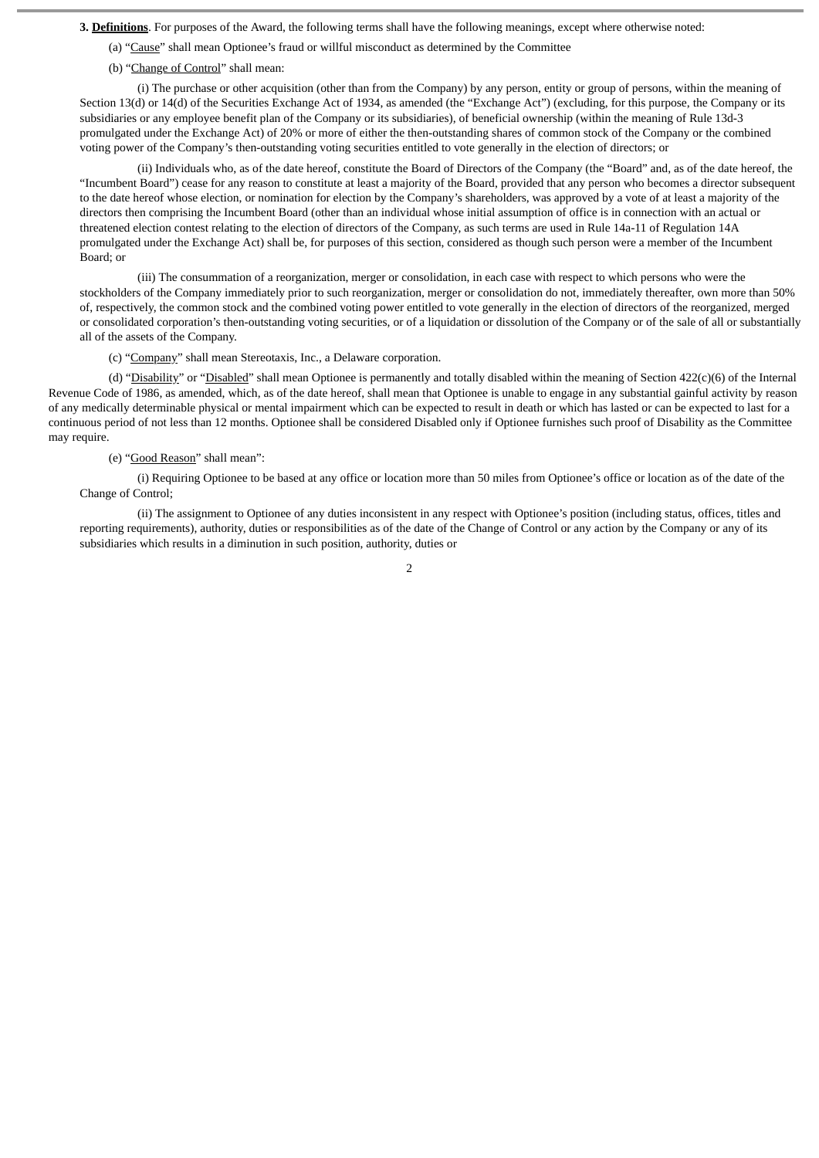**3. Definitions**. For purposes of the Award, the following terms shall have the following meanings, except where otherwise noted:

- (a) "Cause" shall mean Optionee's fraud or willful misconduct as determined by the Committee
- (b) "Change of Control" shall mean:

(i) The purchase or other acquisition (other than from the Company) by any person, entity or group of persons, within the meaning of Section 13(d) or 14(d) of the Securities Exchange Act of 1934, as amended (the "Exchange Act") (excluding, for this purpose, the Company or its subsidiaries or any employee benefit plan of the Company or its subsidiaries), of beneficial ownership (within the meaning of Rule 13d-3 promulgated under the Exchange Act) of 20% or more of either the then-outstanding shares of common stock of the Company or the combined voting power of the Company's then-outstanding voting securities entitled to vote generally in the election of directors; or

(ii) Individuals who, as of the date hereof, constitute the Board of Directors of the Company (the "Board" and, as of the date hereof, the "Incumbent Board") cease for any reason to constitute at least a majority of the Board, provided that any person who becomes a director subsequent to the date hereof whose election, or nomination for election by the Company's shareholders, was approved by a vote of at least a majority of the directors then comprising the Incumbent Board (other than an individual whose initial assumption of office is in connection with an actual or threatened election contest relating to the election of directors of the Company, as such terms are used in Rule 14a-11 of Regulation 14A promulgated under the Exchange Act) shall be, for purposes of this section, considered as though such person were a member of the Incumbent Board; or

(iii) The consummation of a reorganization, merger or consolidation, in each case with respect to which persons who were the stockholders of the Company immediately prior to such reorganization, merger or consolidation do not, immediately thereafter, own more than 50% of, respectively, the common stock and the combined voting power entitled to vote generally in the election of directors of the reorganized, merged or consolidated corporation's then-outstanding voting securities, or of a liquidation or dissolution of the Company or of the sale of all or substantially all of the assets of the Company.

(c) "Company" shall mean Stereotaxis, Inc., a Delaware corporation.

(d) "Disability" or "Disabled" shall mean Optionee is permanently and totally disabled within the meaning of Section 422(c)(6) of the Internal Revenue Code of 1986, as amended, which, as of the date hereof, shall mean that Optionee is unable to engage in any substantial gainful activity by reason of any medically determinable physical or mental impairment which can be expected to result in death or which has lasted or can be expected to last for a continuous period of not less than 12 months. Optionee shall be considered Disabled only if Optionee furnishes such proof of Disability as the Committee may require.

#### (e) "Good Reason" shall mean":

(i) Requiring Optionee to be based at any office or location more than 50 miles from Optionee's office or location as of the date of the Change of Control;

(ii) The assignment to Optionee of any duties inconsistent in any respect with Optionee's position (including status, offices, titles and reporting requirements), authority, duties or responsibilities as of the date of the Change of Control or any action by the Company or any of its subsidiaries which results in a diminution in such position, authority, duties or

 $\overline{2}$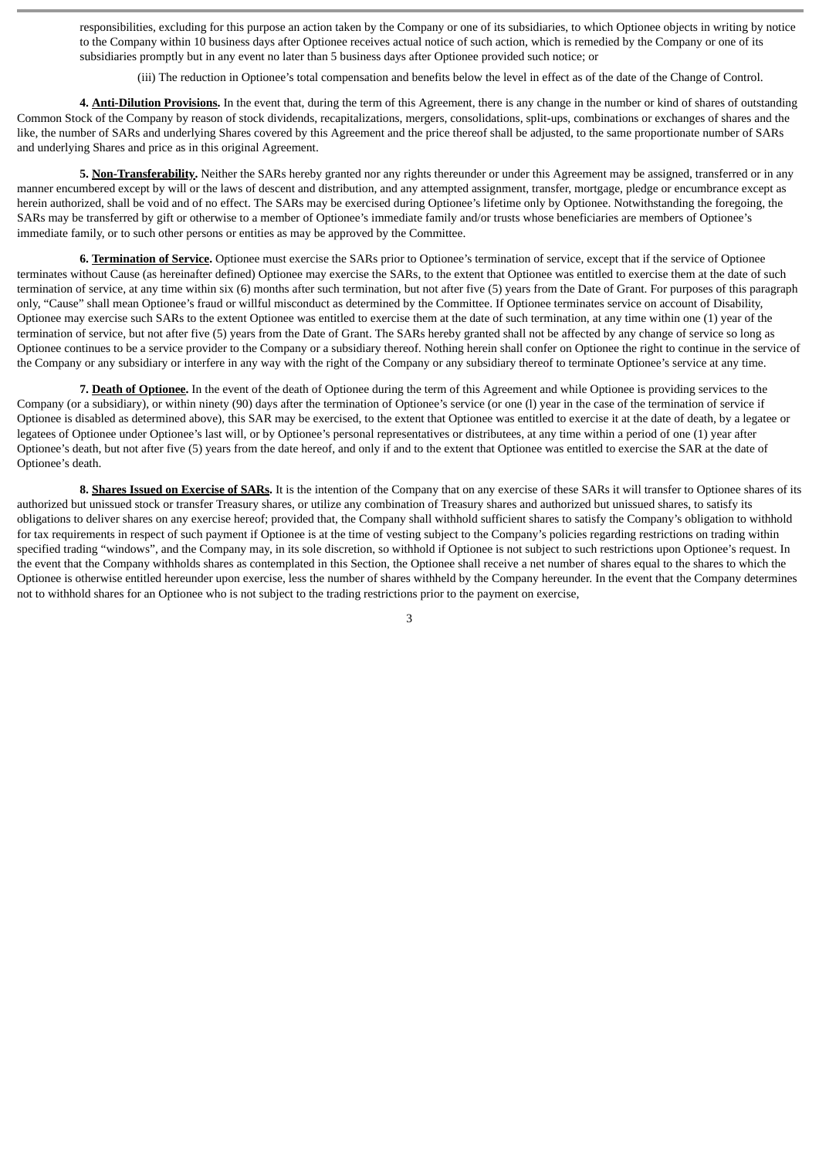responsibilities, excluding for this purpose an action taken by the Company or one of its subsidiaries, to which Optionee objects in writing by notice to the Company within 10 business days after Optionee receives actual notice of such action, which is remedied by the Company or one of its subsidiaries promptly but in any event no later than 5 business days after Optionee provided such notice; or

(iii) The reduction in Optionee's total compensation and benefits below the level in effect as of the date of the Change of Control.

**4. Anti-Dilution Provisions.** In the event that, during the term of this Agreement, there is any change in the number or kind of shares of outstanding Common Stock of the Company by reason of stock dividends, recapitalizations, mergers, consolidations, split-ups, combinations or exchanges of shares and the like, the number of SARs and underlying Shares covered by this Agreement and the price thereof shall be adjusted, to the same proportionate number of SARs and underlying Shares and price as in this original Agreement.

**5. Non-Transferability.** Neither the SARs hereby granted nor any rights thereunder or under this Agreement may be assigned, transferred or in any manner encumbered except by will or the laws of descent and distribution, and any attempted assignment, transfer, mortgage, pledge or encumbrance except as herein authorized, shall be void and of no effect. The SARs may be exercised during Optionee's lifetime only by Optionee. Notwithstanding the foregoing, the SARs may be transferred by gift or otherwise to a member of Optionee's immediate family and/or trusts whose beneficiaries are members of Optionee's immediate family, or to such other persons or entities as may be approved by the Committee.

**6. Termination of Service.** Optionee must exercise the SARs prior to Optionee's termination of service, except that if the service of Optionee terminates without Cause (as hereinafter defined) Optionee may exercise the SARs, to the extent that Optionee was entitled to exercise them at the date of such termination of service, at any time within six (6) months after such termination, but not after five (5) years from the Date of Grant. For purposes of this paragraph only, "Cause" shall mean Optionee's fraud or willful misconduct as determined by the Committee. If Optionee terminates service on account of Disability, Optionee may exercise such SARs to the extent Optionee was entitled to exercise them at the date of such termination, at any time within one (1) year of the termination of service, but not after five (5) years from the Date of Grant. The SARs hereby granted shall not be affected by any change of service so long as Optionee continues to be a service provider to the Company or a subsidiary thereof. Nothing herein shall confer on Optionee the right to continue in the service of the Company or any subsidiary or interfere in any way with the right of the Company or any subsidiary thereof to terminate Optionee's service at any time.

**7. Death of Optionee.** In the event of the death of Optionee during the term of this Agreement and while Optionee is providing services to the Company (or a subsidiary), or within ninety (90) days after the termination of Optionee's service (or one (l) year in the case of the termination of service if Optionee is disabled as determined above), this SAR may be exercised, to the extent that Optionee was entitled to exercise it at the date of death, by a legatee or legatees of Optionee under Optionee's last will, or by Optionee's personal representatives or distributees, at any time within a period of one (1) year after Optionee's death, but not after five (5) years from the date hereof, and only if and to the extent that Optionee was entitled to exercise the SAR at the date of Optionee's death.

8. Shares Issued on Exercise of SARs. It is the intention of the Company that on any exercise of these SARs it will transfer to Optionee shares of its authorized but unissued stock or transfer Treasury shares, or utilize any combination of Treasury shares and authorized but unissued shares, to satisfy its obligations to deliver shares on any exercise hereof; provided that, the Company shall withhold sufficient shares to satisfy the Company's obligation to withhold for tax requirements in respect of such payment if Optionee is at the time of vesting subject to the Company's policies regarding restrictions on trading within specified trading "windows", and the Company may, in its sole discretion, so withhold if Optionee is not subject to such restrictions upon Optionee's request. In the event that the Company withholds shares as contemplated in this Section, the Optionee shall receive a net number of shares equal to the shares to which the Optionee is otherwise entitled hereunder upon exercise, less the number of shares withheld by the Company hereunder. In the event that the Company determines not to withhold shares for an Optionee who is not subject to the trading restrictions prior to the payment on exercise,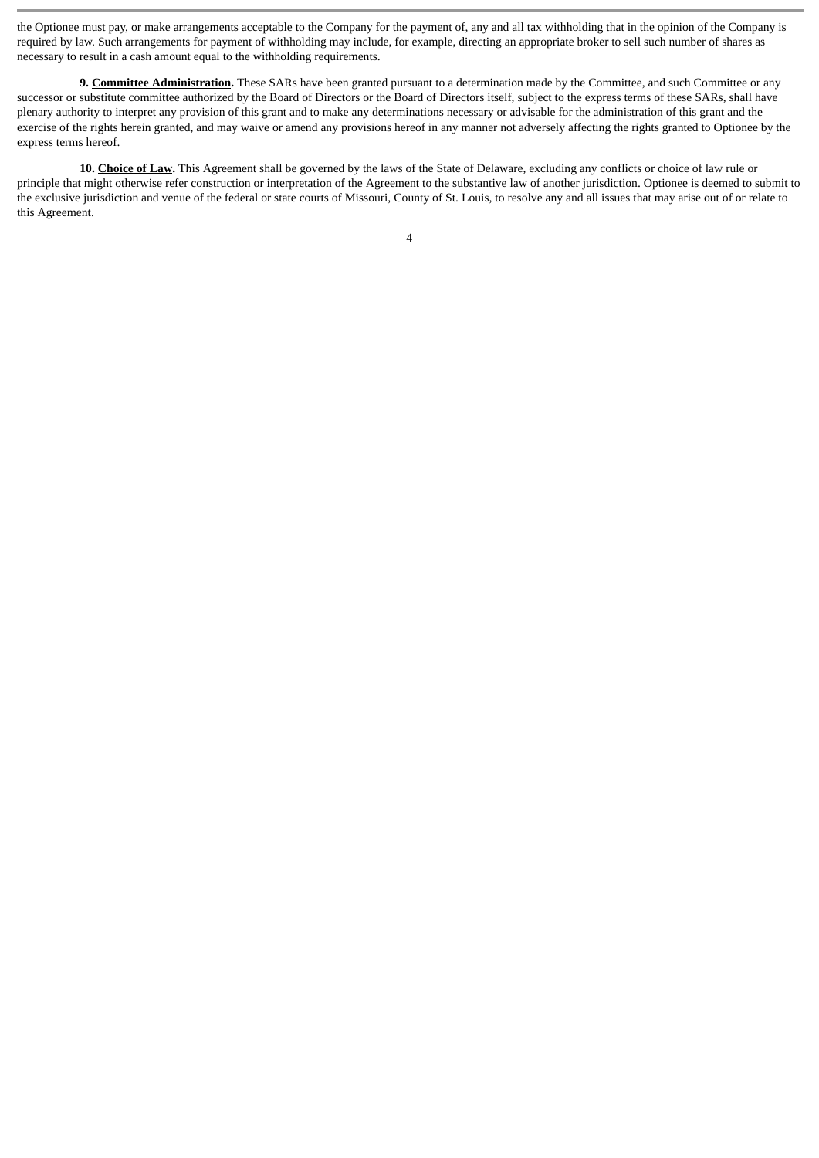the Optionee must pay, or make arrangements acceptable to the Company for the payment of, any and all tax withholding that in the opinion of the Company is required by law. Such arrangements for payment of withholding may include, for example, directing an appropriate broker to sell such number of shares as necessary to result in a cash amount equal to the withholding requirements.

**9. Committee Administration.** These SARs have been granted pursuant to a determination made by the Committee, and such Committee or any successor or substitute committee authorized by the Board of Directors or the Board of Directors itself, subject to the express terms of these SARs, shall have plenary authority to interpret any provision of this grant and to make any determinations necessary or advisable for the administration of this grant and the exercise of the rights herein granted, and may waive or amend any provisions hereof in any manner not adversely affecting the rights granted to Optionee by the express terms hereof.

**10. Choice of Law.** This Agreement shall be governed by the laws of the State of Delaware, excluding any conflicts or choice of law rule or principle that might otherwise refer construction or interpretation of the Agreement to the substantive law of another jurisdiction. Optionee is deemed to submit to the exclusive jurisdiction and venue of the federal or state courts of Missouri, County of St. Louis, to resolve any and all issues that may arise out of or relate to this Agreement.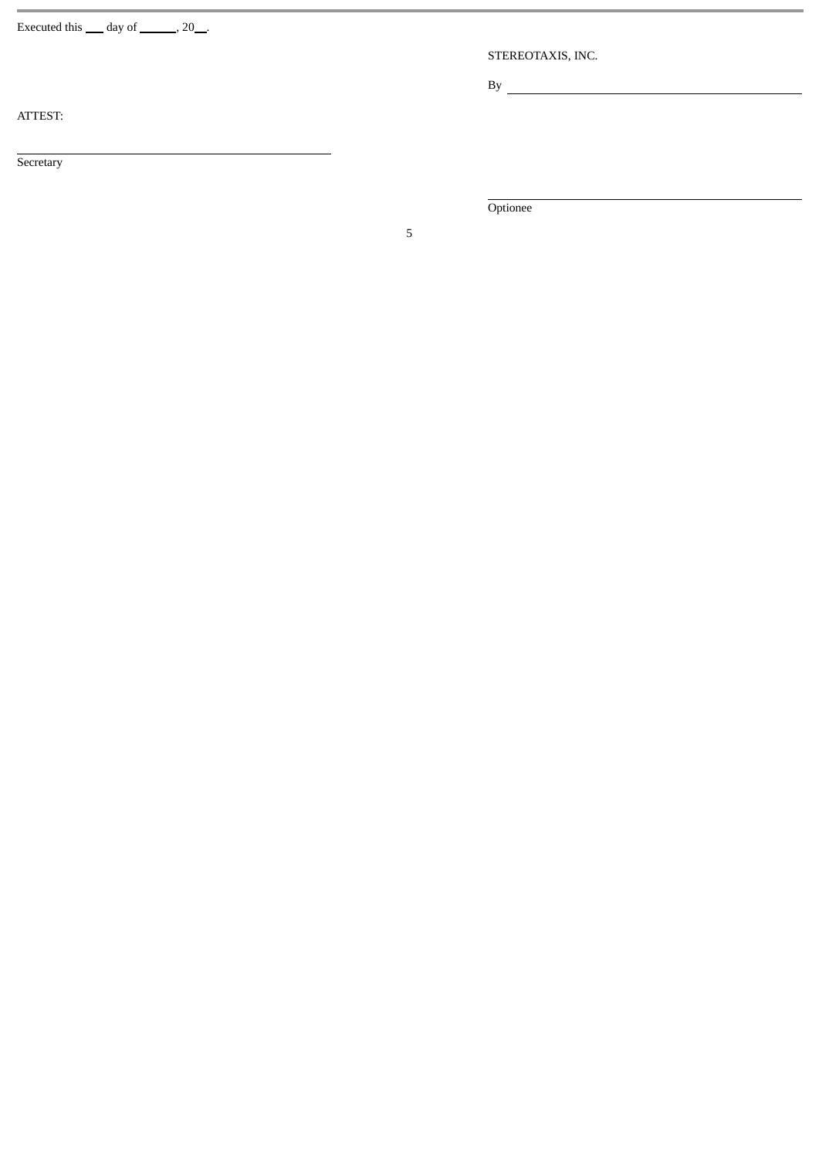Executed this  $\_\_$  day of  $\_\_$ , 20 $\_\_$ .

STEREOTAXIS, INC.

 $\mathbf{B} \mathbf{y}$ 

ATTEST:

**Secretary** 

Optionee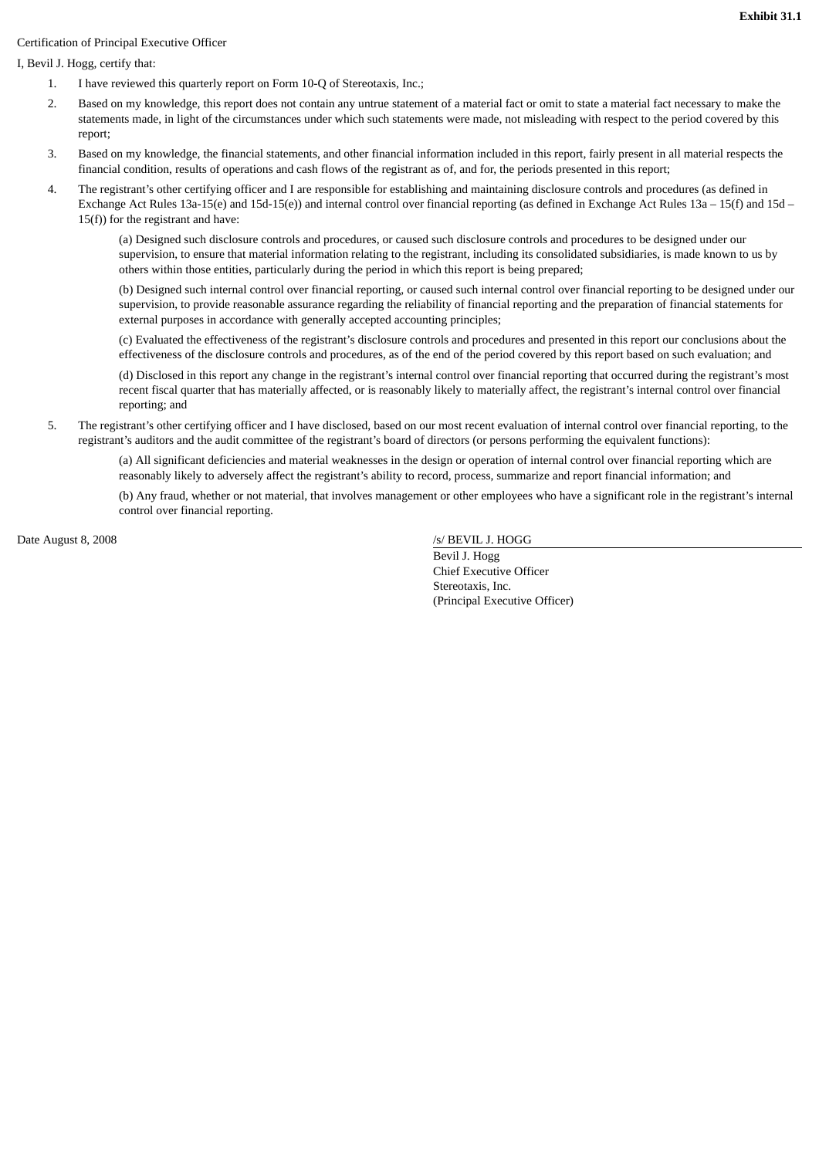# Certification of Principal Executive Officer

I, Bevil J. Hogg, certify that:

- 1. I have reviewed this quarterly report on Form 10-Q of Stereotaxis, Inc.;
- 2. Based on my knowledge, this report does not contain any untrue statement of a material fact or omit to state a material fact necessary to make the statements made, in light of the circumstances under which such statements were made, not misleading with respect to the period covered by this report;
- 3. Based on my knowledge, the financial statements, and other financial information included in this report, fairly present in all material respects the financial condition, results of operations and cash flows of the registrant as of, and for, the periods presented in this report;
- 4. The registrant's other certifying officer and I are responsible for establishing and maintaining disclosure controls and procedures (as defined in Exchange Act Rules 13a-15(e) and 15d-15(e)) and internal control over financial reporting (as defined in Exchange Act Rules 13a – 15(f) and 15d – 15(f)) for the registrant and have:

(a) Designed such disclosure controls and procedures, or caused such disclosure controls and procedures to be designed under our supervision, to ensure that material information relating to the registrant, including its consolidated subsidiaries, is made known to us by others within those entities, particularly during the period in which this report is being prepared;

(b) Designed such internal control over financial reporting, or caused such internal control over financial reporting to be designed under our supervision, to provide reasonable assurance regarding the reliability of financial reporting and the preparation of financial statements for external purposes in accordance with generally accepted accounting principles;

(c) Evaluated the effectiveness of the registrant's disclosure controls and procedures and presented in this report our conclusions about the effectiveness of the disclosure controls and procedures, as of the end of the period covered by this report based on such evaluation; and

(d) Disclosed in this report any change in the registrant's internal control over financial reporting that occurred during the registrant's most recent fiscal quarter that has materially affected, or is reasonably likely to materially affect, the registrant's internal control over financial reporting; and

5. The registrant's other certifying officer and I have disclosed, based on our most recent evaluation of internal control over financial reporting, to the registrant's auditors and the audit committee of the registrant's board of directors (or persons performing the equivalent functions):

(a) All significant deficiencies and material weaknesses in the design or operation of internal control over financial reporting which are reasonably likely to adversely affect the registrant's ability to record, process, summarize and report financial information; and

(b) Any fraud, whether or not material, that involves management or other employees who have a significant role in the registrant's internal control over financial reporting.

Date August 8, 2008

/s/ BEVIL J. HOGG

 Bevil J. Hogg Chief Executive Officer Stereotaxis, Inc. (Principal Executive Officer)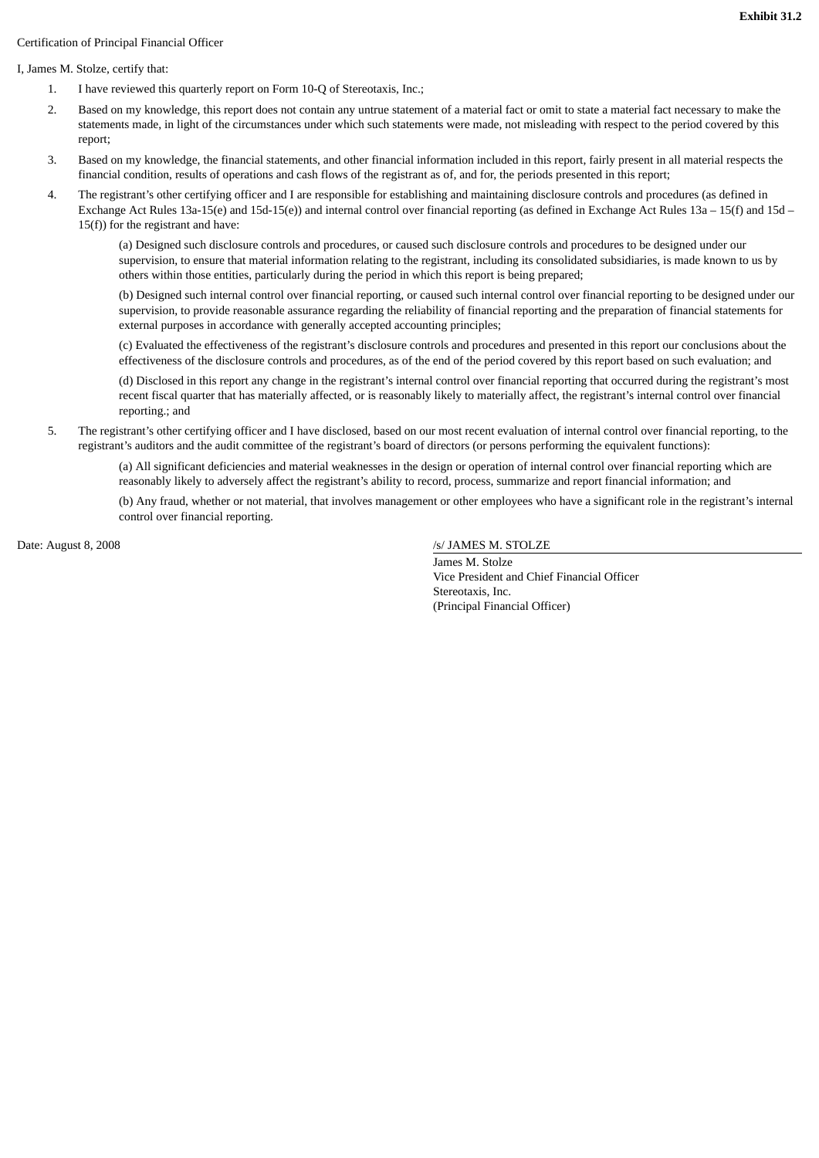# Certification of Principal Financial Officer

#### I, James M. Stolze, certify that:

- 1. I have reviewed this quarterly report on Form 10-Q of Stereotaxis, Inc.;
- 2. Based on my knowledge, this report does not contain any untrue statement of a material fact or omit to state a material fact necessary to make the statements made, in light of the circumstances under which such statements were made, not misleading with respect to the period covered by this report;
- 3. Based on my knowledge, the financial statements, and other financial information included in this report, fairly present in all material respects the financial condition, results of operations and cash flows of the registrant as of, and for, the periods presented in this report;
- 4. The registrant's other certifying officer and I are responsible for establishing and maintaining disclosure controls and procedures (as defined in Exchange Act Rules 13a-15(e) and 15d-15(e)) and internal control over financial reporting (as defined in Exchange Act Rules 13a – 15(f) and 15d – 15(f)) for the registrant and have:

(a) Designed such disclosure controls and procedures, or caused such disclosure controls and procedures to be designed under our supervision, to ensure that material information relating to the registrant, including its consolidated subsidiaries, is made known to us by others within those entities, particularly during the period in which this report is being prepared;

(b) Designed such internal control over financial reporting, or caused such internal control over financial reporting to be designed under our supervision, to provide reasonable assurance regarding the reliability of financial reporting and the preparation of financial statements for external purposes in accordance with generally accepted accounting principles;

(c) Evaluated the effectiveness of the registrant's disclosure controls and procedures and presented in this report our conclusions about the effectiveness of the disclosure controls and procedures, as of the end of the period covered by this report based on such evaluation; and

(d) Disclosed in this report any change in the registrant's internal control over financial reporting that occurred during the registrant's most recent fiscal quarter that has materially affected, or is reasonably likely to materially affect, the registrant's internal control over financial reporting.; and

5. The registrant's other certifying officer and I have disclosed, based on our most recent evaluation of internal control over financial reporting, to the registrant's auditors and the audit committee of the registrant's board of directors (or persons performing the equivalent functions):

(a) All significant deficiencies and material weaknesses in the design or operation of internal control over financial reporting which are reasonably likely to adversely affect the registrant's ability to record, process, summarize and report financial information; and

(b) Any fraud, whether or not material, that involves management or other employees who have a significant role in the registrant's internal control over financial reporting.

Date: August 8, 2008

# /s/ JAMES M. STOLZE

 James M. Stolze Vice President and Chief Financial Officer Stereotaxis, Inc. (Principal Financial Officer)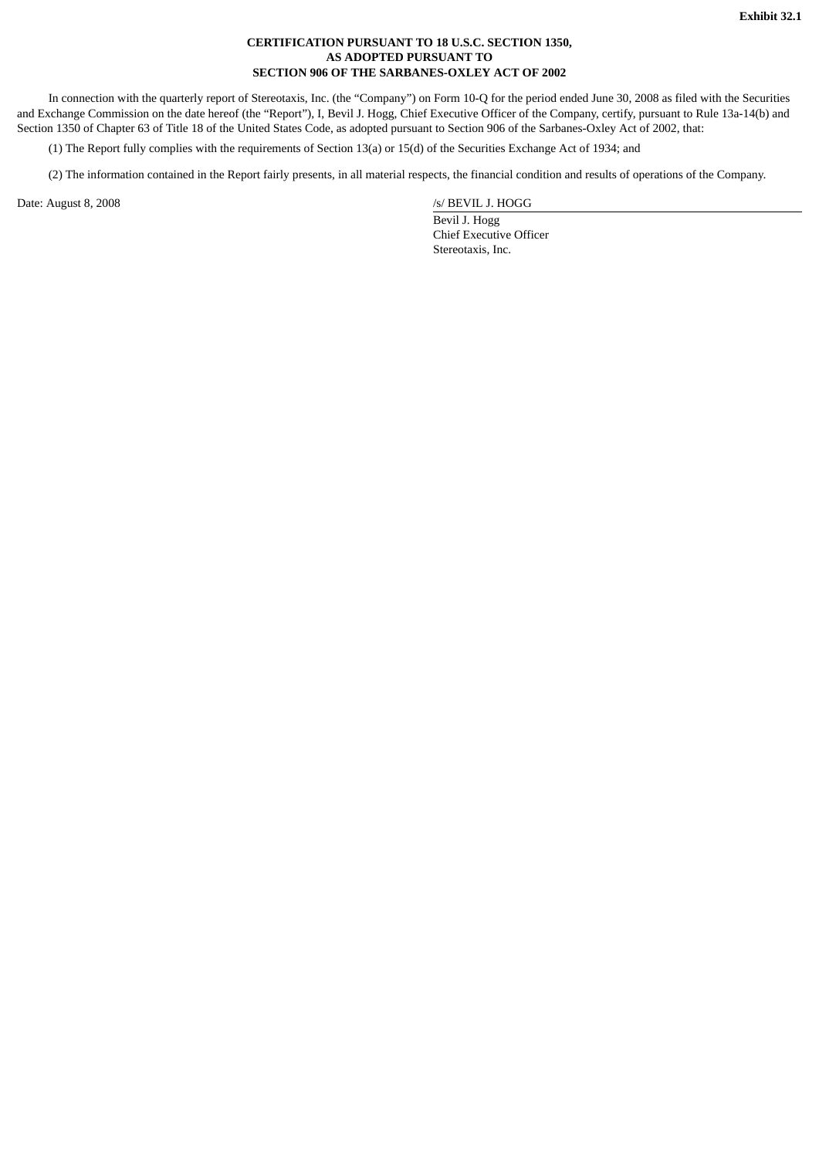# **CERTIFICATION PURSUANT TO 18 U.S.C. SECTION 1350, AS ADOPTED PURSUANT TO SECTION 906 OF THE SARBANES-OXLEY ACT OF 2002**

In connection with the quarterly report of Stereotaxis, Inc. (the "Company") on Form 10-Q for the period ended June 30, 2008 as filed with the Securities and Exchange Commission on the date hereof (the "Report"), I, Bevil J. Hogg, Chief Executive Officer of the Company, certify, pursuant to Rule 13a-14(b) and Section 1350 of Chapter 63 of Title 18 of the United States Code, as adopted pursuant to Section 906 of the Sarbanes-Oxley Act of 2002, that:

(1) The Report fully complies with the requirements of Section 13(a) or 15(d) of the Securities Exchange Act of 1934; and

(2) The information contained in the Report fairly presents, in all material respects, the financial condition and results of operations of the Company.

Date: August 8, 2008

/s/ BEVIL J. HOGG

 Bevil J. Hogg Chief Executive Officer Stereotaxis, Inc.